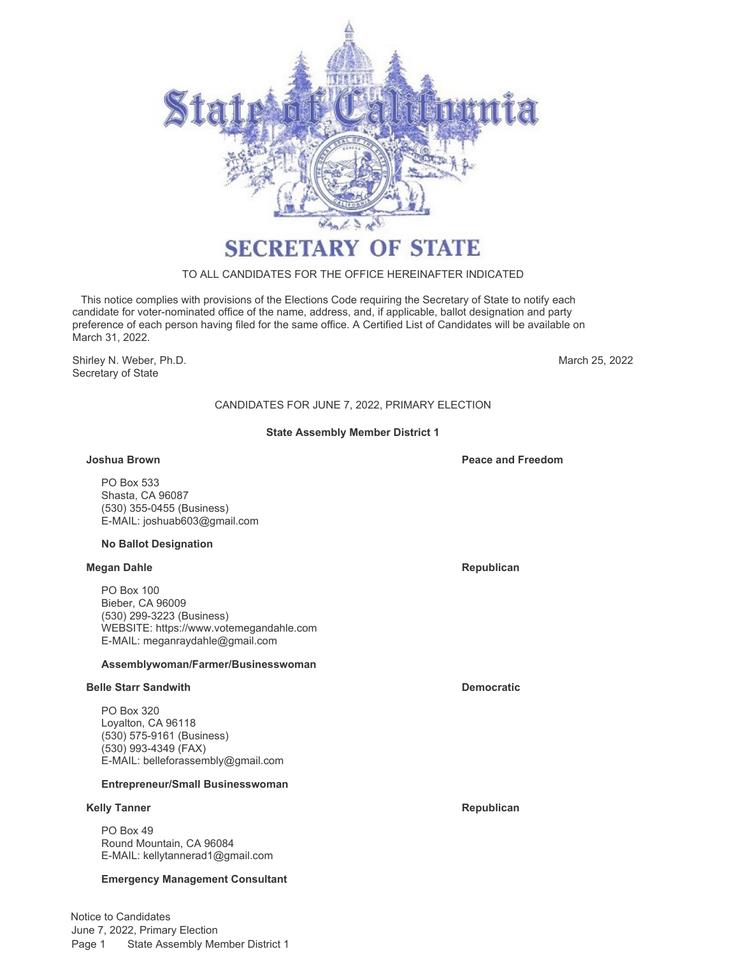

# TO ALL CANDIDATES FOR THE OFFICE HEREINAFTER INDICATED

 This notice complies with provisions of the Elections Code requiring the Secretary of State to notify each candidate for voter-nominated office of the name, address, and, if applicable, ballot designation and party preference of each person having filed for the same office. A Certified List of Candidates will be available on March 31, 2022.

Shirley N. Weber, Ph.D. **March 25, 2022** Secretary of State

# CANDIDATES FOR JUNE 7, 2022, PRIMARY ELECTION

# **State Assembly Member District 1**

### **Joshua Brown Peace and Freedom**

PO Box 533 Shasta, CA 96087 (530) 355-0455 (Business) E-MAIL: [joshuab603@gmail.com](mailto:joshuab603@gmail.com)

#### **No Ballot Designation**

#### **Megan Dahle Republican**

PO Box 100 Bieber, CA 96009 (530) 299-3223 (Business) WEBSITE:<https://www.votemegandahle.com> E-MAIL: [meganraydahle@gmail.com](mailto:meganraydahle@gmail.com)

# **Assemblywoman/Farmer/Businesswoman**

#### **Belle Starr Sandwith Democratic**

PO Box 320 Loyalton, CA 96118 (530) 575-9161 (Business) (530) 993-4349 (FAX) E-MAIL: [belleforassembly@gmail.com](mailto:belleforassembly@gmail.com)

# **Entrepreneur/Small Businesswoman**

#### **Kelly Tanner Republican**

PO Box 49 Round Mountain, CA 96084 E-MAIL: [kellytannerad1@gmail.com](mailto:kellytannerad1@gmail.com)

# **Emergency Management Consultant**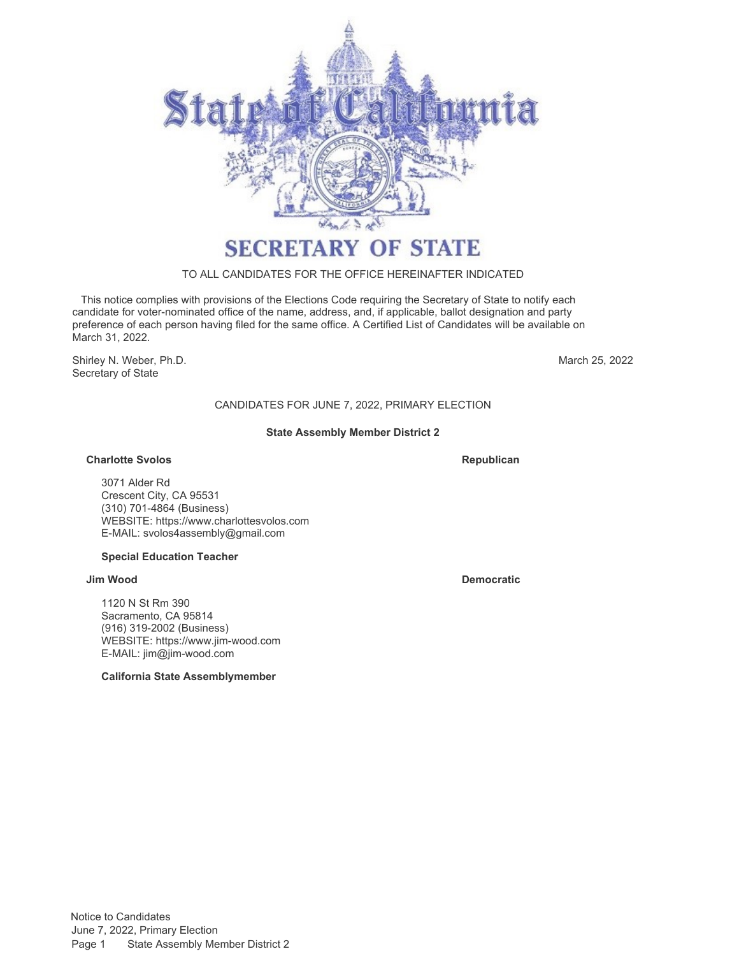

# TO ALL CANDIDATES FOR THE OFFICE HEREINAFTER INDICATED

 This notice complies with provisions of the Elections Code requiring the Secretary of State to notify each candidate for voter-nominated office of the name, address, and, if applicable, ballot designation and party preference of each person having filed for the same office. A Certified List of Candidates will be available on March 31, 2022.

Shirley N. Weber, Ph.D. Secretary of State

March 25, 2022

# CANDIDATES FOR JUNE 7, 2022, PRIMARY ELECTION

# **State Assembly Member District 2**

# **Charlotte Svolos**

**Republican**

3071 Alder Rd Crescent City, CA 95531 (310) 701-4864 (Business) WEBSITE:<https://www.charlottesvolos.com> E-MAIL: [svolos4assembly@gmail.com](mailto:svolos4assembly@gmail.com)

# **Special Education Teacher**

# **Jim Wood Democratic**

1120 N St Rm 390 Sacramento, CA 95814 (916) 319-2002 (Business) WEBSITE:<https://www.jim-wood.com> E-MAIL: [jim@jim-wood.com](mailto:jim@jim-wood.com)

**California State Assemblymember**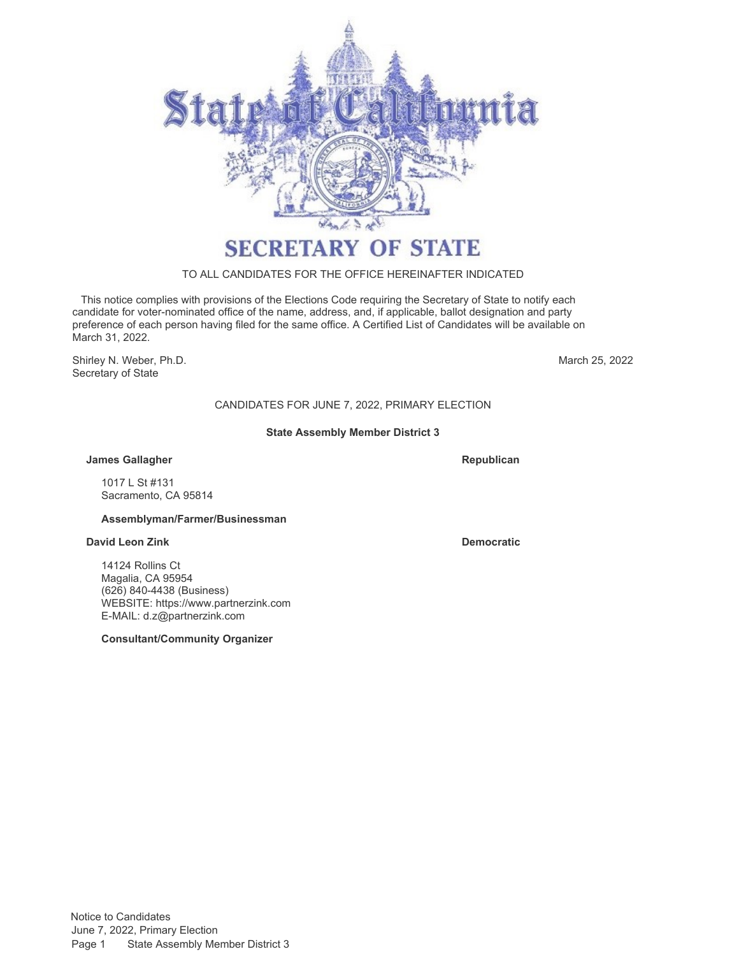

# TO ALL CANDIDATES FOR THE OFFICE HEREINAFTER INDICATED

 This notice complies with provisions of the Elections Code requiring the Secretary of State to notify each candidate for voter-nominated office of the name, address, and, if applicable, ballot designation and party preference of each person having filed for the same office. A Certified List of Candidates will be available on March 31, 2022.

Shirley N. Weber, Ph.D. Secretary of State

March 25, 2022

# CANDIDATES FOR JUNE 7, 2022, PRIMARY ELECTION

# **State Assembly Member District 3**

# **James Gallagher**

**Republican**

1017 L St #131 Sacramento, CA 95814

# **Assemblyman/Farmer/Businessman**

# **David Leon Zink Democratic**

14124 Rollins Ct Magalia, CA 95954 (626) 840-4438 (Business) WEBSITE:<https://www.partnerzink.com> E-MAIL: [d.z@partnerzink.com](mailto:d.z@partnerzink.com)

**Consultant/Community Organizer**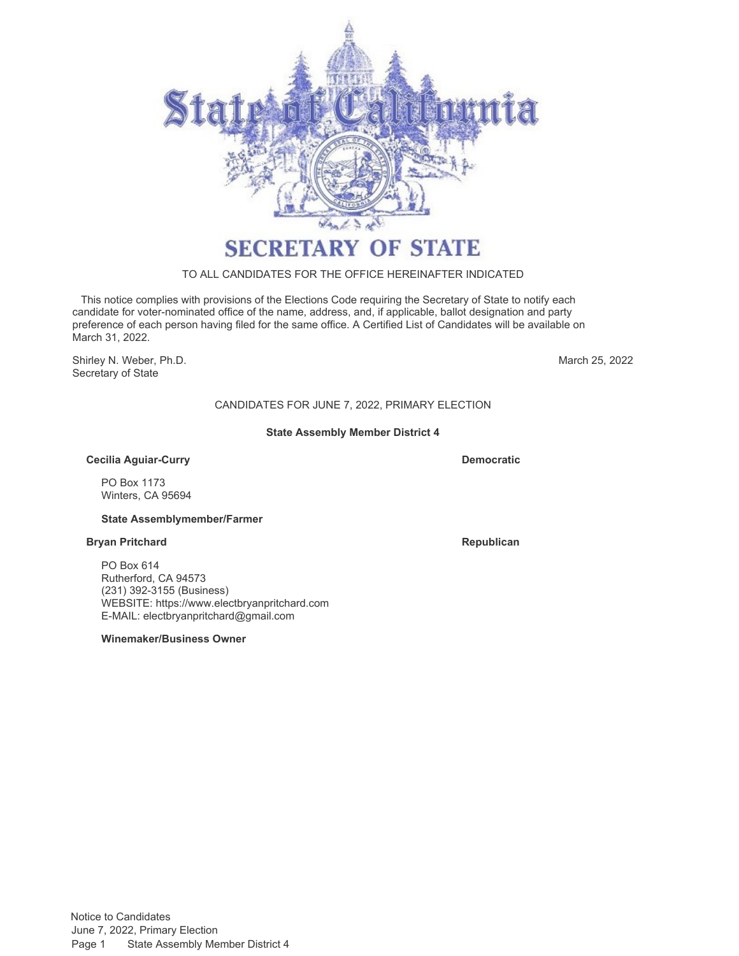

# TO ALL CANDIDATES FOR THE OFFICE HEREINAFTER INDICATED

 This notice complies with provisions of the Elections Code requiring the Secretary of State to notify each candidate for voter-nominated office of the name, address, and, if applicable, ballot designation and party preference of each person having filed for the same office. A Certified List of Candidates will be available on March 31, 2022.

Shirley N. Weber, Ph.D. Secretary of State

March 25, 2022

# CANDIDATES FOR JUNE 7, 2022, PRIMARY ELECTION

# **State Assembly Member District 4**

### **Cecilia Aguiar-Curry**

PO Box 1173 Winters, CA 95694

#### **State Assemblymember/Farmer**

#### **Bryan Pritchard Republican**

PO Box 614 Rutherford, CA 94573 (231) 392-3155 (Business) WEBSITE:<https://www.electbryanpritchard.com> E-MAIL: [electbryanpritchard@gmail.com](mailto:electbryanpritchard@gmail.com)

### **Winemaker/Business Owner**

**Democratic**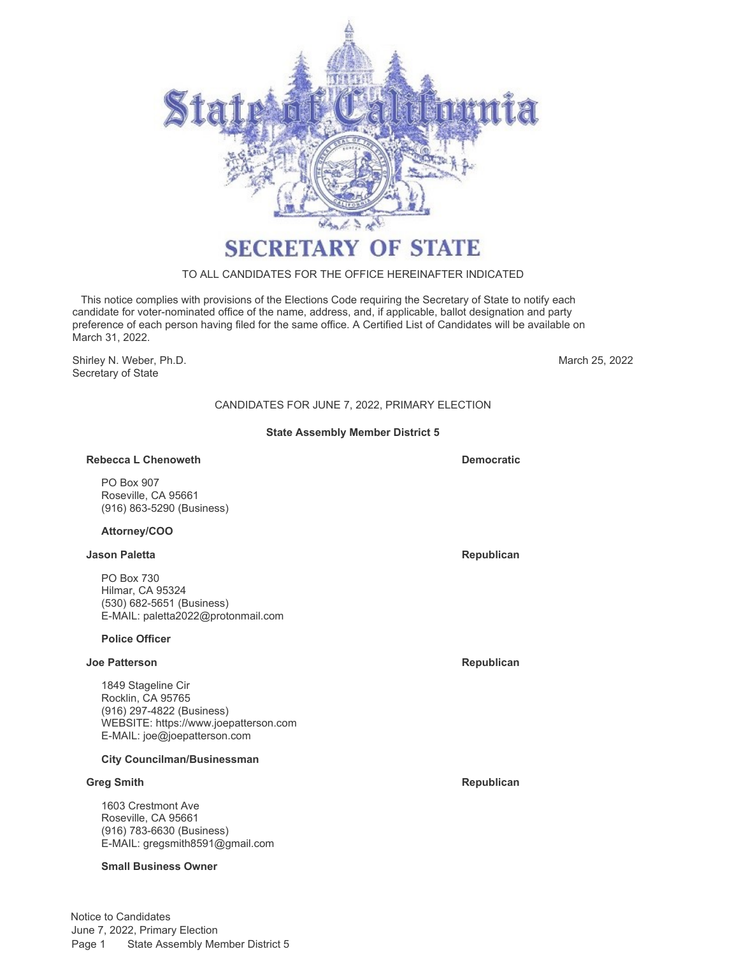

# TO ALL CANDIDATES FOR THE OFFICE HEREINAFTER INDICATED

 This notice complies with provisions of the Elections Code requiring the Secretary of State to notify each candidate for voter-nominated office of the name, address, and, if applicable, ballot designation and party preference of each person having filed for the same office. A Certified List of Candidates will be available on March 31, 2022.

Shirley N. Weber, Ph.D. Secretary of State

March 25, 2022

# CANDIDATES FOR JUNE 7, 2022, PRIMARY ELECTION

# **State Assembly Member District 5**

#### **Rebecca L Chenoweth Democratic Democratic**

PO Box 907 Roseville, CA 95661 (916) 863-5290 (Business)

### **Attorney/COO**

#### **Jason Paletta Republican**

PO Box 730 Hilmar, CA 95324 (530) 682-5651 (Business) E-MAIL: [paletta2022@protonmail.com](mailto:paletta2022@protonmail.com)

# **Police Officer**

### **Joe Patterson Republican**

1849 Stageline Cir Rocklin, CA 95765 (916) 297-4822 (Business) WEBSITE:<https://www.joepatterson.com> E-MAIL: [joe@joepatterson.com](mailto:joe@joepatterson.com)

# **City Councilman/Businessman**

### **Greg Smith Republican**

1603 Crestmont Ave Roseville, CA 95661 (916) 783-6630 (Business) E-MAIL: [gregsmith8591@gmail.com](mailto:gregsmith8591@gmail.com)

#### **Small Business Owner**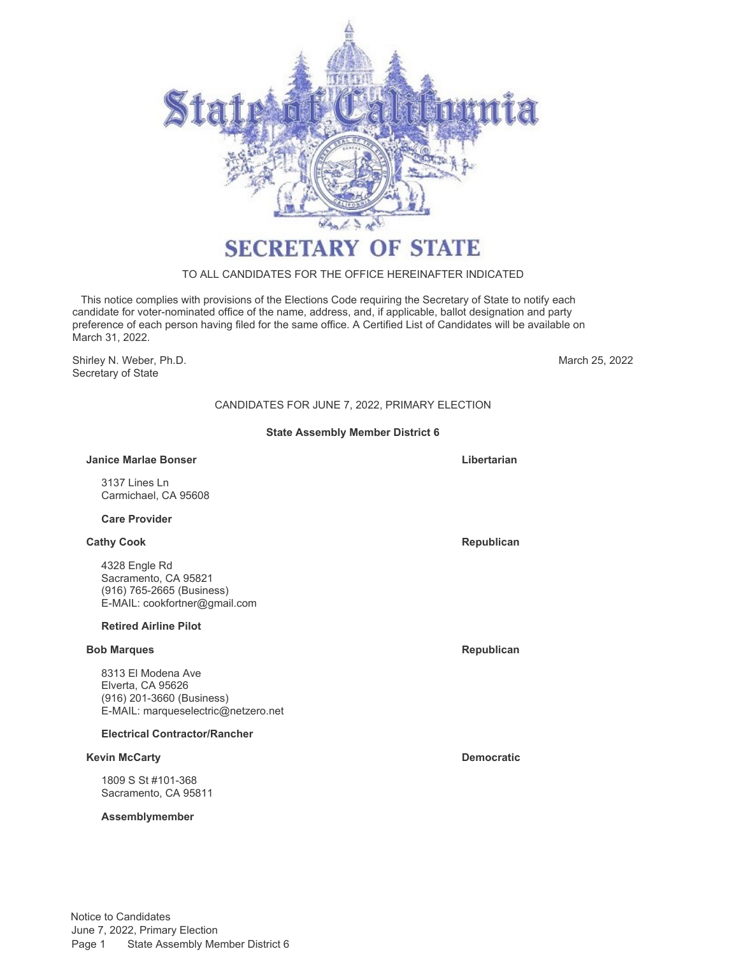

# TO ALL CANDIDATES FOR THE OFFICE HEREINAFTER INDICATED

 This notice complies with provisions of the Elections Code requiring the Secretary of State to notify each candidate for voter-nominated office of the name, address, and, if applicable, ballot designation and party preference of each person having filed for the same office. A Certified List of Candidates will be available on March 31, 2022.

Shirley N. Weber, Ph.D. Secretary of State

March 25, 2022

# CANDIDATES FOR JUNE 7, 2022, PRIMARY ELECTION

# **State Assembly Member District 6**

#### **Janice Marlae Bonser Libertarian**

3137 Lines Ln Carmichael, CA 95608

### **Care Provider**

#### **Cathy Cook Republican**

4328 Engle Rd Sacramento, CA 95821 (916) 765-2665 (Business) E-MAIL: [cookfortner@gmail.com](mailto:cookfortner@gmail.com)

#### **Retired Airline Pilot**

#### **Bob Marques Republican**

8313 El Modena Ave Elverta, CA 95626 (916) 201-3660 (Business) E-MAIL: [marqueselectric@netzero.net](mailto:marqueselectric@netzero.net)

# **Electrical Contractor/Rancher**

### **Kevin McCarty Democratic**

1809 S St #101-368 Sacramento, CA 95811

#### **Assemblymember**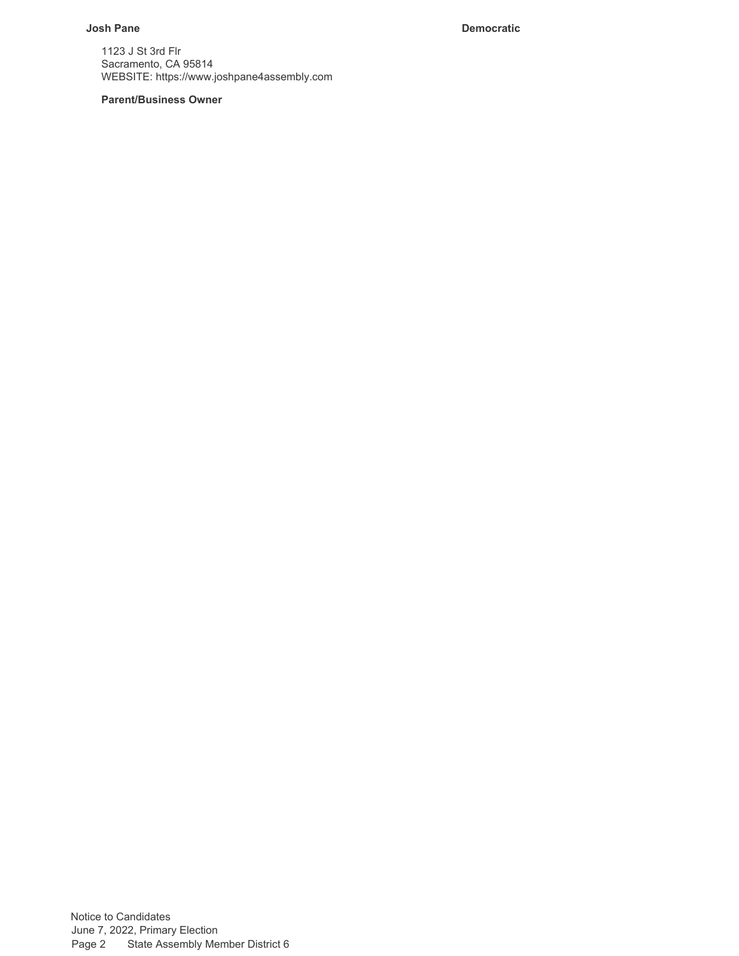# **Josh Pane Democratic**

1123 J St 3rd Flr Sacramento, CA 95814 WEBSITE:<https://www.joshpane4assembly.com>

# **Parent/Business Owner**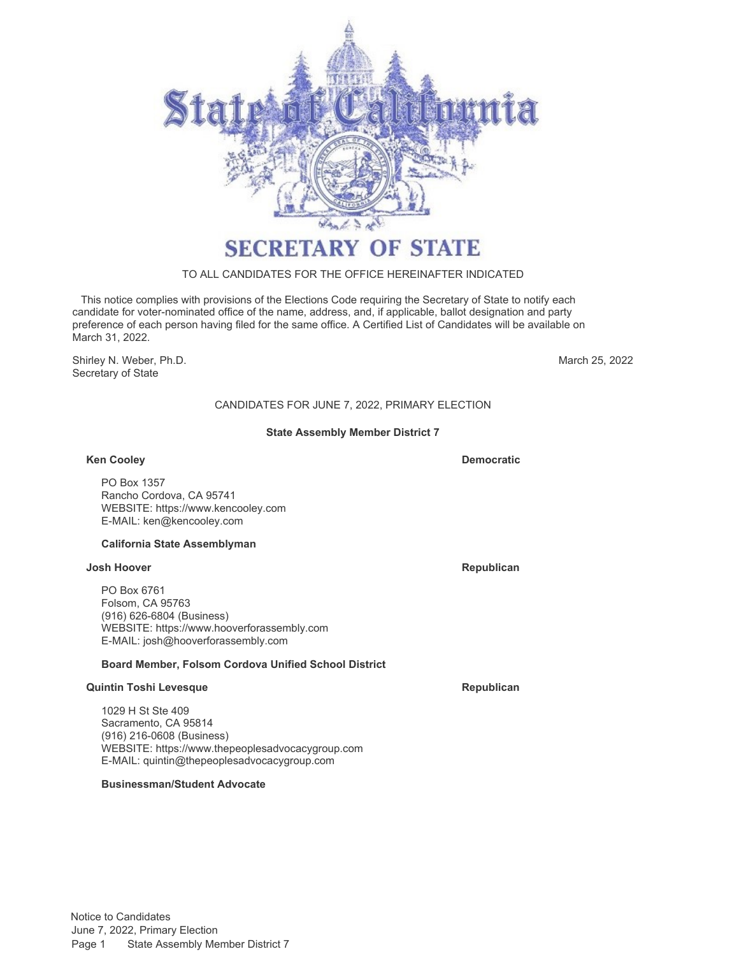

# TO ALL CANDIDATES FOR THE OFFICE HEREINAFTER INDICATED

 This notice complies with provisions of the Elections Code requiring the Secretary of State to notify each candidate for voter-nominated office of the name, address, and, if applicable, ballot designation and party preference of each person having filed for the same office. A Certified List of Candidates will be available on March 31, 2022.

Shirley N. Weber, Ph.D. Secretary of State

March 25, 2022

# CANDIDATES FOR JUNE 7, 2022, PRIMARY ELECTION

# **State Assembly Member District 7**

### **Ken Cooley**

PO Box 1357 Rancho Cordova, CA 95741 WEBSITE:<https://www.kencooley.com> E-MAIL: [ken@kencooley.com](mailto:ken@kencooley.com)

# **California State Assemblyman**

# **Josh Hoover Republican**

PO Box 6761 Folsom, CA 95763 (916) 626-6804 (Business) WEBSITE:<https://www.hooverforassembly.com> E-MAIL: [josh@hooverforassembly.com](mailto:josh@hooverforassembly.com)

# **Board Member, Folsom Cordova Unified School District**

# **Quintin Toshi Levesque Republican**

1029 H St Ste 409 Sacramento, CA 95814 (916) 216-0608 (Business) WEBSITE:<https://www.thepeoplesadvocacygroup.com> E-MAIL: [quintin@thepeoplesadvocacygroup.com](mailto:quintin@thepeoplesadvocacygroup.com)

# **Businessman/Student Advocate**

Notice to Candidates June 7, 2022, Primary Election Page 1 State Assembly Member District 7

**Democratic**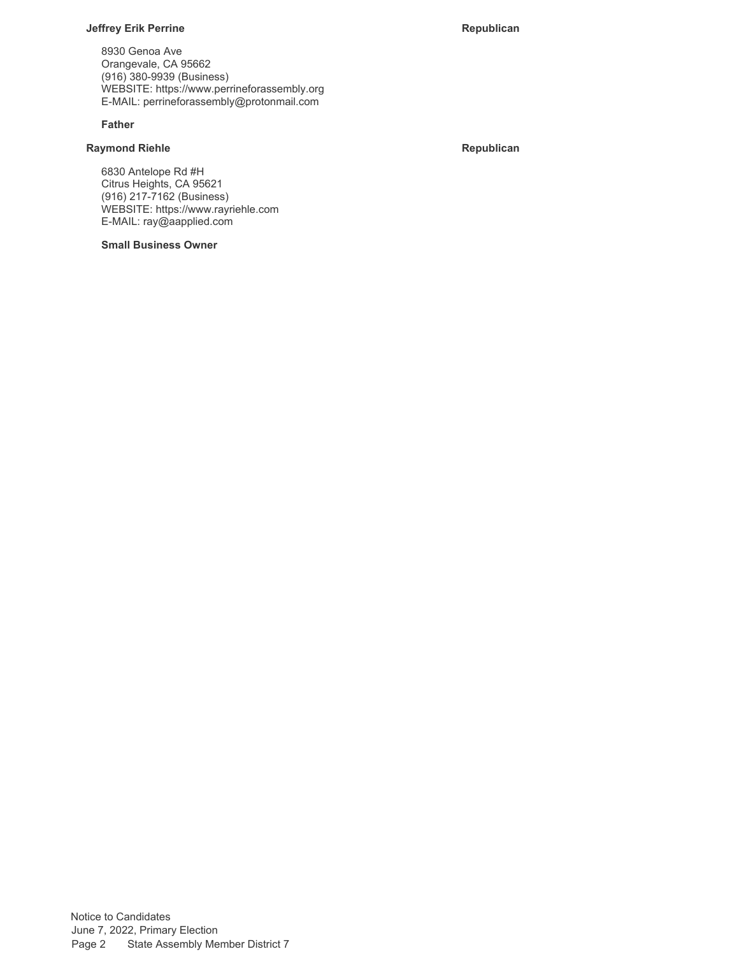## **Jeffrey Erik Perrine Republican**

8930 Genoa Ave Orangevale, CA 95662 (916) 380-9939 (Business) WEBSITE: https://www.perrineforassembly.org E-MAIL: perrineforassembly@protonmail.com

### **Father**

# **Raymond Riehle Raymond Riehle Republican**

6830 Antelope Rd #H Citrus Heights, CA 95621 (916) 217-7162 (Business) WEBSITE: https://www.rayriehle.com E-MAIL: ray@aapplied.com

# **Small Business Owner**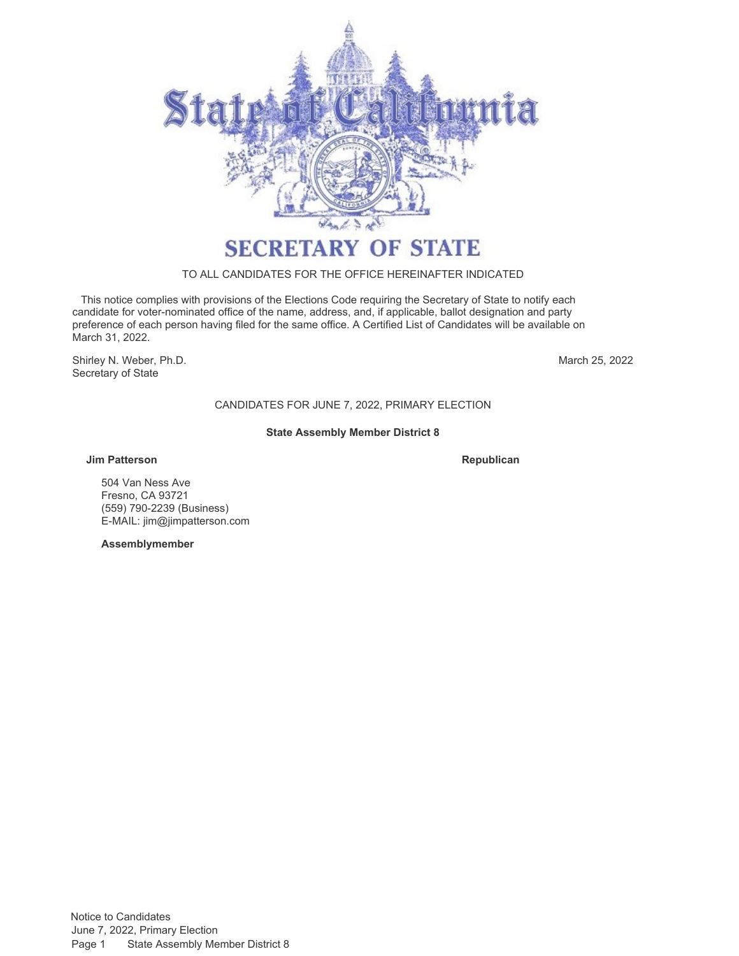

# TO ALL CANDIDATES FOR THE OFFICE HEREINAFTER INDICATED

 This notice complies with provisions of the Elections Code requiring the Secretary of State to notify each candidate for voter-nominated office of the name, address, and, if applicable, ballot designation and party preference of each person having filed for the same office. A Certified List of Candidates will be available on March 31, 2022.

Shirley N. Weber, Ph.D. Secretary of State

March 25, 2022

CANDIDATES FOR JUNE 7, 2022, PRIMARY ELECTION

# **State Assembly Member District 8**

# **Jim Patterson**

**Republican**

504 Van Ness Ave Fresno, CA 93721 (559) 790-2239 (Business) E-MAIL: [jim@jimpatterson.com](mailto:jim@jimpatterson.com)

**Assemblymember**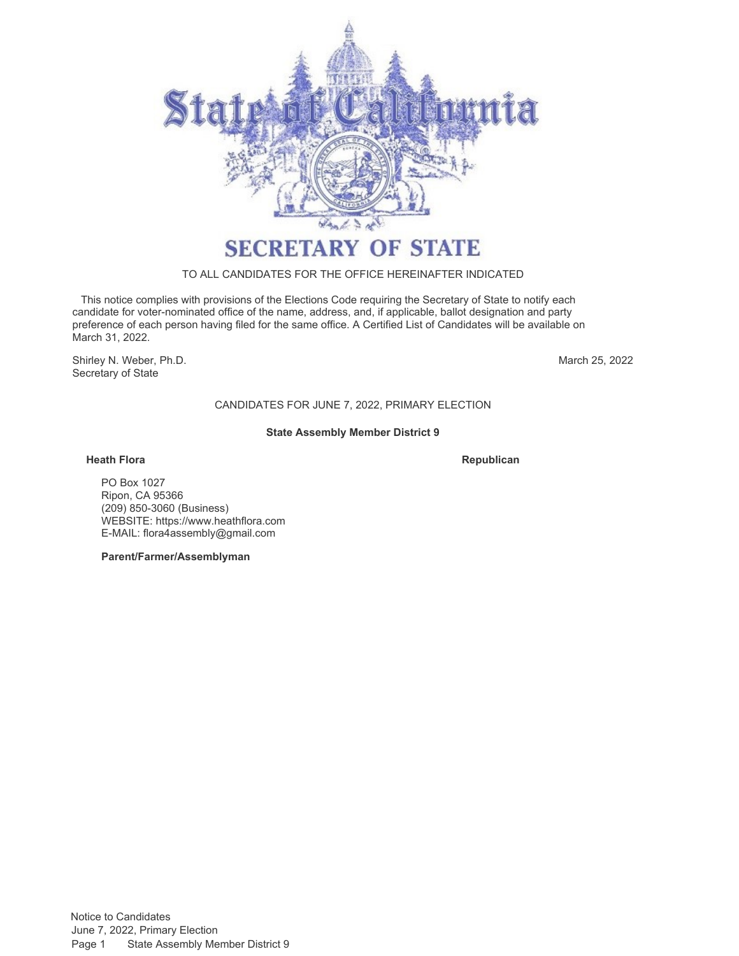

# TO ALL CANDIDATES FOR THE OFFICE HEREINAFTER INDICATED

 This notice complies with provisions of the Elections Code requiring the Secretary of State to notify each candidate for voter-nominated office of the name, address, and, if applicable, ballot designation and party preference of each person having filed for the same office. A Certified List of Candidates will be available on March 31, 2022.

Shirley N. Weber, Ph.D. Secretary of State

March 25, 2022

CANDIDATES FOR JUNE 7, 2022, PRIMARY ELECTION

# **State Assembly Member District 9**

### **Heath Flora**

**Republican**

PO Box 1027 Ripon, CA 95366 (209) 850-3060 (Business) WEBSITE:<https://www.heathflora.com> E-MAIL: [flora4assembly@gmail.com](mailto:flora4assembly@gmail.com)

**Parent/Farmer/Assemblyman**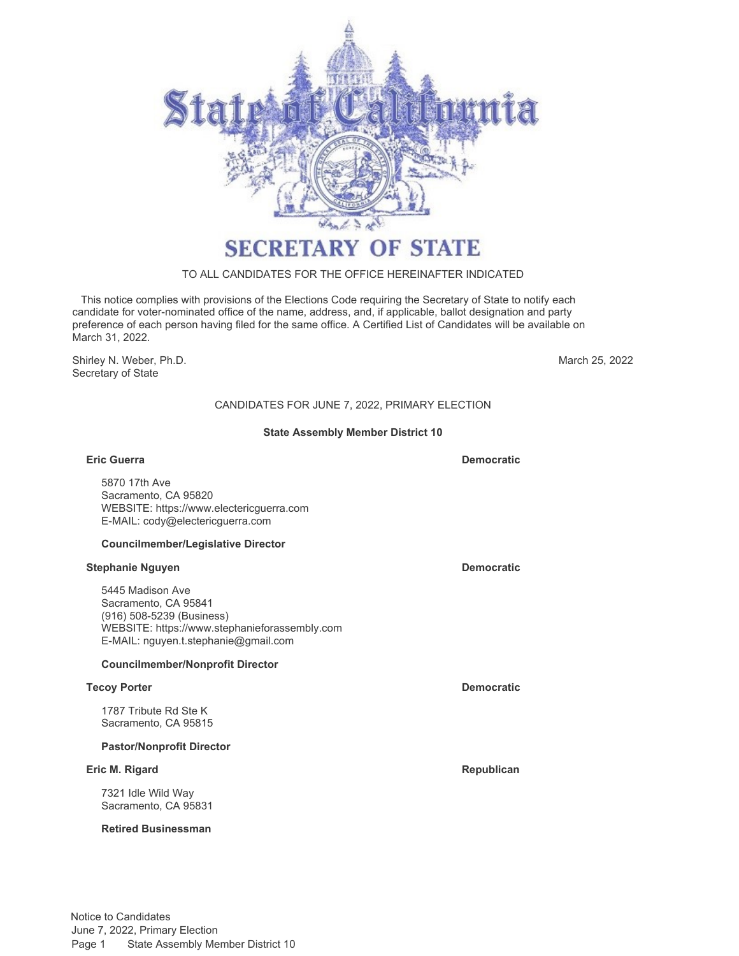

# TO ALL CANDIDATES FOR THE OFFICE HEREINAFTER INDICATED

 This notice complies with provisions of the Elections Code requiring the Secretary of State to notify each candidate for voter-nominated office of the name, address, and, if applicable, ballot designation and party preference of each person having filed for the same office. A Certified List of Candidates will be available on March 31, 2022.

Shirley N. Weber, Ph.D. Secretary of State

March 25, 2022

# CANDIDATES FOR JUNE 7, 2022, PRIMARY ELECTION

# **State Assembly Member District 10**

#### **Eric Guerra Democratic**

5870 17th Ave Sacramento, CA 95820 WEBSITE:<https://www.electericguerra.com> E-MAIL: [cody@electericguerra.com](mailto:cody@electericguerra.com)

#### **Councilmember/Legislative Director**

#### **Stephanie Nguyen Democratic**

5445 Madison Ave Sacramento, CA 95841 (916) 508-5239 (Business) WEBSITE:<https://www.stephanieforassembly.com> E-MAIL: [nguyen.t.stephanie@gmail.com](mailto:nguyen.t.stephanie@gmail.com)

# **Councilmember/Nonprofit Director**

#### **Tecoy Porter Democratic**

1787 Tribute Rd Ste K Sacramento, CA 95815

#### **Pastor/Nonprofit Director**

### **Eric M. Rigard Republican**

7321 Idle Wild Way Sacramento, CA 95831

### **Retired Businessman**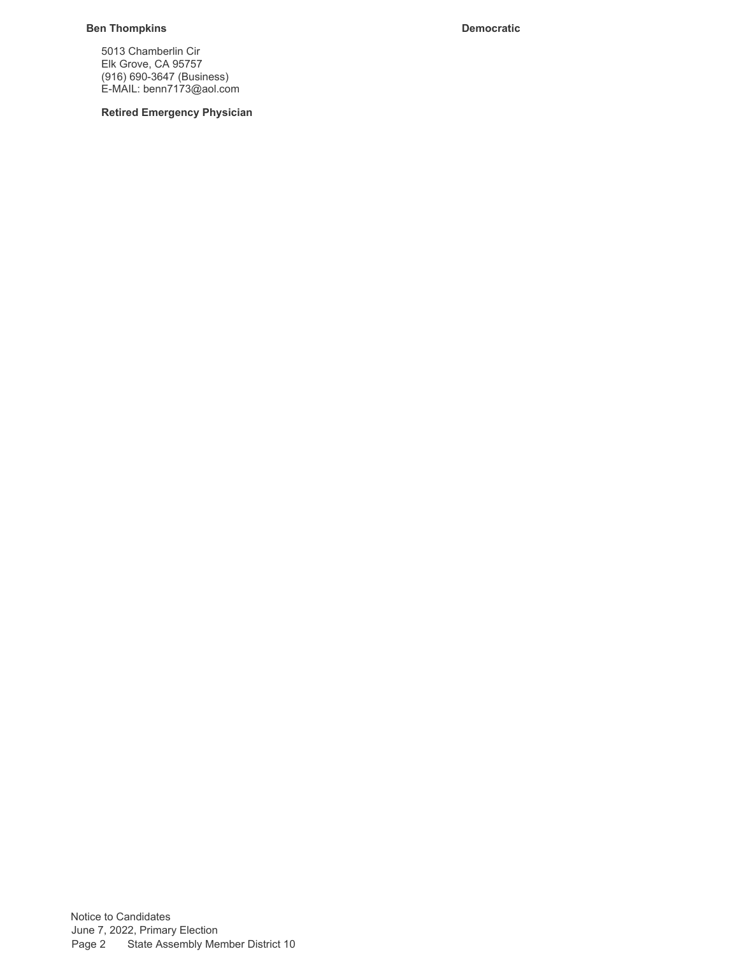# **Ben Thompkins Democratic**

5013 Chamberlin Cir Elk Grove, CA 95757 (916) 690-3647 (Business) E-MAIL: [benn7173@aol.com](mailto:benn7173@aol.com)

**Retired Emergency Physician**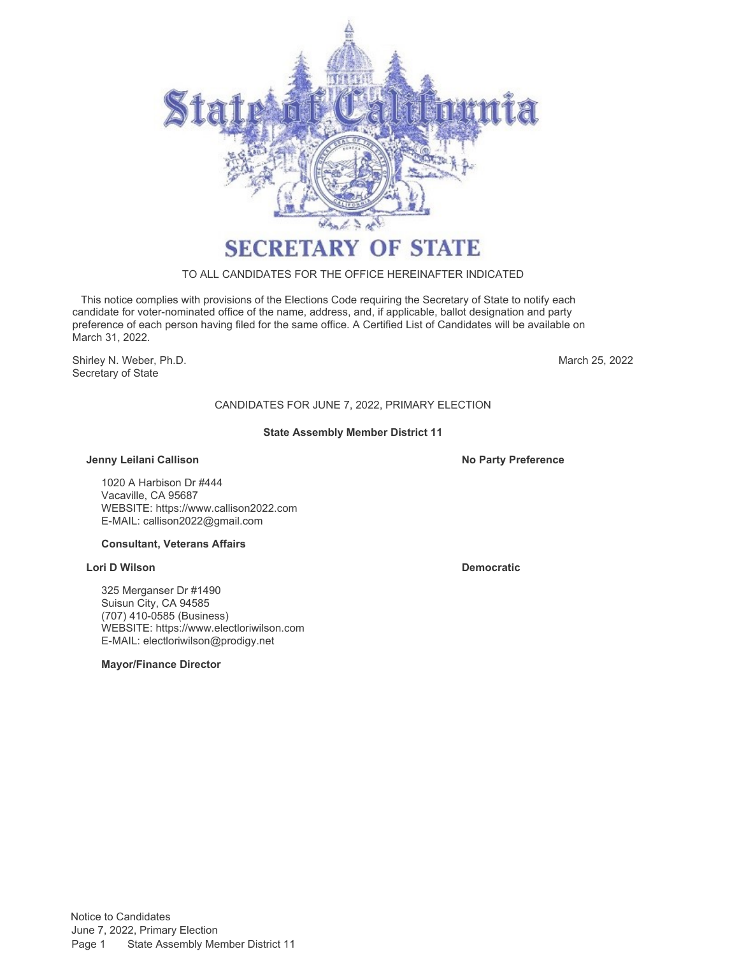

# TO ALL CANDIDATES FOR THE OFFICE HEREINAFTER INDICATED

 This notice complies with provisions of the Elections Code requiring the Secretary of State to notify each candidate for voter-nominated office of the name, address, and, if applicable, ballot designation and party preference of each person having filed for the same office. A Certified List of Candidates will be available on March 31, 2022.

Shirley N. Weber, Ph.D. **March 25, 2022** Secretary of State

# CANDIDATES FOR JUNE 7, 2022, PRIMARY ELECTION

# **State Assembly Member District 11**

### **Jenny Leilani Callison No Party Preference**

1020 A Harbison Dr #444 Vacaville, CA 95687 WEBSITE:<https://www.callison2022.com> E-MAIL: [callison2022@gmail.com](mailto:callison2022@gmail.com)

#### **Consultant, Veterans Affairs**

### **Lori D Wilson Democratic**

325 Merganser Dr #1490 Suisun City, CA 94585 (707) 410-0585 (Business) WEBSITE:<https://www.electloriwilson.com> E-MAIL: [electloriwilson@prodigy.net](mailto:electloriwilson@prodigy.net)

**Mayor/Finance Director**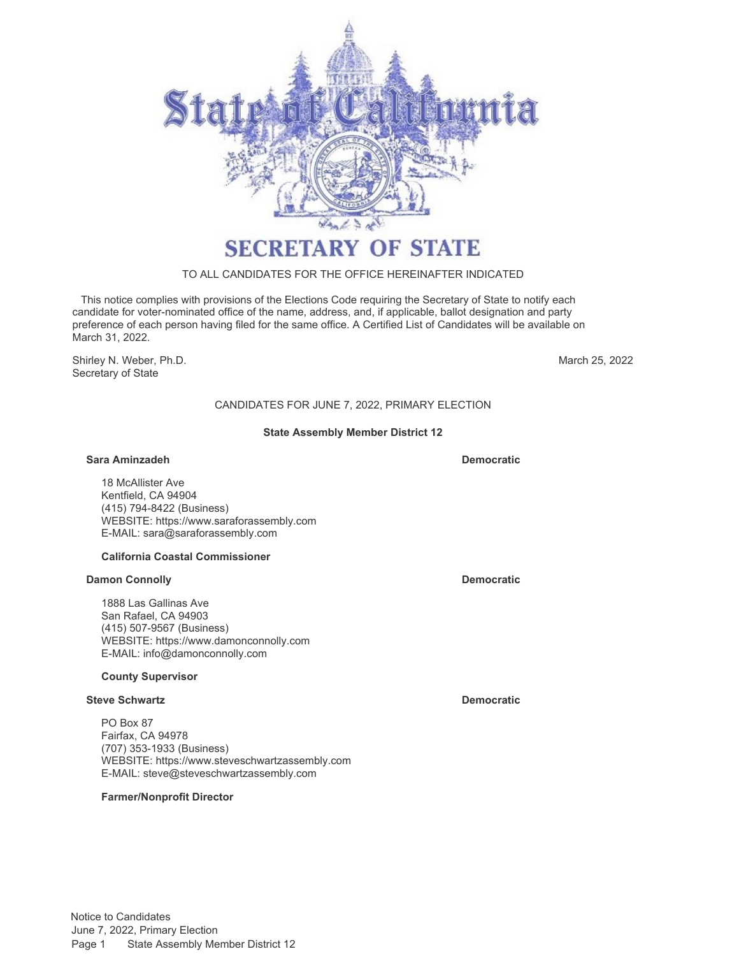

# TO ALL CANDIDATES FOR THE OFFICE HEREINAFTER INDICATED

 This notice complies with provisions of the Elections Code requiring the Secretary of State to notify each candidate for voter-nominated office of the name, address, and, if applicable, ballot designation and party preference of each person having filed for the same office. A Certified List of Candidates will be available on March 31, 2022.

Shirley N. Weber, Ph.D. Secretary of State

March 25, 2022

# CANDIDATES FOR JUNE 7, 2022, PRIMARY ELECTION

# **State Assembly Member District 12**

### **Sara Aminzadeh Democratic**

18 McAllister Ave Kentfield, CA 94904 (415) 794-8422 (Business) WEBSITE:<https://www.saraforassembly.com> E-MAIL: [sara@saraforassembly.com](mailto:sara@saraforassembly.com)

# **California Coastal Commissioner**

#### **Damon Connolly Democratic**

1888 Las Gallinas Ave San Rafael, CA 94903 (415) 507-9567 (Business) WEBSITE:<https://www.damonconnolly.com> E-MAIL: [info@damonconnolly.com](mailto:info@damonconnolly.com)

#### **County Supervisor**

### **Steve Schwartz Democratic**

PO Box 87 Fairfax, CA 94978 (707) 353-1933 (Business) WEBSITE:<https://www.steveschwartzassembly.com> E-MAIL: [steve@steveschwartzassembly.com](mailto:steve@steveschwartzassembly.com)

# **Farmer/Nonprofit Director**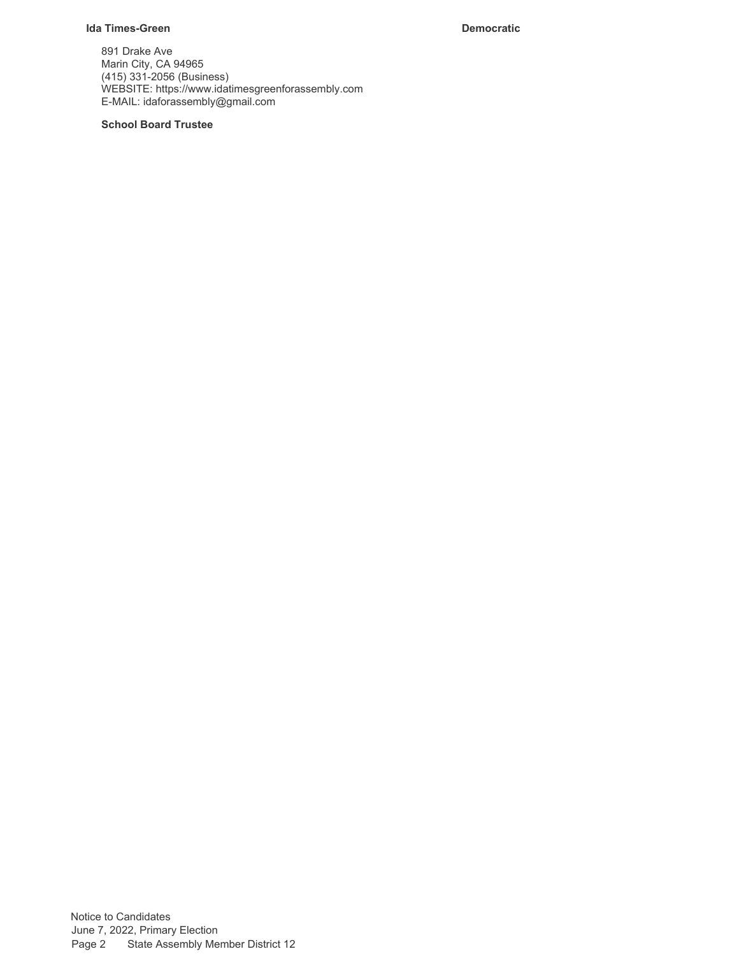# **Ida Times-Green Democratic**

891 Drake Ave Marin City, CA 94965 (415) 331-2056 (Business) WEBSITE:<https://www.idatimesgreenforassembly.com> E-MAIL: [idaforassembly@gmail.com](mailto:idaforassembly@gmail.com)

# **School Board Trustee**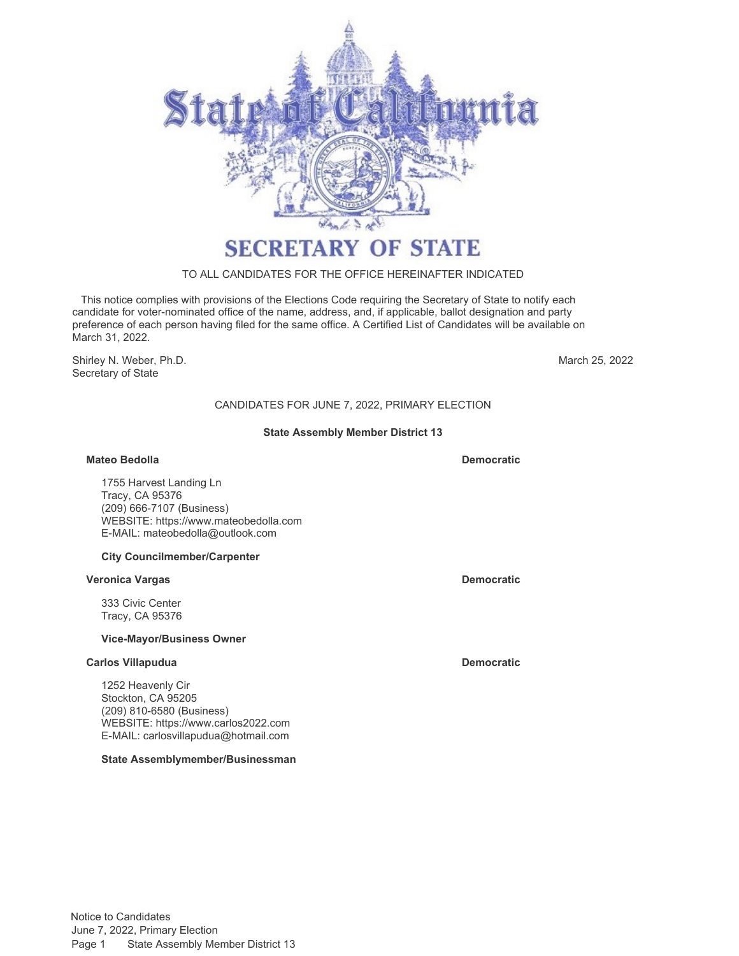

# TO ALL CANDIDATES FOR THE OFFICE HEREINAFTER INDICATED

 This notice complies with provisions of the Elections Code requiring the Secretary of State to notify each candidate for voter-nominated office of the name, address, and, if applicable, ballot designation and party preference of each person having filed for the same office. A Certified List of Candidates will be available on March 31, 2022.

Shirley N. Weber, Ph.D. Secretary of State

March 25, 2022

# CANDIDATES FOR JUNE 7, 2022, PRIMARY ELECTION

# **State Assembly Member District 13**

### **Mateo Bedolla Democratic**

1755 Harvest Landing Ln Tracy, CA 95376 (209) 666-7107 (Business) WEBSITE:<https://www.mateobedolla.com> E-MAIL: [mateobedolla@outlook.com](mailto:mateobedolla@outlook.com)

#### **City Councilmember/Carpenter**

#### **Veronica Vargas Democratic**

333 Civic Center Tracy, CA 95376

#### **Vice-Mayor/Business Owner**

#### **Carlos Villapudua Democratic Democratic**

1252 Heavenly Cir Stockton, CA 95205 (209) 810-6580 (Business) WEBSITE:<https://www.carlos2022.com> E-MAIL: [carlosvillapudua@hotmail.com](mailto:carlosvillapudua@hotmail.com)

#### **State Assemblymember/Businessman**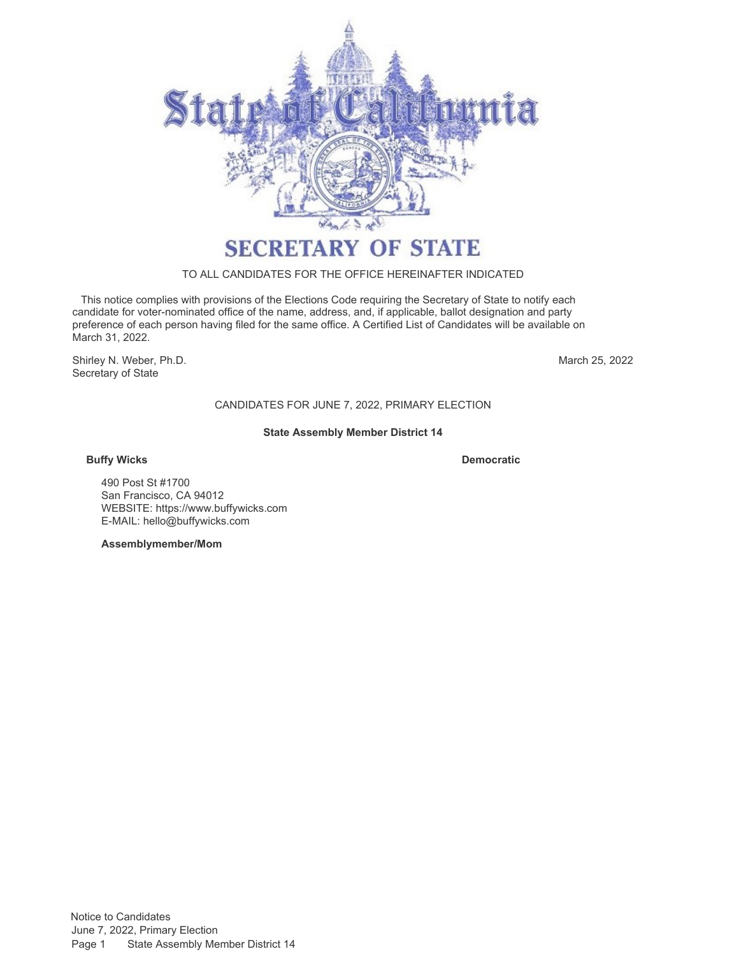

# TO ALL CANDIDATES FOR THE OFFICE HEREINAFTER INDICATED

 This notice complies with provisions of the Elections Code requiring the Secretary of State to notify each candidate for voter-nominated office of the name, address, and, if applicable, ballot designation and party preference of each person having filed for the same office. A Certified List of Candidates will be available on March 31, 2022.

Shirley N. Weber, Ph.D. Secretary of State

March 25, 2022

# CANDIDATES FOR JUNE 7, 2022, PRIMARY ELECTION

# **State Assembly Member District 14**

# **Buffy Wicks**

**Democratic**

490 Post St #1700 San Francisco, CA 94012 WEBSITE:<https://www.buffywicks.com> E-MAIL: [hello@buffywicks.com](mailto:hello@buffywicks.com)

**Assemblymember/Mom**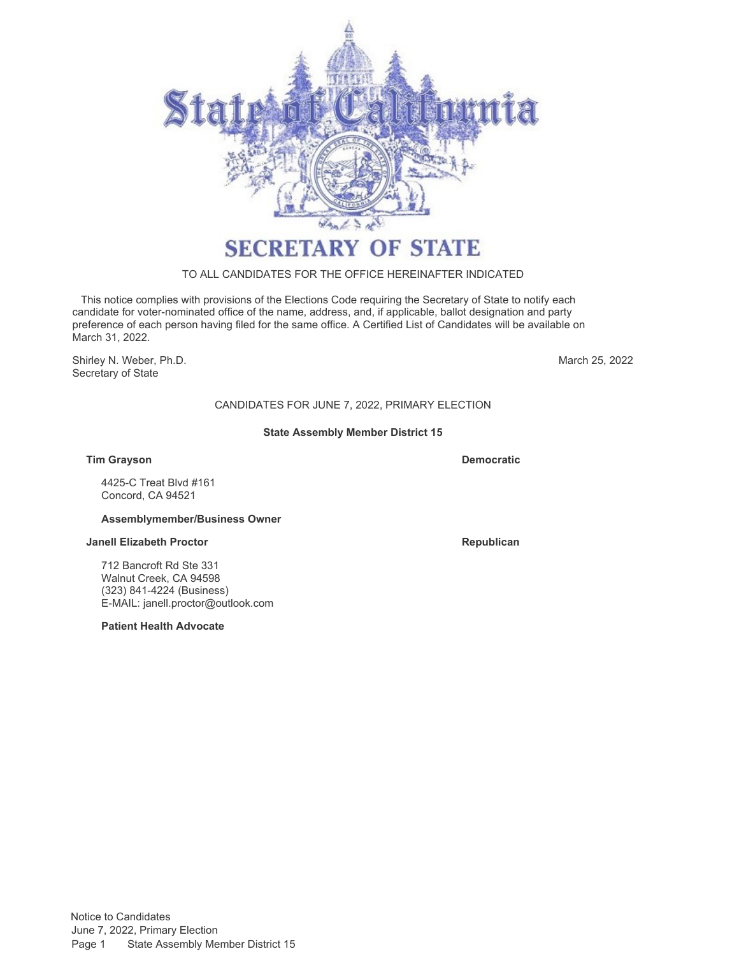

# TO ALL CANDIDATES FOR THE OFFICE HEREINAFTER INDICATED

 This notice complies with provisions of the Elections Code requiring the Secretary of State to notify each candidate for voter-nominated office of the name, address, and, if applicable, ballot designation and party preference of each person having filed for the same office. A Certified List of Candidates will be available on March 31, 2022.

Shirley N. Weber, Ph.D. Secretary of State

March 25, 2022

# CANDIDATES FOR JUNE 7, 2022, PRIMARY ELECTION

# **State Assembly Member District 15**

**Tim Grayson Democratic**

4425-C Treat Blvd #161 Concord, CA 94521

# **Assemblymember/Business Owner**

#### **Janell Elizabeth Proctor Republican Republican Republican**

712 Bancroft Rd Ste 331 Walnut Creek, CA 94598 (323) 841-4224 (Business) E-MAIL: [janell.proctor@outlook.com](mailto:janell.proctor@outlook.com)

**Patient Health Advocate**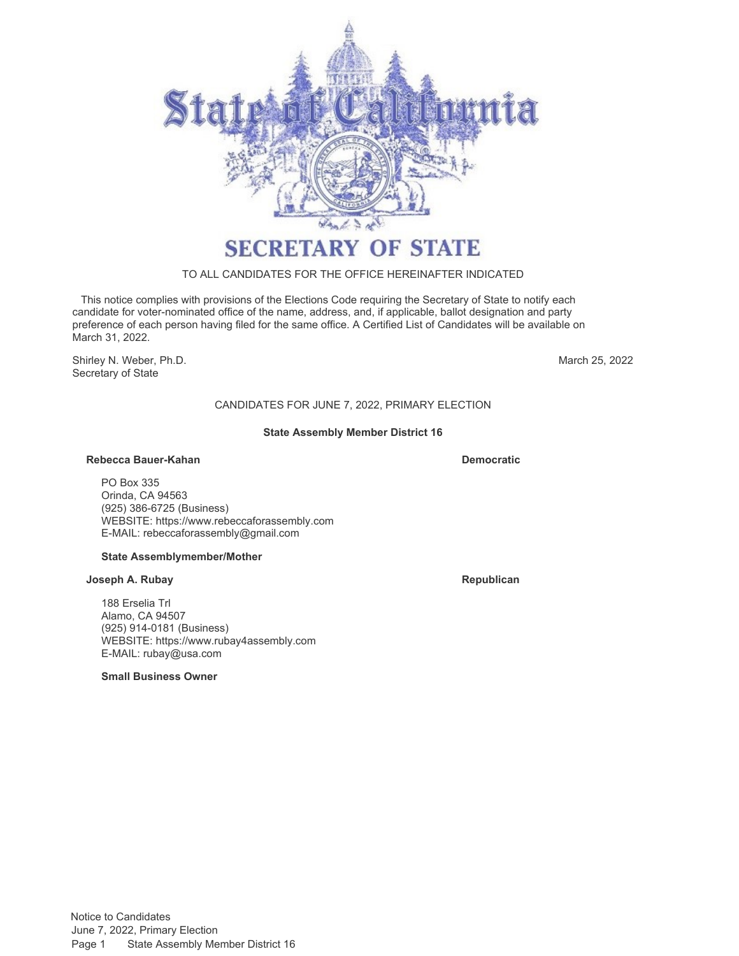

# TO ALL CANDIDATES FOR THE OFFICE HEREINAFTER INDICATED

 This notice complies with provisions of the Elections Code requiring the Secretary of State to notify each candidate for voter-nominated office of the name, address, and, if applicable, ballot designation and party preference of each person having filed for the same office. A Certified List of Candidates will be available on March 31, 2022.

Shirley N. Weber, Ph.D. Secretary of State

March 25, 2022

# CANDIDATES FOR JUNE 7, 2022, PRIMARY ELECTION

# **State Assembly Member District 16**

### **Rebecca Bauer-Kahan Democratic**

PO Box 335 Orinda, CA 94563 (925) 386-6725 (Business) WEBSITE:<https://www.rebeccaforassembly.com> E-MAIL: [rebeccaforassembly@gmail.com](mailto:rebeccaforassembly@gmail.com)

# **State Assemblymember/Mother**

#### **Joseph A. Rubay Republican**

188 Erselia Trl Alamo, CA 94507 (925) 914-0181 (Business) WEBSITE:<https://www.rubay4assembly.com> E-MAIL: [rubay@usa.com](mailto:rubay@usa.com)

**Small Business Owner**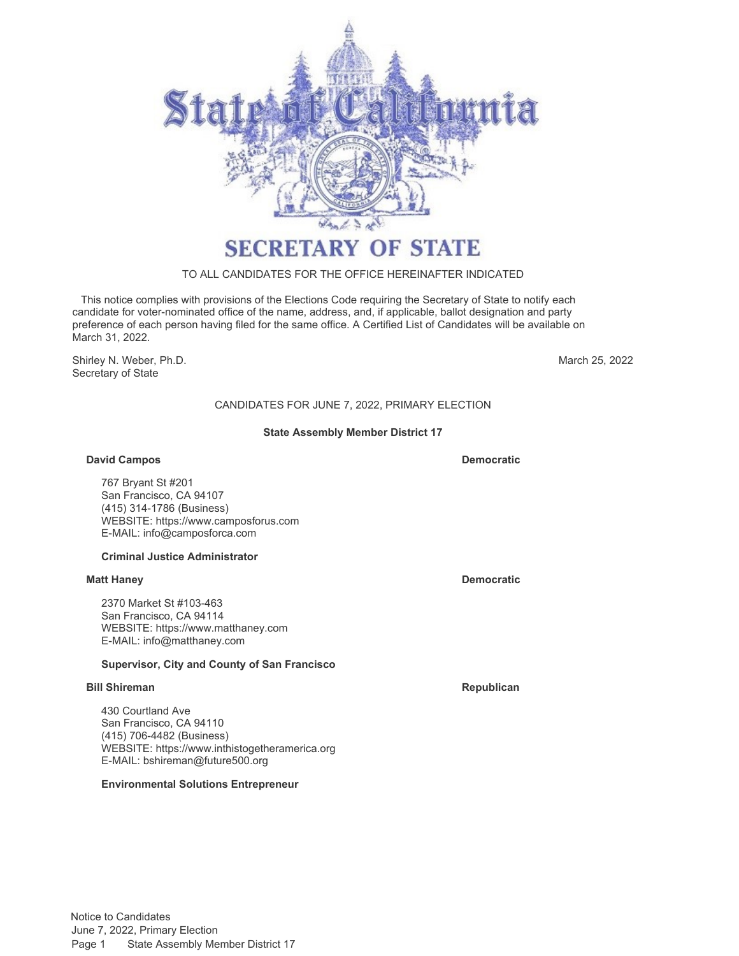

# TO ALL CANDIDATES FOR THE OFFICE HEREINAFTER INDICATED

 This notice complies with provisions of the Elections Code requiring the Secretary of State to notify each candidate for voter-nominated office of the name, address, and, if applicable, ballot designation and party preference of each person having filed for the same office. A Certified List of Candidates will be available on March 31, 2022.

Shirley N. Weber, Ph.D. Secretary of State

March 25, 2022

# CANDIDATES FOR JUNE 7, 2022, PRIMARY ELECTION

# **State Assembly Member District 17**

# **David Campos**

**Democratic**

767 Bryant St #201 San Francisco, CA 94107 (415) 314-1786 (Business) WEBSITE:<https://www.camposforus.com> E-MAIL: [info@camposforca.com](mailto:info@camposforca.com)

# **Criminal Justice Administrator**

# **Matt Haney Democratic**

2370 Market St #103-463 San Francisco, CA 94114 WEBSITE:<https://www.matthaney.com> E-MAIL: [info@matthaney.com](mailto:info@matthaney.com)

# **Supervisor, City and County of San Francisco**

# **Bill Shireman Republican Republican Republican Republican**

430 Courtland Ave San Francisco, CA 94110 (415) 706-4482 (Business) WEBSITE:<https://www.inthistogetheramerica.org> E-MAIL: [bshireman@future500.org](mailto:bshireman@future500.org)

# **Environmental Solutions Entrepreneur**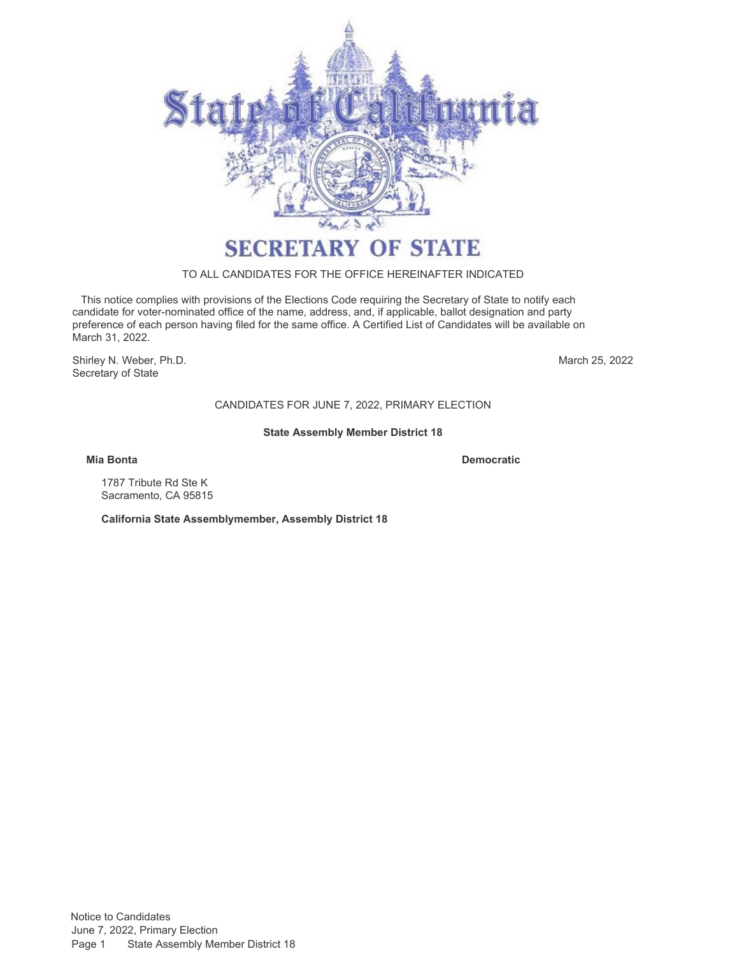

# TO ALL CANDIDATES FOR THE OFFICE HEREINAFTER INDICATED

 This notice complies with provisions of the Elections Code requiring the Secretary of State to notify each candidate for voter-nominated office of the name, address, and, if applicable, ballot designation and party preference of each person having filed for the same office. A Certified List of Candidates will be available on March 31, 2022.

Shirley N. Weber, Ph.D. Secretary of State

March 25, 2022

CANDIDATES FOR JUNE 7, 2022, PRIMARY ELECTION

# **State Assembly Member District 18**

**Mia Bonta Democratic**

1787 Tribute Rd Ste K Sacramento, CA 95815

**California State Assemblymember, Assembly District 18**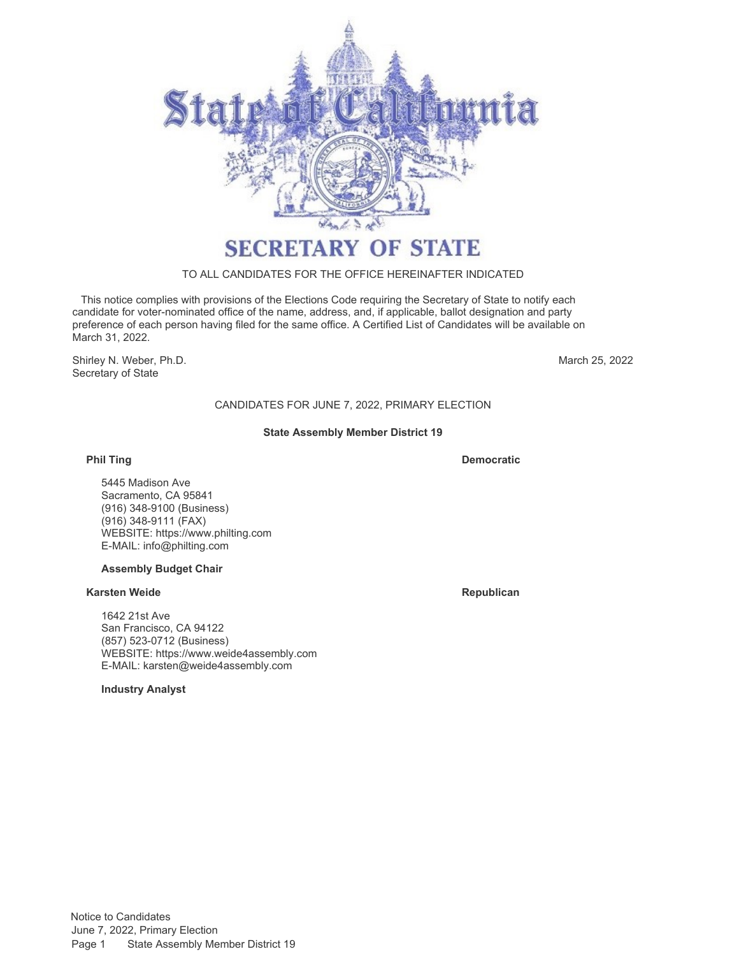

# TO ALL CANDIDATES FOR THE OFFICE HEREINAFTER INDICATED

 This notice complies with provisions of the Elections Code requiring the Secretary of State to notify each candidate for voter-nominated office of the name, address, and, if applicable, ballot designation and party preference of each person having filed for the same office. A Certified List of Candidates will be available on March 31, 2022.

Shirley N. Weber, Ph.D. Secretary of State

March 25, 2022

# CANDIDATES FOR JUNE 7, 2022, PRIMARY ELECTION

# **State Assembly Member District 19**

# **Phil Ting**

**Democratic**

5445 Madison Ave Sacramento, CA 95841 (916) 348-9100 (Business) (916) 348-9111 (FAX) WEBSITE:<https://www.philting.com> E-MAIL: [info@philting.com](mailto:info@philting.com)

# **Assembly Budget Chair**

### **Karsten Weide Republican**

1642 21st Ave San Francisco, CA 94122 (857) 523-0712 (Business) WEBSITE:<https://www.weide4assembly.com> E-MAIL: [karsten@weide4assembly.com](mailto:karsten@weide4assembly.com)

**Industry Analyst**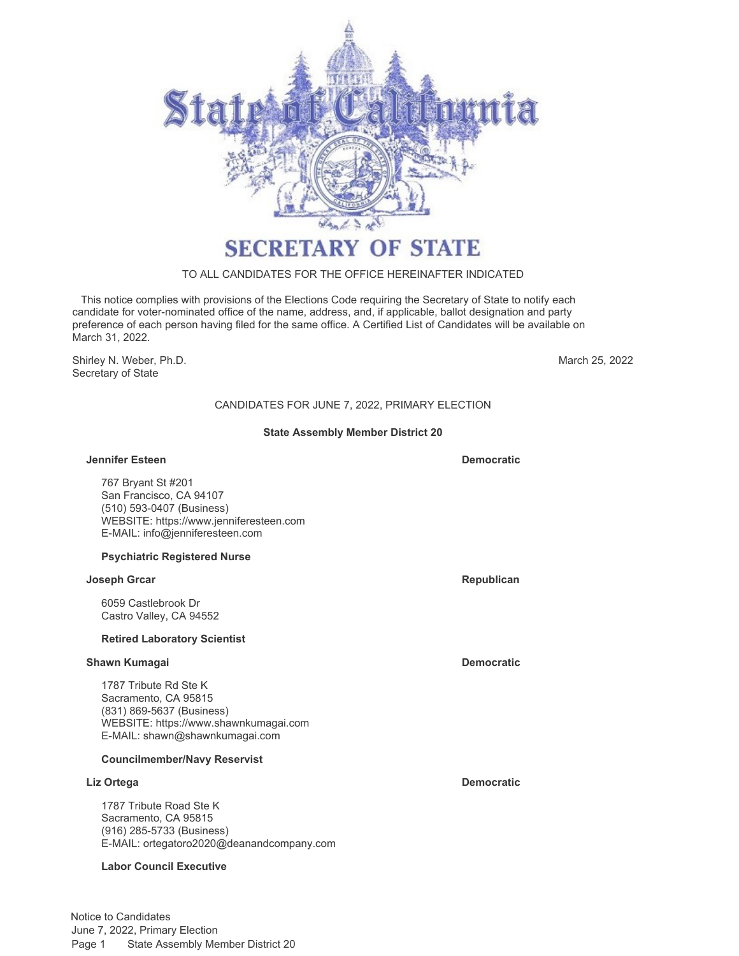

# TO ALL CANDIDATES FOR THE OFFICE HEREINAFTER INDICATED

 This notice complies with provisions of the Elections Code requiring the Secretary of State to notify each candidate for voter-nominated office of the name, address, and, if applicable, ballot designation and party preference of each person having filed for the same office. A Certified List of Candidates will be available on March 31, 2022.

Shirley N. Weber, Ph.D. Secretary of State

March 25, 2022

# CANDIDATES FOR JUNE 7, 2022, PRIMARY ELECTION

# **State Assembly Member District 20**

#### **Jennifer Esteen Democratic**

767 Bryant St #201 San Francisco, CA 94107 (510) 593-0407 (Business) WEBSITE:<https://www.jenniferesteen.com> E-MAIL: [info@jenniferesteen.com](mailto:info@jenniferesteen.com)

#### **Psychiatric Registered Nurse**

#### **Joseph Grcar Republican Republican Republican Republican Republican**

6059 Castlebrook Dr Castro Valley, CA 94552

#### **Retired Laboratory Scientist**

### **Shawn Kumagai Democratic Democratic Democratic**

1787 Tribute Rd Ste K Sacramento, CA 95815 (831) 869-5637 (Business) WEBSITE:<https://www.shawnkumagai.com> E-MAIL: [shawn@shawnkumagai.com](mailto:shawn@shawnkumagai.com)

# **Councilmember/Navy Reservist**

1787 Tribute Road Ste K Sacramento, CA 95815 (916) 285-5733 (Business) E-MAIL: [ortegatoro2020@deanandcompany.com](mailto:ortegatoro2020@deanandcompany.com)

# **Labor Council Executive**

**Liz Ortega Democratic**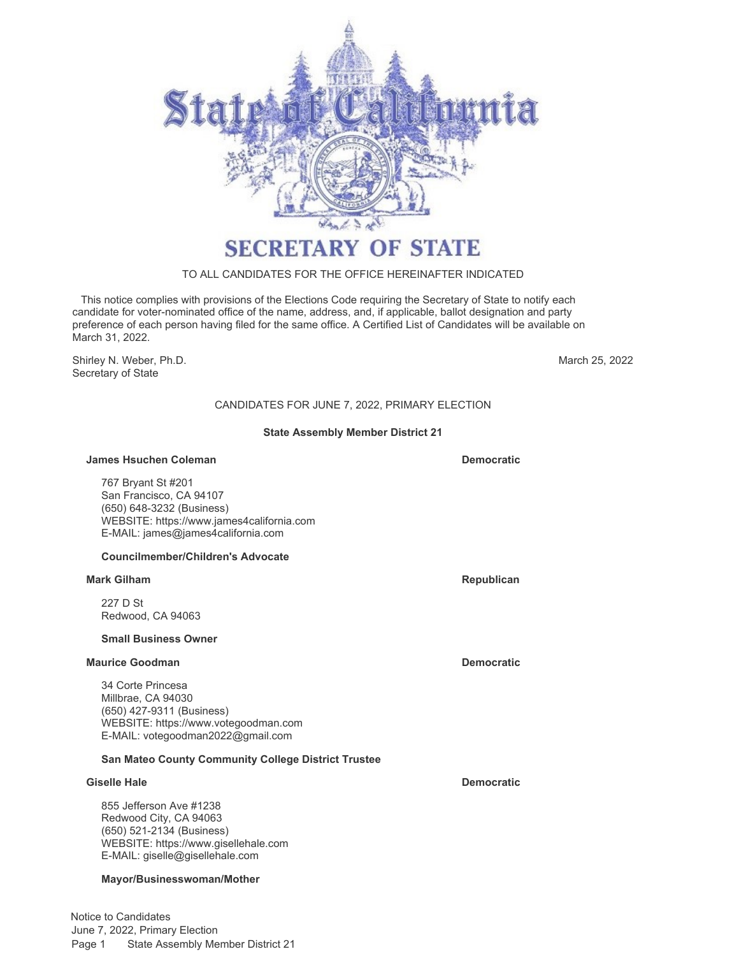

# TO ALL CANDIDATES FOR THE OFFICE HEREINAFTER INDICATED

 This notice complies with provisions of the Elections Code requiring the Secretary of State to notify each candidate for voter-nominated office of the name, address, and, if applicable, ballot designation and party preference of each person having filed for the same office. A Certified List of Candidates will be available on March 31, 2022.

Shirley N. Weber, Ph.D. **March 25, 2022** Secretary of State

# CANDIDATES FOR JUNE 7, 2022, PRIMARY ELECTION

# **State Assembly Member District 21**

#### **James Hsuchen Coleman Democratic Democratic**

767 Bryant St #201 San Francisco, CA 94107 (650) 648-3232 (Business) WEBSITE:<https://www.james4california.com> E-MAIL: [james@james4california.com](mailto:james@james4california.com)

# **Councilmember/Children's Advocate**

#### **Mark Gilham Republican Republican Republican Republican Republican**

227 D St Redwood, CA 94063

### **Small Business Owner**

### **Maurice Goodman Democratic**

34 Corte Princesa Millbrae, CA 94030 (650) 427-9311 (Business) WEBSITE:<https://www.votegoodman.com> E-MAIL: [votegoodman2022@gmail.com](mailto:votegoodman2022@gmail.com)

# **San Mateo County Community College District Trustee**

#### **Giselle Hale Democratic**

855 Jefferson Ave #1238 Redwood City, CA 94063 (650) 521-2134 (Business) WEBSITE:<https://www.gisellehale.com> E-MAIL: [giselle@gisellehale.com](mailto:giselle@gisellehale.com)

# **Mayor/Businesswoman/Mother**

Notice to Candidates June 7, 2022, Primary Election Page 1 State Assembly Member District 21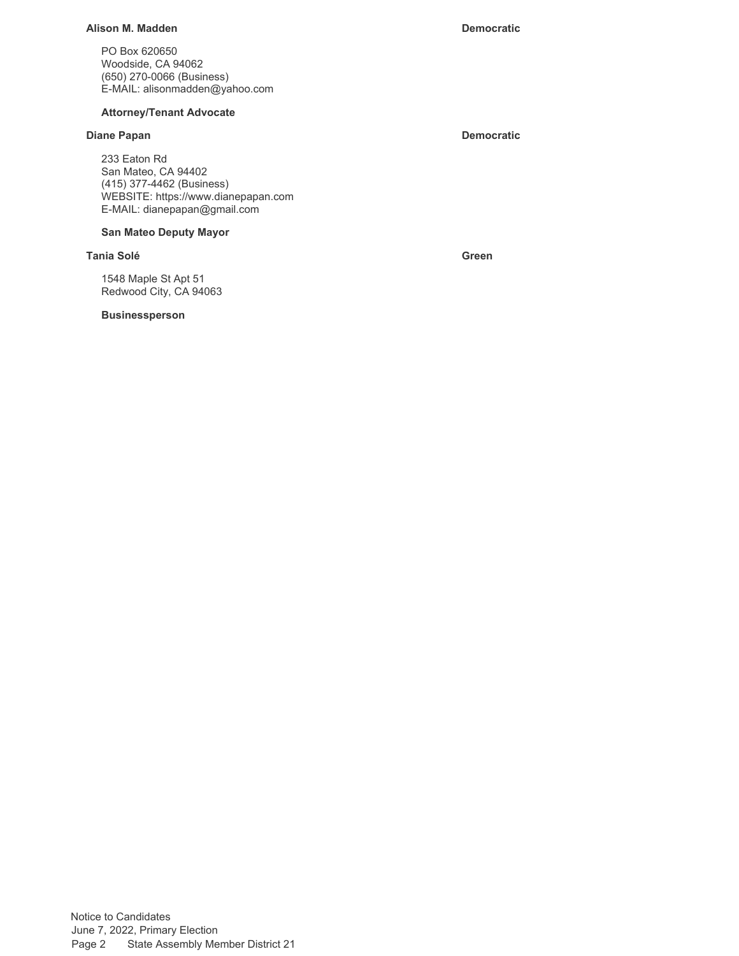# **Alison M. Madden Democratic**

PO Box 620650 Woodside, CA 94062 (650) 270-0066 (Business) E-MAIL: [alisonmadden@yahoo.com](mailto:alisonmadden@yahoo.com)

# **Attorney/Tenant Advocate**

# **Diane Papan Democratic**

233 Eaton Rd San Mateo, CA 94402 (415) 377-4462 (Business) WEBSITE:<https://www.dianepapan.com> E-MAIL: [dianepapan@gmail.com](mailto:dianepapan@gmail.com)

### **San Mateo Deputy Mayor**

### **Tania Solé Green**

1548 Maple St Apt 51 Redwood City, CA 94063

#### **Businessperson**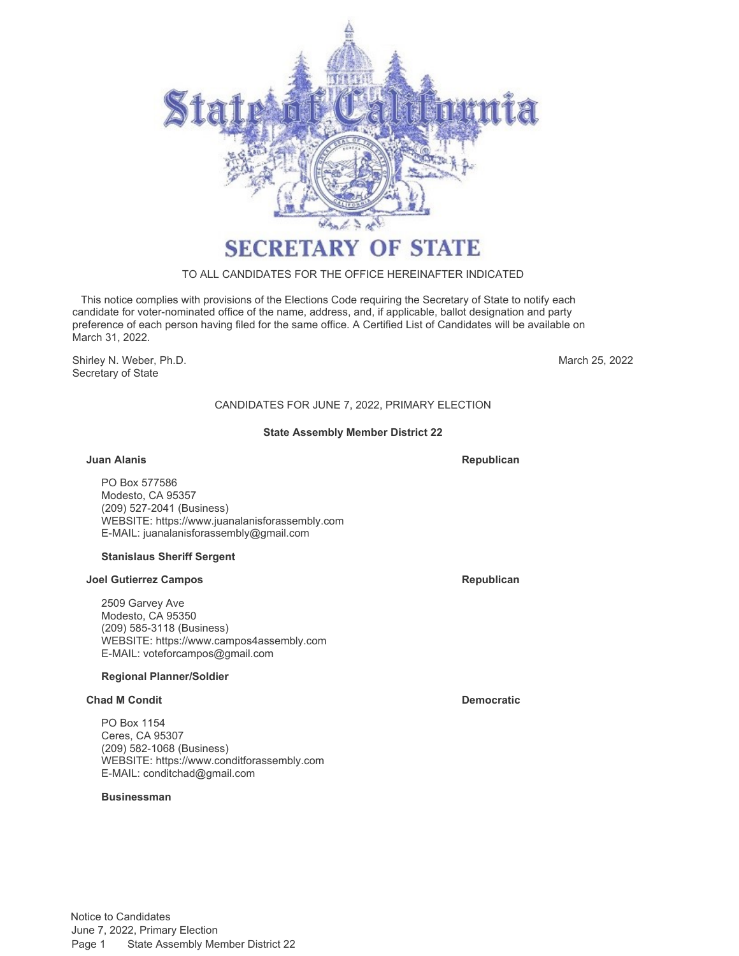

# TO ALL CANDIDATES FOR THE OFFICE HEREINAFTER INDICATED

 This notice complies with provisions of the Elections Code requiring the Secretary of State to notify each candidate for voter-nominated office of the name, address, and, if applicable, ballot designation and party preference of each person having filed for the same office. A Certified List of Candidates will be available on March 31, 2022.

Shirley N. Weber, Ph.D. Secretary of State

March 25, 2022

# CANDIDATES FOR JUNE 7, 2022, PRIMARY ELECTION

# **State Assembly Member District 22**

#### **Juan Alanis**

**Republican**

PO Box 577586 Modesto, CA 95357 (209) 527-2041 (Business) WEBSITE:<https://www.juanalanisforassembly.com> E-MAIL: [juanalanisforassembly@gmail.com](mailto:juanalanisforassembly@gmail.com)

# **Stanislaus Sheriff Sergent**

#### **Joel Gutierrez Campos Republican**

2509 Garvey Ave Modesto, CA 95350 (209) 585-3118 (Business) WEBSITE:<https://www.campos4assembly.com> E-MAIL: [voteforcampos@gmail.com](mailto:voteforcampos@gmail.com)

# **Regional Planner/Soldier**

# **Chad M Condit Democratic**

PO Box 1154 Ceres, CA 95307 (209) 582-1068 (Business) WEBSITE:<https://www.conditforassembly.com> E-MAIL: [conditchad@gmail.com](mailto:conditchad@gmail.com)

# **Businessman**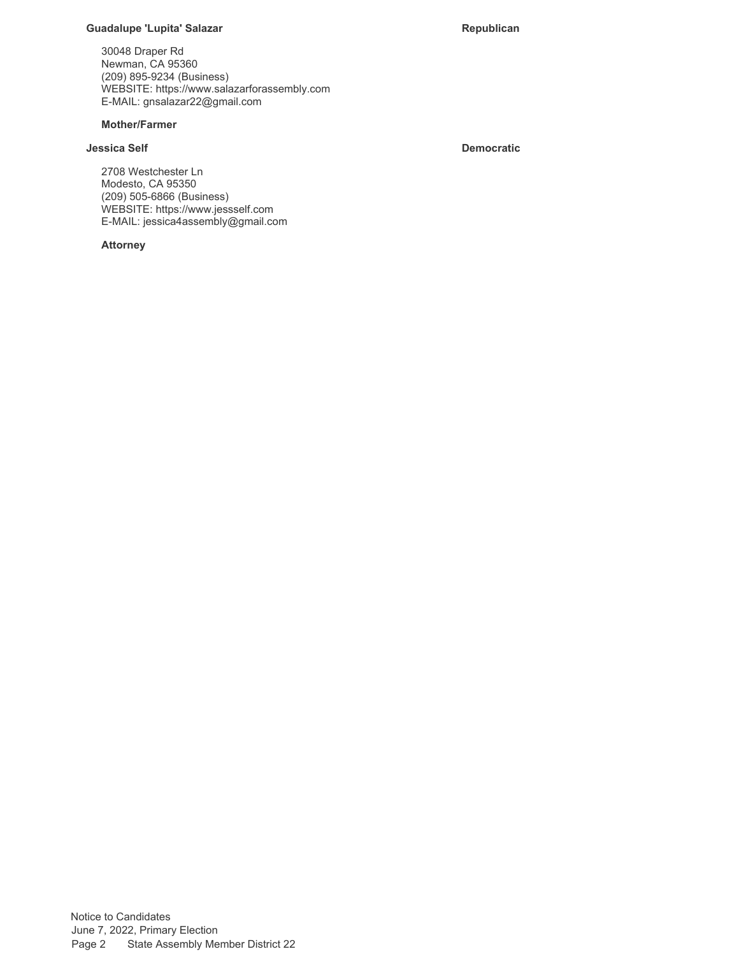### **Guadalupe 'Lupita' Salazar Republican Republican**

30048 Draper Rd Newman, CA 95360 (209) 895-9234 (Business) WEBSITE:<https://www.salazarforassembly.com> E-MAIL: [gnsalazar22@gmail.com](mailto:gnsalazar22@gmail.com)

# **Mother/Farmer**

# **Jessica Self Democratic**

2708 Westchester Ln Modesto, CA 95350 (209) 505-6866 (Business) WEBSITE:<https://www.jessself.com> E-MAIL: [jessica4assembly@gmail.com](mailto:jessica4assembly@gmail.com)

### **Attorney**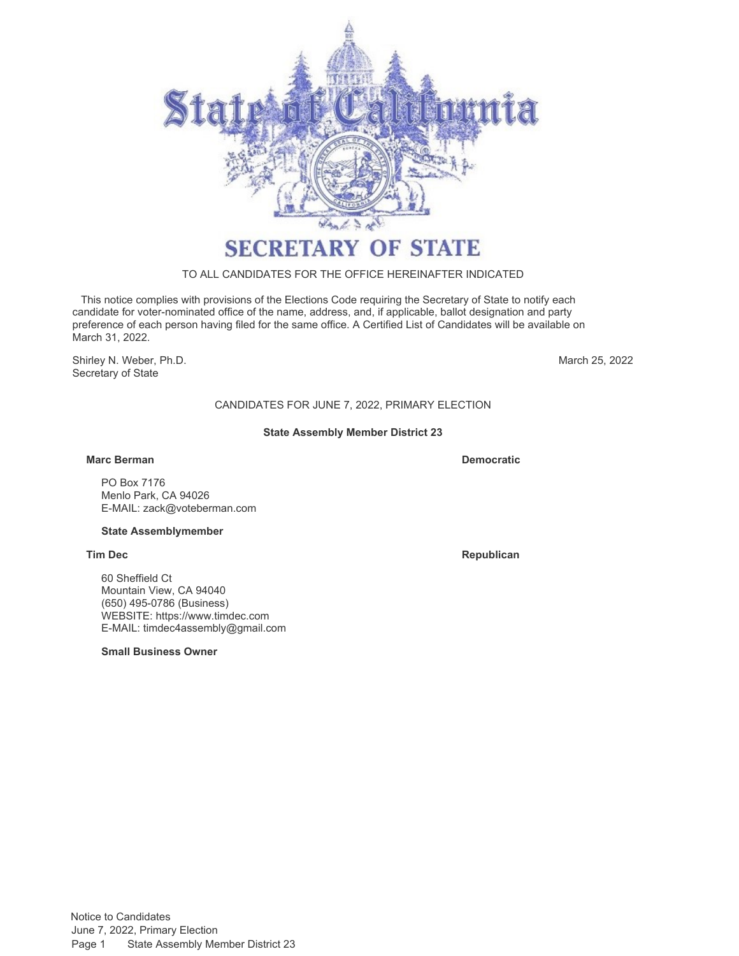

# TO ALL CANDIDATES FOR THE OFFICE HEREINAFTER INDICATED

 This notice complies with provisions of the Elections Code requiring the Secretary of State to notify each candidate for voter-nominated office of the name, address, and, if applicable, ballot designation and party preference of each person having filed for the same office. A Certified List of Candidates will be available on March 31, 2022.

Shirley N. Weber, Ph.D. Secretary of State

March 25, 2022

# CANDIDATES FOR JUNE 7, 2022, PRIMARY ELECTION

# **State Assembly Member District 23**

### **Marc Berman Democratic**

PO Box 7176 Menlo Park, CA 94026 E-MAIL: [zack@voteberman.com](mailto:zack@voteberman.com)

#### **State Assemblymember**

60 Sheffield Ct Mountain View, CA 94040 (650) 495-0786 (Business) WEBSITE:<https://www.timdec.com> E-MAIL: [timdec4assembly@gmail.com](mailto:timdec4assembly@gmail.com)

**Small Business Owner**

**Tim Dec Republican**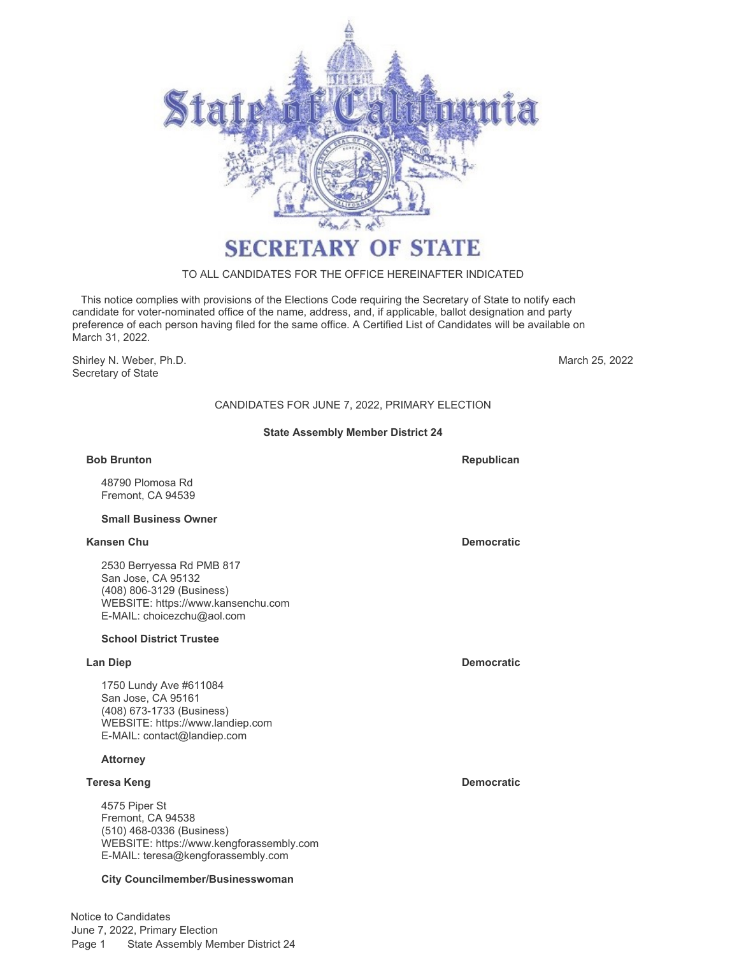

# TO ALL CANDIDATES FOR THE OFFICE HEREINAFTER INDICATED

 This notice complies with provisions of the Elections Code requiring the Secretary of State to notify each candidate for voter-nominated office of the name, address, and, if applicable, ballot designation and party preference of each person having filed for the same office. A Certified List of Candidates will be available on March 31, 2022.

Shirley N. Weber, Ph.D. Secretary of State

March 25, 2022

# CANDIDATES FOR JUNE 7, 2022, PRIMARY ELECTION

# **State Assembly Member District 24**

#### **Bob Brunton**

48790 Plomosa Rd Fremont, CA 94539

#### **Small Business Owner**

#### **Kansen Chu Democratic**

2530 Berryessa Rd PMB 817 San Jose, CA 95132 (408) 806-3129 (Business) WEBSITE:<https://www.kansenchu.com> E-MAIL: [choicezchu@aol.com](mailto:choicezchu@aol.com)

# **School District Trustee**

1750 Lundy Ave #611084 San Jose, CA 95161 (408) 673-1733 (Business) WEBSITE:<https://www.landiep.com> E-MAIL: [contact@landiep.com](mailto:contact@landiep.com)

# **Attorney**

### **Teresa Keng Democratic**

4575 Piper St Fremont, CA 94538 (510) 468-0336 (Business) WEBSITE:<https://www.kengforassembly.com> E-MAIL: [teresa@kengforassembly.com](mailto:teresa@kengforassembly.com)

# **City Councilmember/Businesswoman**

Notice to Candidates June 7, 2022, Primary Election Page 1 State Assembly Member District 24

**Republican**

**Lan Diep Democratic**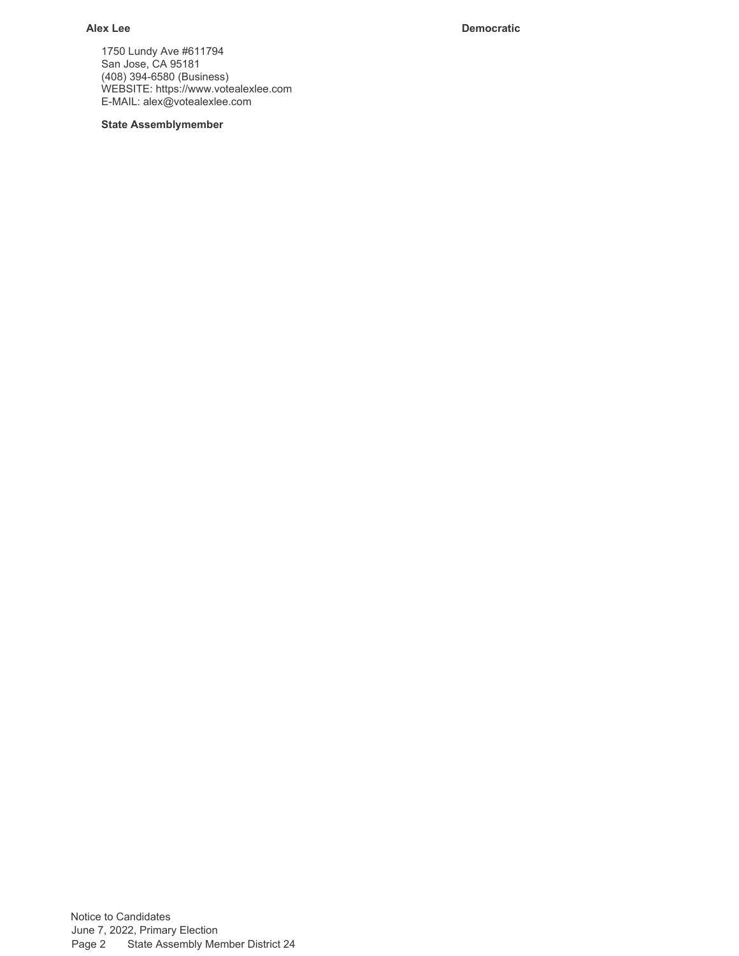**Alex Lee Democratic**

1750 Lundy Ave #611794 San Jose, CA 95181 (408) 394-6580 (Business) WEBSITE:<https://www.votealexlee.com> E-MAIL: [alex@votealexlee.com](mailto:alex@votealexlee.com)

# **State Assemblymember**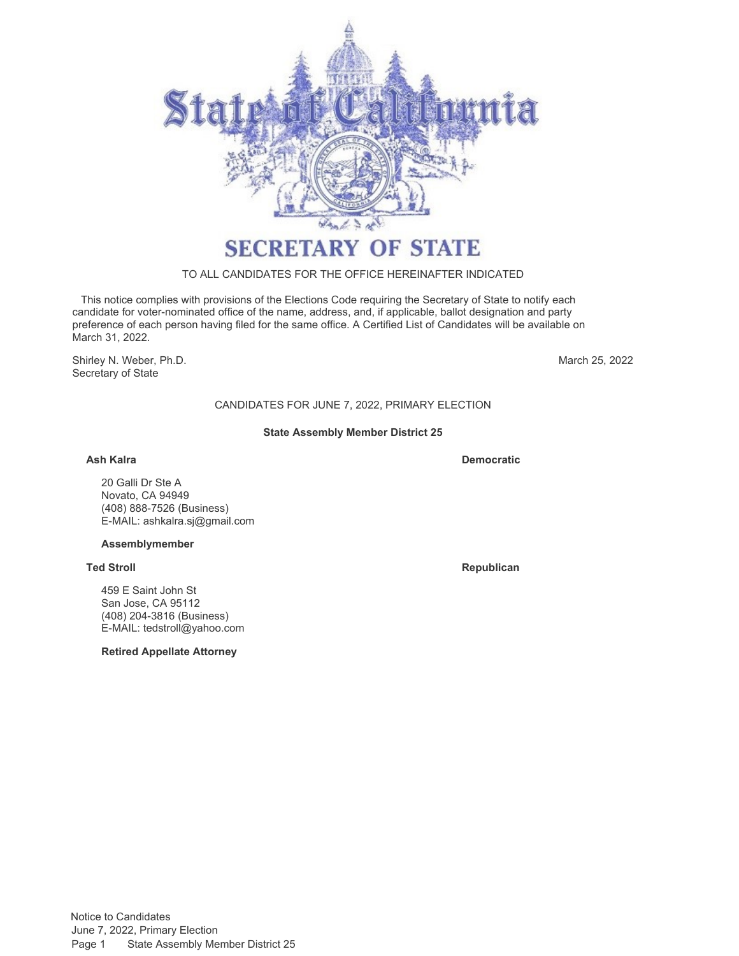

# TO ALL CANDIDATES FOR THE OFFICE HEREINAFTER INDICATED

 This notice complies with provisions of the Elections Code requiring the Secretary of State to notify each candidate for voter-nominated office of the name, address, and, if applicable, ballot designation and party preference of each person having filed for the same office. A Certified List of Candidates will be available on March 31, 2022.

Shirley N. Weber, Ph.D. Secretary of State

March 25, 2022

CANDIDATES FOR JUNE 7, 2022, PRIMARY ELECTION

# **State Assembly Member District 25**

**Ash Kalra Democratic**

20 Galli Dr Ste A Novato, CA 94949 (408) 888-7526 (Business) E-MAIL: [ashkalra.sj@gmail.com](mailto:ashkalra.sj@gmail.com)

# **Assemblymember**

459 E Saint John St San Jose, CA 95112 (408) 204-3816 (Business) E-MAIL: [tedstroll@yahoo.com](mailto:tedstroll@yahoo.com)

# **Retired Appellate Attorney**

**Ted Stroll Republican**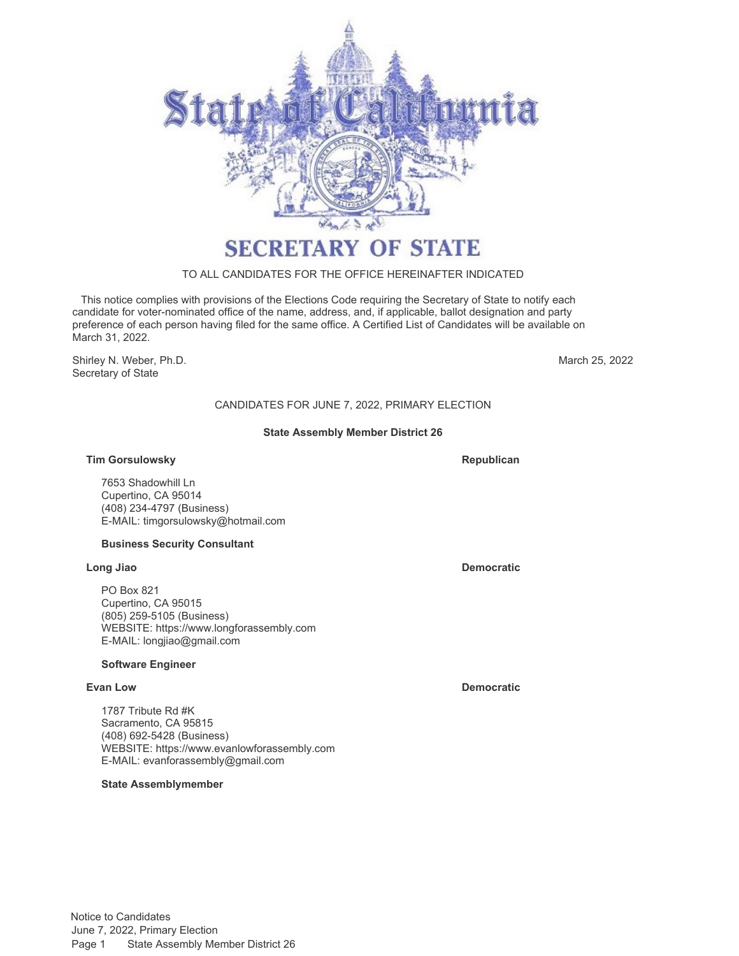

# TO ALL CANDIDATES FOR THE OFFICE HEREINAFTER INDICATED

 This notice complies with provisions of the Elections Code requiring the Secretary of State to notify each candidate for voter-nominated office of the name, address, and, if applicable, ballot designation and party preference of each person having filed for the same office. A Certified List of Candidates will be available on March 31, 2022.

Shirley N. Weber, Ph.D. Secretary of State

March 25, 2022

# CANDIDATES FOR JUNE 7, 2022, PRIMARY ELECTION

# **State Assembly Member District 26**

# **Tim Gorsulowsky**

7653 Shadowhill Ln Cupertino, CA 95014 (408) 234-4797 (Business) E-MAIL: [timgorsulowsky@hotmail.com](mailto:timgorsulowsky@hotmail.com)

#### **Business Security Consultant**

#### **Long Jiao Democratic**

PO Box 821 Cupertino, CA 95015 (805) 259-5105 (Business) WEBSITE:<https://www.longforassembly.com> E-MAIL: [longjiao@gmail.com](mailto:longjiao@gmail.com)

### **Software Engineer**

1787 Tribute Rd #K Sacramento, CA 95815 (408) 692-5428 (Business) WEBSITE:<https://www.evanlowforassembly.com> E-MAIL: [evanforassembly@gmail.com](mailto:evanforassembly@gmail.com)

### **State Assemblymember**

**Republican**

**Evan Low Democratic**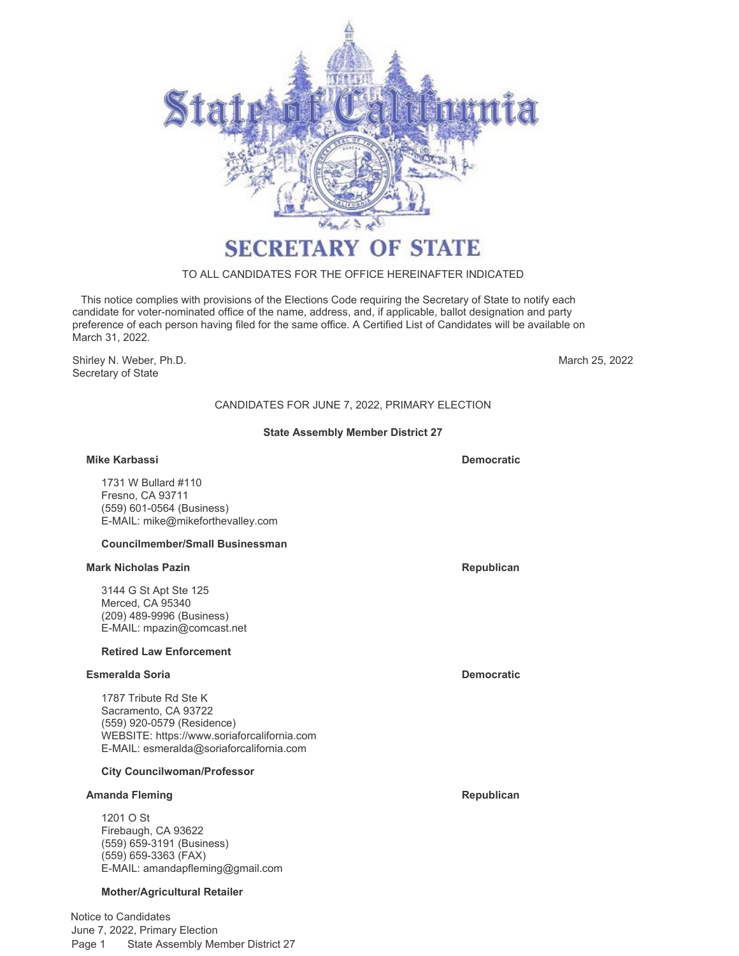

# TO ALL CANDIDATES FOR THE OFFICE HEREINAFTER INDICATED

 This notice complies with provisions of the Elections Code requiring the Secretary of State to notify each candidate for voter-nominated office of the name, address, and, if applicable, ballot designation and party preference of each person having filed for the same office. A Certified List of Candidates will be available on March 31, 2022.

Shirley N. Weber, Ph.D. Secretary of State

March 25, 2022

# CANDIDATES FOR JUNE 7, 2022, PRIMARY ELECTION

# **State Assembly Member District 27**

### **Mike Karbassi Democratic**

1731 W Bullard #110 Fresno, CA 93711 (559) 601-0564 (Business) E-MAIL: [mike@mikeforthevalley.com](mailto:mike@mikeforthevalley.com)

#### **Councilmember/Small Businessman**

#### **Mark Nicholas Pazin Republican Republican Republican Republican**

3144 G St Apt Ste 125 Merced, CA 95340 (209) 489-9996 (Business) E-MAIL: [mpazin@comcast.net](mailto:mpazin@comcast.net)

### **Retired Law Enforcement**

#### **Esmeralda Soria Democratic**

1787 Tribute Rd Ste K Sacramento, CA 93722 (559) 920-0579 (Residence) WEBSITE:<https://www.soriaforcalifornia.com> E-MAIL: [esmeralda@soriaforcalifornia.com](mailto:esmeralda@soriaforcalifornia.com)

#### **City Councilwoman/Professor**

#### **Amanda Fleming Republican**

1201 O St Firebaugh, CA 93622 (559) 659-3191 (Business) (559) 659-3363 (FAX) E-MAIL: [amandapfleming@gmail.com](mailto:amandapfleming@gmail.com)

#### **Mother/Agricultural Retailer**

Notice to Candidates June 7, 2022, Primary Election Page 1 State Assembly Member District 27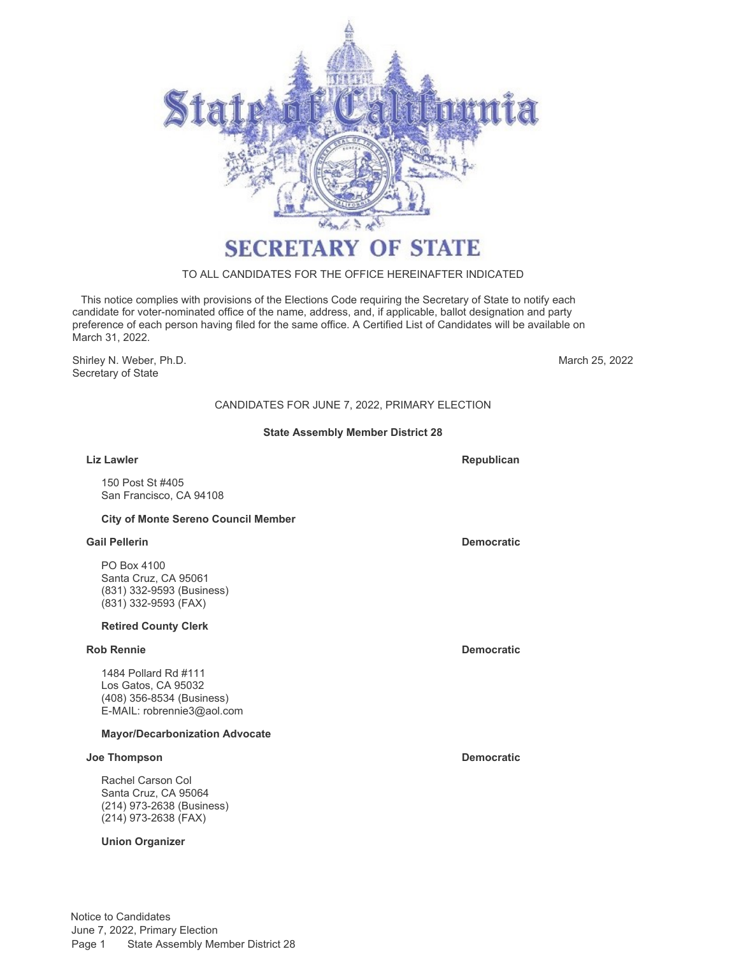

# TO ALL CANDIDATES FOR THE OFFICE HEREINAFTER INDICATED

 This notice complies with provisions of the Elections Code requiring the Secretary of State to notify each candidate for voter-nominated office of the name, address, and, if applicable, ballot designation and party preference of each person having filed for the same office. A Certified List of Candidates will be available on March 31, 2022.

Shirley N. Weber, Ph.D. Secretary of State

March 25, 2022

# CANDIDATES FOR JUNE 7, 2022, PRIMARY ELECTION

# **State Assembly Member District 28**

#### **Liz Lawler**

150 Post St #405 San Francisco, CA 94108

# **City of Monte Sereno Council Member**

#### **Gail Pellerin Democratic**

PO Box 4100 Santa Cruz, CA 95061 (831) 332-9593 (Business) (831) 332-9593 (FAX)

#### **Retired County Clerk**

### **Rob Rennie Democratic**

1484 Pollard Rd #111 Los Gatos, CA 95032 (408) 356-8534 (Business) E-MAIL: [robrennie3@aol.com](mailto:robrennie3@aol.com)

# **Mayor/Decarbonization Advocate**

### **Joe Thompson Democratic**

Rachel Carson Col Santa Cruz, CA 95064 (214) 973-2638 (Business) (214) 973-2638 (FAX)

# **Union Organizer**

**Republican**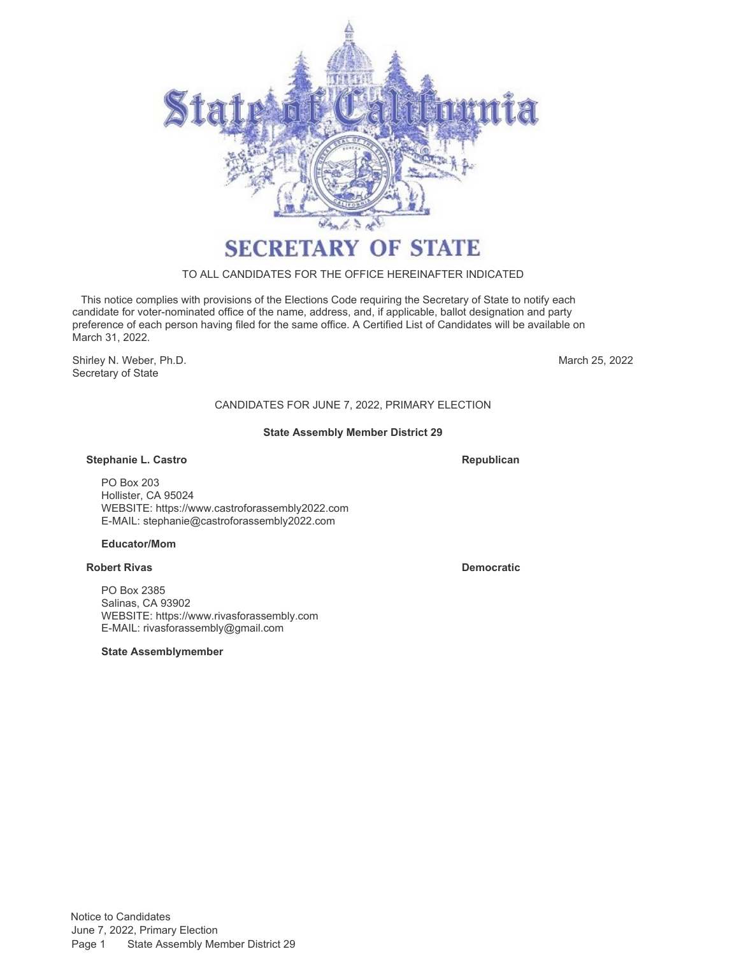

# TO ALL CANDIDATES FOR THE OFFICE HEREINAFTER INDICATED

 This notice complies with provisions of the Elections Code requiring the Secretary of State to notify each candidate for voter-nominated office of the name, address, and, if applicable, ballot designation and party preference of each person having filed for the same office. A Certified List of Candidates will be available on March 31, 2022.

Shirley N. Weber, Ph.D. Secretary of State

March 25, 2022

# CANDIDATES FOR JUNE 7, 2022, PRIMARY ELECTION

# **State Assembly Member District 29**

### **Stephanie L. Castro**

**Republican**

PO Box 203 Hollister, CA 95024 WEBSITE:<https://www.castroforassembly2022.com> E-MAIL: [stephanie@castroforassembly2022.com](mailto:stephanie@castroforassembly2022.com)

# **Educator/Mom**

# **Robert Rivas Democratic**

PO Box 2385 Salinas, CA 93902 WEBSITE:<https://www.rivasforassembly.com> E-MAIL: [rivasforassembly@gmail.com](mailto:rivasforassembly@gmail.com)

# **State Assemblymember**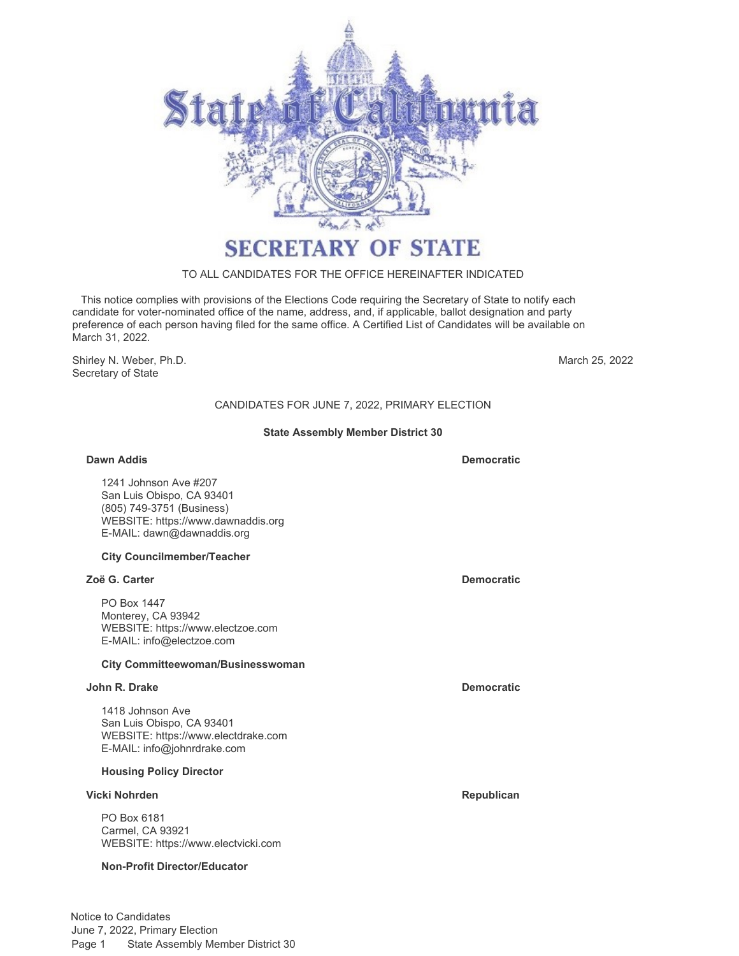

# TO ALL CANDIDATES FOR THE OFFICE HEREINAFTER INDICATED

 This notice complies with provisions of the Elections Code requiring the Secretary of State to notify each candidate for voter-nominated office of the name, address, and, if applicable, ballot designation and party preference of each person having filed for the same office. A Certified List of Candidates will be available on March 31, 2022.

Shirley N. Weber, Ph.D. Secretary of State

March 25, 2022

# CANDIDATES FOR JUNE 7, 2022, PRIMARY ELECTION

### **State Assembly Member District 30**

### **Dawn Addis Democratic**

1241 Johnson Ave #207 San Luis Obispo, CA 93401 (805) 749-3751 (Business) WEBSITE:<https://www.dawnaddis.org> E-MAIL: [dawn@dawnaddis.org](mailto:dawn@dawnaddis.org)

### **City Councilmember/Teacher**

### **Zoë G. Carter Democratic**

PO Box 1447 Monterey, CA 93942 WEBSITE:<https://www.electzoe.com> E-MAIL: [info@electzoe.com](mailto:info@electzoe.com)

# **City Committeewoman/Businesswoman**

### **John R. Drake Democratic**

1418 Johnson Ave San Luis Obispo, CA 93401 WEBSITE:<https://www.electdrake.com> E-MAIL: [info@johnrdrake.com](mailto:info@johnrdrake.com)

### **Housing Policy Director**

### **Vicki Nohrden Republican**

PO Box 6181 Carmel, CA 93921 WEBSITE:<https://www.electvicki.com>

### **Non-Profit Director/Educator**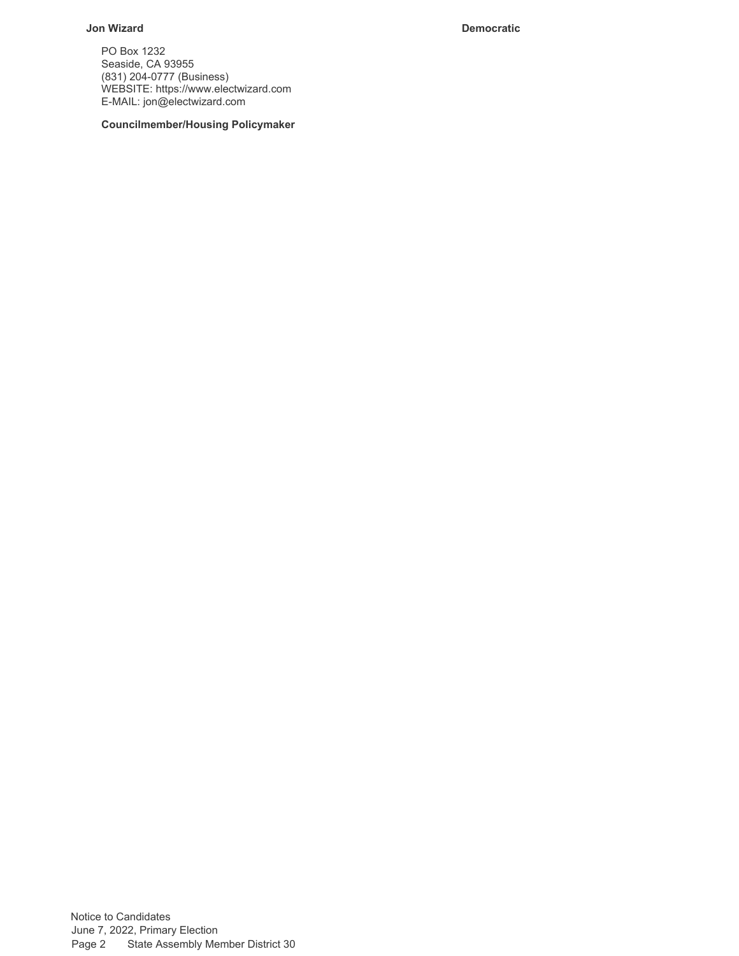# **Jon Wizard Democratic**

PO Box 1232 Seaside, CA 93955 (831) 204-0777 (Business) WEBSITE:<https://www.electwizard.com> E-MAIL: [jon@electwizard.com](mailto:jon@electwizard.com)

**Councilmember/Housing Policymaker**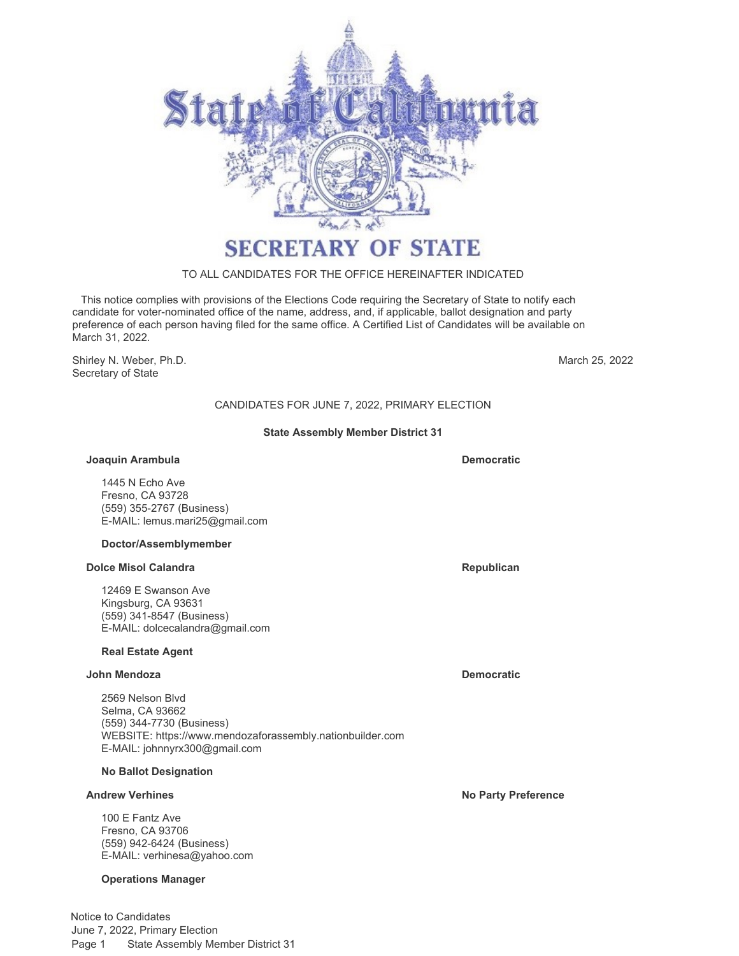

# TO ALL CANDIDATES FOR THE OFFICE HEREINAFTER INDICATED

 This notice complies with provisions of the Elections Code requiring the Secretary of State to notify each candidate for voter-nominated office of the name, address, and, if applicable, ballot designation and party preference of each person having filed for the same office. A Certified List of Candidates will be available on March 31, 2022.

Shirley N. Weber, Ph.D. Secretary of State

March 25, 2022

# CANDIDATES FOR JUNE 7, 2022, PRIMARY ELECTION

### **State Assembly Member District 31**

#### **Joaquin Arambula**

1445 N Echo Ave Fresno, CA 93728 (559) 355-2767 (Business) E-MAIL: [lemus.mari25@gmail.com](mailto:lemus.mari25@gmail.com)

### **Doctor/Assemblymember**

### **Dolce Misol Calandra Republican Republican Republican**

12469 E Swanson Ave Kingsburg, CA 93631 (559) 341-8547 (Business) E-MAIL: [dolcecalandra@gmail.com](mailto:dolcecalandra@gmail.com)

### **Real Estate Agent**

### **John Mendoza Democratic**

2569 Nelson Blvd Selma, CA 93662 (559) 344-7730 (Business) WEBSITE:<https://www.mendozaforassembly.nationbuilder.com> E-MAIL: [johnnyrx300@gmail.com](mailto:johnnyrx300@gmail.com)

### **No Ballot Designation**

100 E Fantz Ave Fresno, CA 93706 (559) 942-6424 (Business) E-MAIL: [verhinesa@yahoo.com](mailto:verhinesa@yahoo.com)

### **Operations Manager**

**Democratic**

**Andrew Verhines No Party Preference**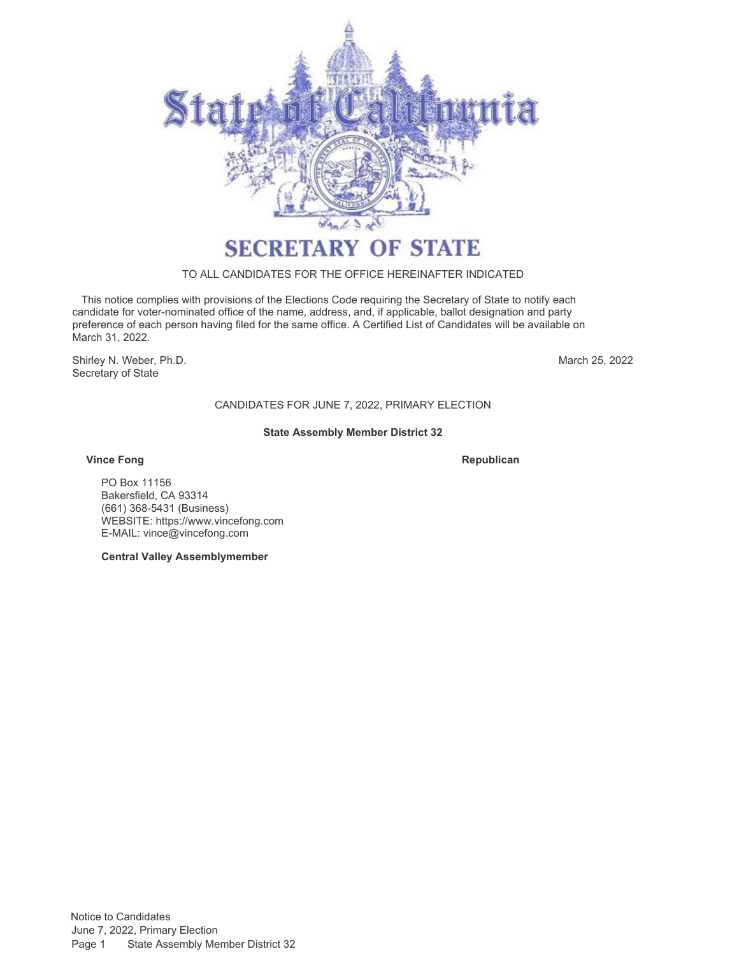

### TO ALL CANDIDATES FOR THE OFFICE HEREINAFTER INDICATED

 This notice complies with provisions of the Elections Code requiring the Secretary of State to notify each candidate for voter-nominated office of the name, address, and, if applicable, ballot designation and party preference of each person having filed for the same office. A Certified List of Candidates will be available on March 31, 2022.

Shirley N. Weber, Ph.D. Secretary of State

March 25, 2022

# CANDIDATES FOR JUNE 7, 2022, PRIMARY ELECTION

### **State Assembly Member District 32**

### **Vince Fong Republican**

PO Box 11156 Bakersfield, CA 93314 (661) 368-[5431 \(Business\)](https://www.shervin4congress.com) WEBSIT[E: https://www.vincefong.com](mailto:info@shervinforthevalley.com) E-MAIL: vince@vincefong.com

**Central Valley Assemblymember**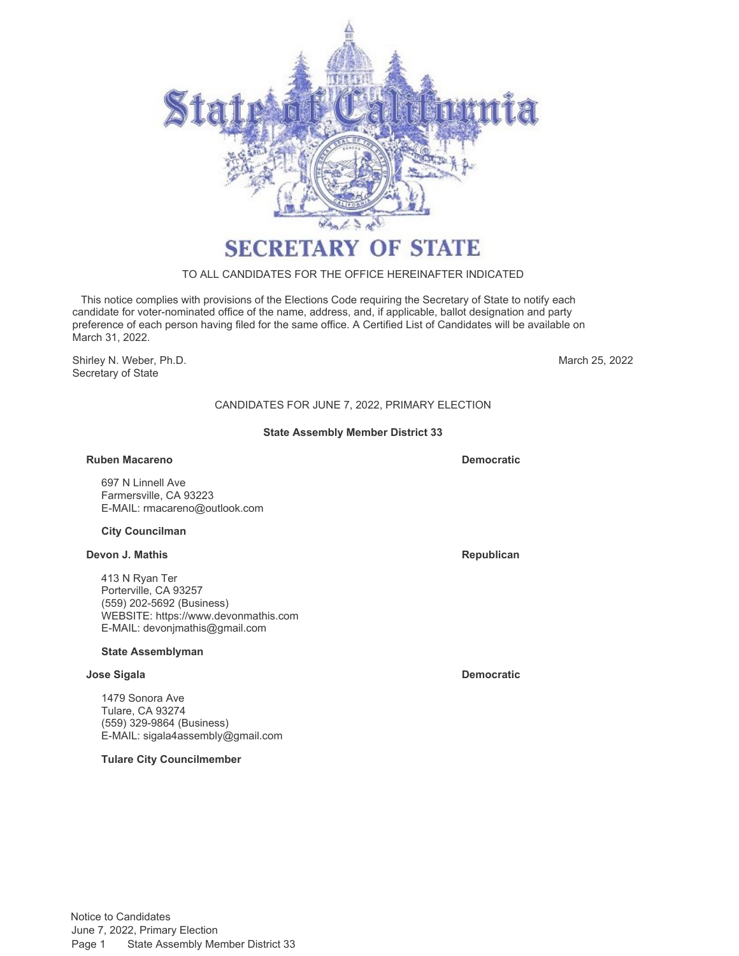

# TO ALL CANDIDATES FOR THE OFFICE HEREINAFTER INDICATED

 This notice complies with provisions of the Elections Code requiring the Secretary of State to notify each candidate for voter-nominated office of the name, address, and, if applicable, ballot designation and party preference of each person having filed for the same office. A Certified List of Candidates will be available on March 31, 2022.

Shirley N. Weber, Ph.D. Secretary of State

March 25, 2022

# CANDIDATES FOR JUNE 7, 2022, PRIMARY ELECTION

### **State Assembly Member District 33**

### **Ruben Macareno Democratic**

697 N Linnell Ave Farmersville, CA 93223 E-MAIL: [rmacareno@outlook.com](mailto:rmacareno@outlook.com)

### **City Councilman**

### **Devon J. Mathis Republican**

413 N Ryan Ter Porterville, CA 93257 (559) 202-5692 (Business) WEBSITE:<https://www.devonmathis.com> E-MAIL: [devonjmathis@gmail.com](mailto:devonjmathis@gmail.com)

### **State Assemblyman**

### **Jose Sigala Democratic**

1479 Sonora Ave Tulare, CA 93274 (559) 329-9864 (Business) E-MAIL: [sigala4assembly@gmail.com](mailto:sigala4assembly@gmail.com)

**Tulare City Councilmember**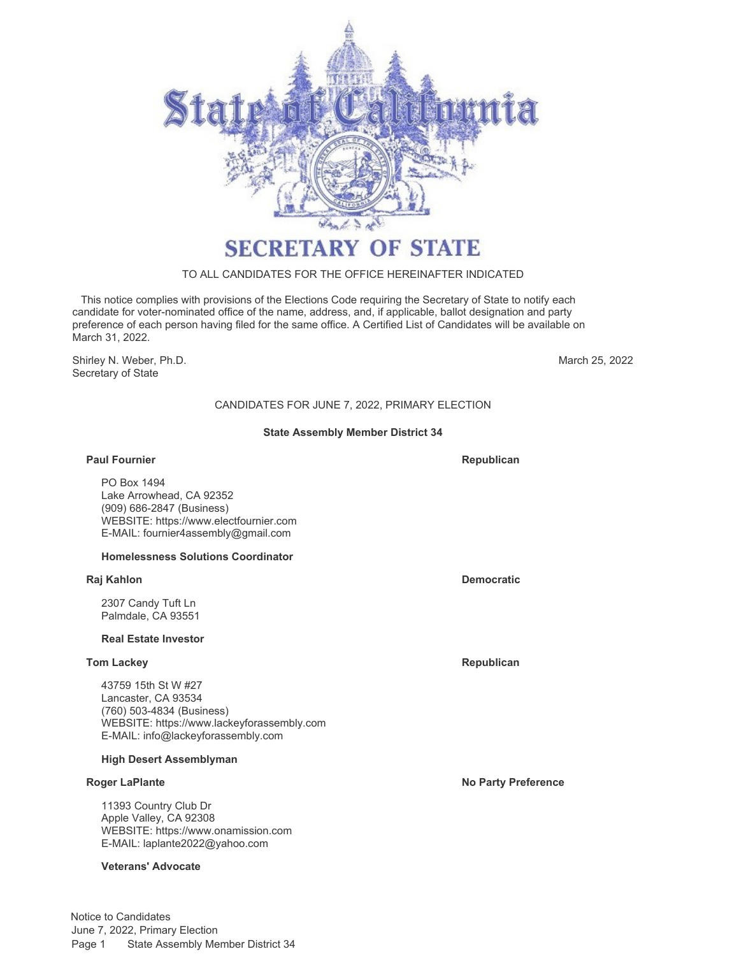

# TO ALL CANDIDATES FOR THE OFFICE HEREINAFTER INDICATED

 This notice complies with provisions of the Elections Code requiring the Secretary of State to notify each candidate for voter-nominated office of the name, address, and, if applicable, ballot designation and party preference of each person having filed for the same office. A Certified List of Candidates will be available on March 31, 2022.

Shirley N. Weber, Ph.D. Secretary of State

March 25, 2022

# CANDIDATES FOR JUNE 7, 2022, PRIMARY ELECTION

### **State Assembly Member District 34**

### **Paul Fournier**

PO Box 1494 Lake Arrowhead, CA 92352 (909) 686-2847 (Business) WEBSITE:<https://www.electfournier.com> E-MAIL: [fournier4assembly@gmail.com](mailto:fournier4assembly@gmail.com)

### **Homelessness Solutions Coordinator**

### **Raj Kahlon Democratic**

2307 Candy Tuft Ln Palmdale, CA 93551

### **Real Estate Investor**

### **Tom Lackey Republican**

43759 15th St W #27 Lancaster, CA 93534 (760) 503-4834 (Business) WEBSITE:<https://www.lackeyforassembly.com> E-MAIL: [info@lackeyforassembly.com](mailto:info@lackeyforassembly.com)

### **High Desert Assemblyman**

11393 Country Club Dr Apple Valley, CA 92308 WEBSITE:<https://www.onamission.com> E-MAIL: [laplante2022@yahoo.com](mailto:laplante2022@yahoo.com)

### **Veterans' Advocate**

**Republican**

**Roger LaPlante No Party Preference**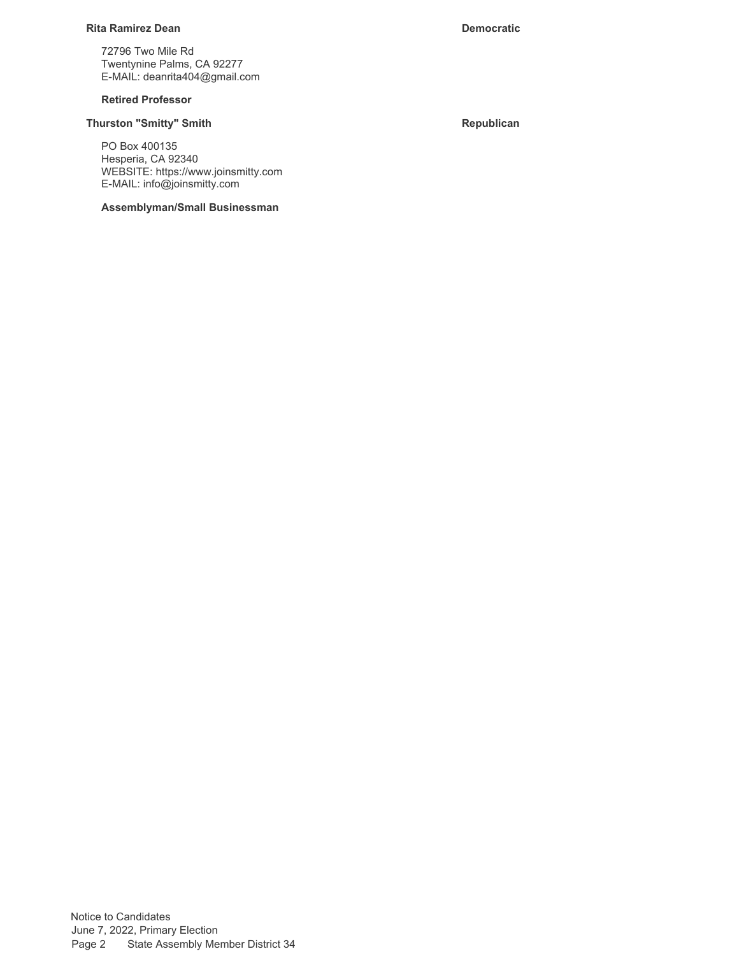### **Rita Ramirez Dean Democratic**

72796 Two Mile Rd Twentynine Palms, CA 92277 E-MAIL: deanrita404@gmail.com

### **Retired Professor**

# **Thurston "Smitty" Smith Republican**

PO Box 400135 Hesperia, CA 92340 WEBSITE: https://www.joinsmitty.com E-MAIL: info@joinsmitty.com

**Assemblyman/Small Businessman**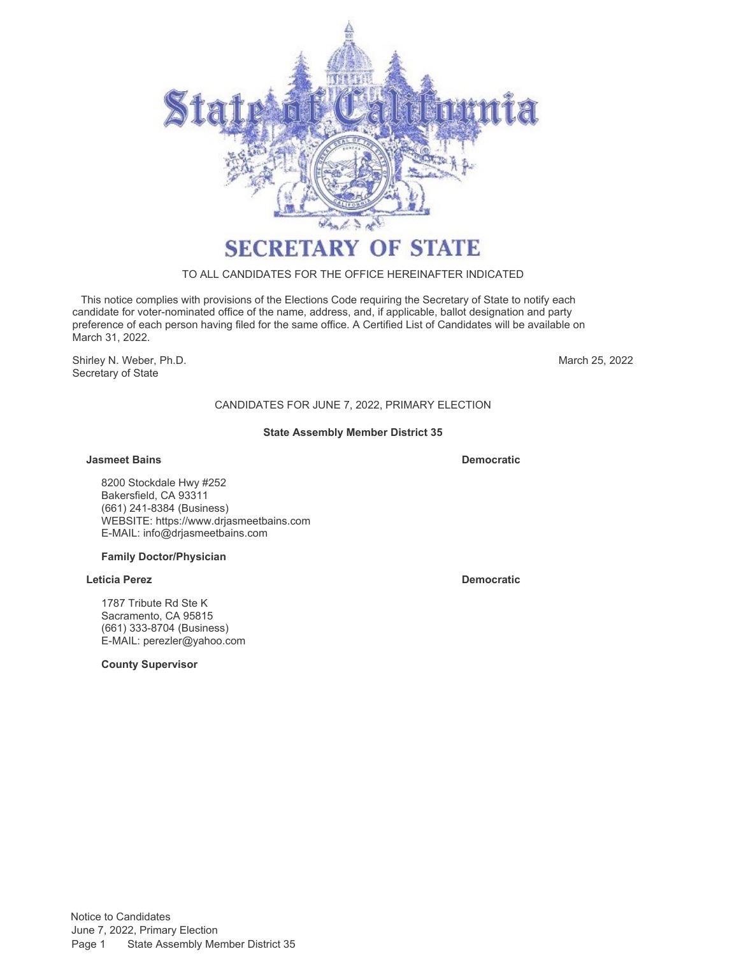

### TO ALL CANDIDATES FOR THE OFFICE HEREINAFTER INDICATED

 This notice complies with provisions of the Elections Code requiring the Secretary of State to notify each candidate for voter-nominated office of the name, address, and, if applicable, ballot designation and party preference of each person having filed for the same office. A Certified List of Candidates will be available on March 31, 2022.

Shirley N. Weber, Ph.D. Secretary of State

March 25, 2022

# CANDIDATES FOR JUNE 7, 2022, PRIMARY ELECTION

### **State Assembly Member District 35**

### **Jasmeet Bains Democratic**

8200 Stockdale Hwy #252 Bakersfield, CA 93311 (661) 241-8384 (Business) WEBSITE:<https://www.drjasmeetbains.com> E-MAIL: [info@drjasmeetbains.com](mailto:info@drjasmeetbains.com)

### **Family Doctor/Physician**

### **Leticia Perez Democratic**

1787 Tribute Rd Ste K Sacramento, CA 95815 (661) 333-8704 (Business) E-MAIL: [perezler@yahoo.com](mailto:perezler@yahoo.com)

**County Supervisor**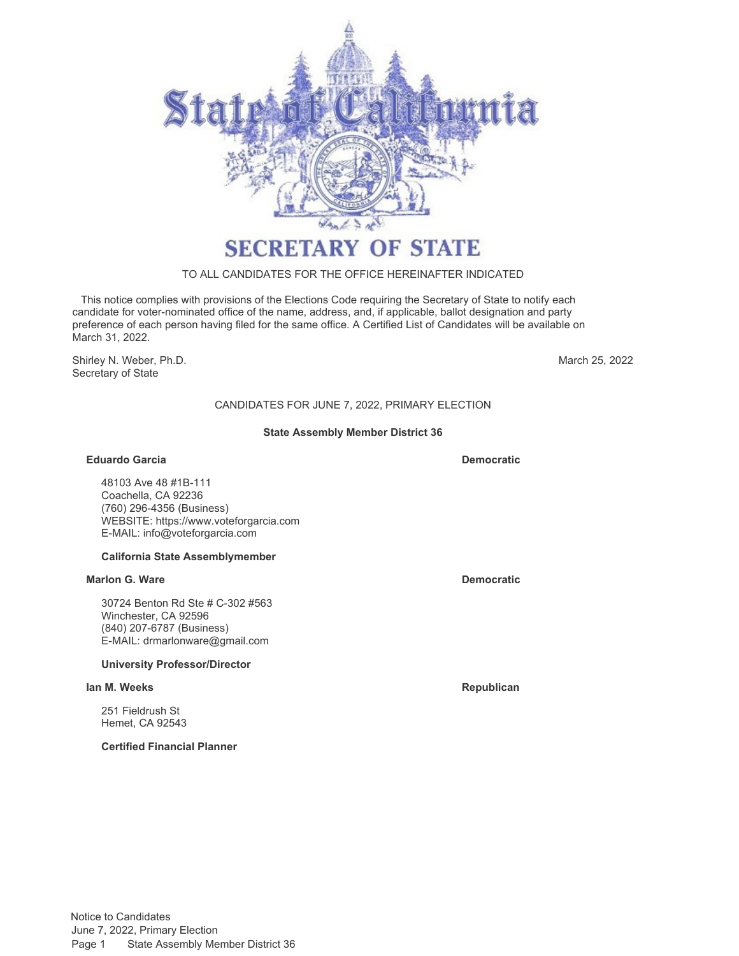

# TO ALL CANDIDATES FOR THE OFFICE HEREINAFTER INDICATED

 This notice complies with provisions of the Elections Code requiring the Secretary of State to notify each candidate for voter-nominated office of the name, address, and, if applicable, ballot designation and party preference of each person having filed for the same office. A Certified List of Candidates will be available on March 31, 2022.

Shirley N. Weber, Ph.D. Secretary of State

March 25, 2022

# CANDIDATES FOR JUNE 7, 2022, PRIMARY ELECTION

### **State Assembly Member District 36**

### **Eduardo Garcia Democratic**

48103 Ave 48 #1B-111 Coachella, CA 92236 (760) 296-4356 (Business) WEBSITE:<https://www.voteforgarcia.com> E-MAIL: [info@voteforgarcia.com](mailto:info@voteforgarcia.com)

### **California State Assemblymember**

### **Marlon G. Ware Democratic**

30724 Benton Rd Ste # C-302 #563 Winchester, CA 92596 (840) 207-6787 (Business) E-MAIL: [drmarlonware@gmail.com](mailto:drmarlonware@gmail.com)

# **University Professor/Director**

### **Ian M. Weeks Republican**

251 Fieldrush St Hemet, CA 92543

**Certified Financial Planner**

Notice to Candidates June 7, 2022, Primary Election Page 1 State Assembly Member District 36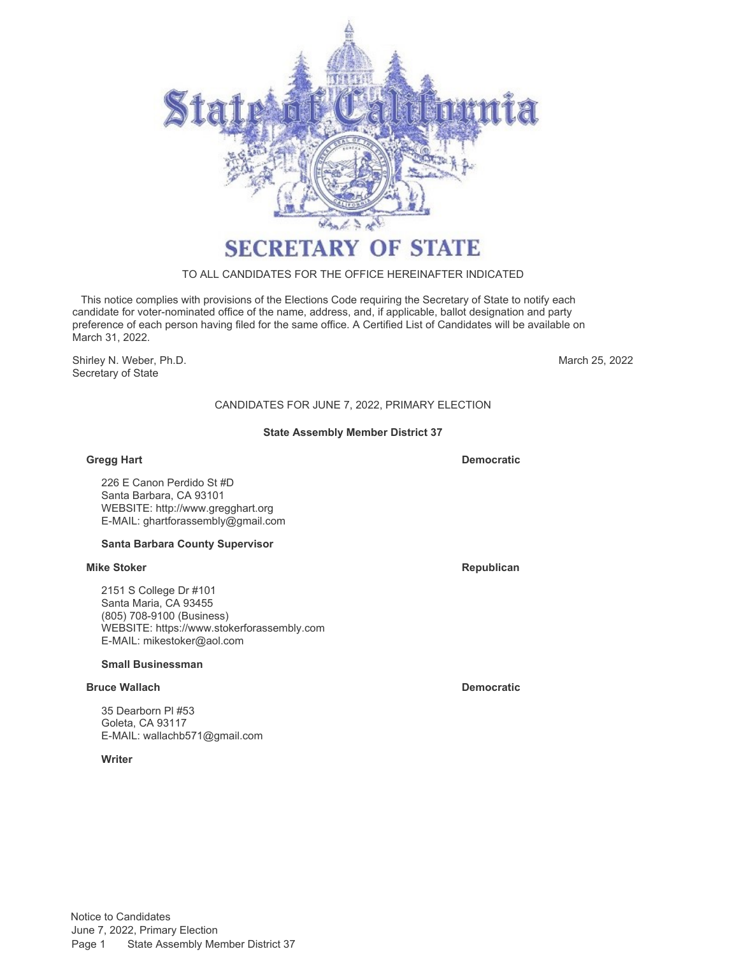

# TO ALL CANDIDATES FOR THE OFFICE HEREINAFTER INDICATED

 This notice complies with provisions of the Elections Code requiring the Secretary of State to notify each candidate for voter-nominated office of the name, address, and, if applicable, ballot designation and party preference of each person having filed for the same office. A Certified List of Candidates will be available on March 31, 2022.

Shirley N. Weber, Ph.D. Secretary of State

March 25, 2022

# CANDIDATES FOR JUNE 7, 2022, PRIMARY ELECTION

### **State Assembly Member District 37**

### **Gregg Hart Democratic**

226 E Canon Perdido St #D Santa Barbara, CA 93101 WEBSITE:<http://www.gregghart.org> E-MAIL: [ghartforassembly@gmail.com](mailto:ghartforassembly@gmail.com)

# **Santa Barbara County Supervisor**

# **Mike Stoker Republican**

2151 S College Dr #101 Santa Maria, CA 93455 (805) 708-9100 (Business) WEBSITE:<https://www.stokerforassembly.com> E-MAIL: [mikestoker@aol.com](mailto:mikestoker@aol.com)

# **Small Businessman**

# **Bruce Wallach Democratic**

35 Dearborn Pl #53 Goleta, CA 93117 E-MAIL: [wallachb571@gmail.com](mailto:wallachb571@gmail.com)

# **Writer**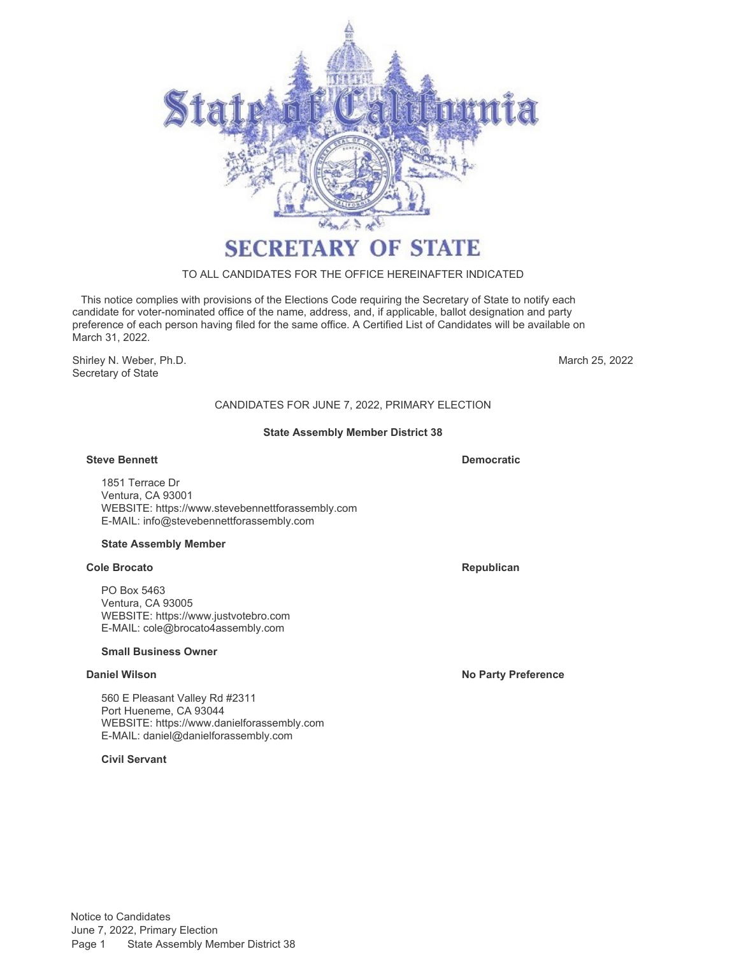

# TO ALL CANDIDATES FOR THE OFFICE HEREINAFTER INDICATED

 This notice complies with provisions of the Elections Code requiring the Secretary of State to notify each candidate for voter-nominated office of the name, address, and, if applicable, ballot designation and party preference of each person having filed for the same office. A Certified List of Candidates will be available on March 31, 2022.

Shirley N. Weber, Ph.D. Secretary of State

March 25, 2022

# CANDIDATES FOR JUNE 7, 2022, PRIMARY ELECTION

### **State Assembly Member District 38**

### **Steve Bennett Democratic**

1851 Terrace Dr Ventura, CA 93001 WEBSITE:<https://www.stevebennettforassembly.com> E-MAIL: [info@stevebennettforassembly.com](mailto:info@stevebennettforassembly.com)

### **State Assembly Member**

### **Cole Brocato Republican Republican Republican Republican Republican**

PO Box 5463 Ventura, CA 93005 WEBSITE:<https://www.justvotebro.com> E-MAIL: [cole@brocato4assembly.com](mailto:cole@brocato4assembly.com)

### **Small Business Owner**

560 E Pleasant Valley Rd #2311 Port Hueneme, CA 93044 WEBSITE:<https://www.danielforassembly.com> E-MAIL: [daniel@danielforassembly.com](mailto:daniel@danielforassembly.com)

**Civil Servant**

**Daniel Wilson No Party Preference**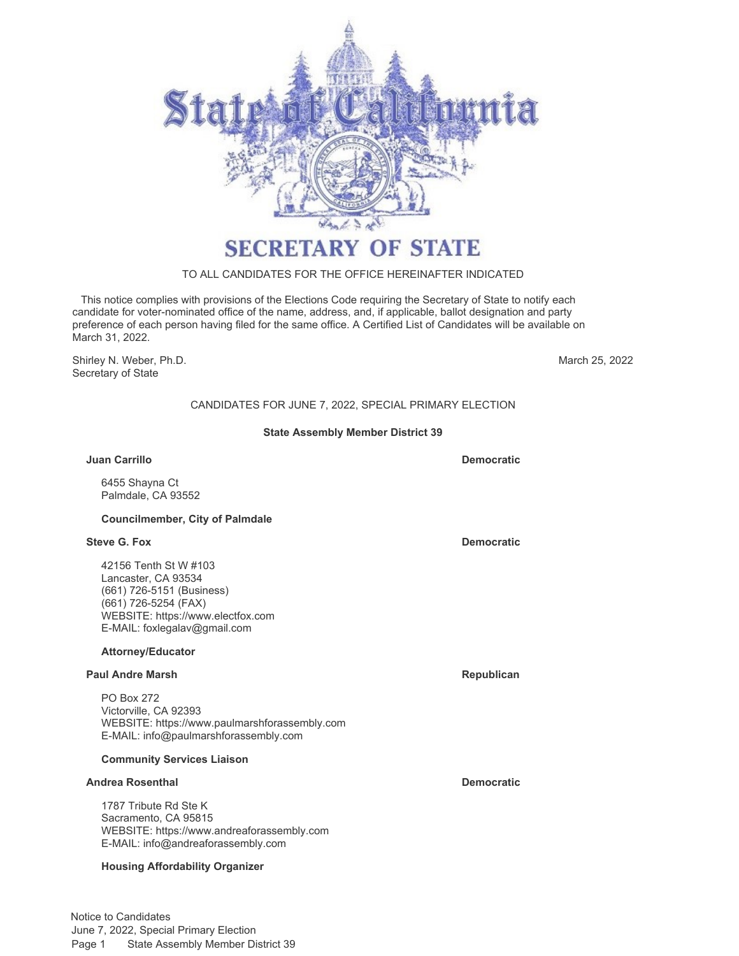

# TO ALL CANDIDATES FOR THE OFFICE HEREINAFTER INDICATED

 This notice complies with provisions of the Elections Code requiring the Secretary of State to notify each candidate for voter-nominated office of the name, address, and, if applicable, ballot designation and party preference of each person having filed for the same office. A Certified List of Candidates will be available on March 31, 2022.

Shirley N. Weber, Ph.D. **March 25, 2022** Secretary of State

CANDIDATES FOR JUNE 7, 2022, SPECIAL PRIMARY ELECTION

### **State Assembly Member District 39**

### **Juan Carrillo Democratic**

6455 Shayna Ct Palmdale, CA 93552

### **Councilmember, City of Palmdale**

### **Steve G. Fox Democratic**

42156 Tenth St W #103 Lancaster, CA 93534 (661) 726-5151 (Business) (661) 726-5254 (FAX) WEBSITE:<https://www.electfox.com> E-MAIL: [foxlegalav@gmail.com](mailto:foxlegalav@gmail.com)

# **Attorney/Educator**

### **Paul Andre Marsh Republican Republican Republican Republican**

PO Box 272 Victorville, CA 92393 WEBSITE:<https://www.paulmarshforassembly.com> E-MAIL: [info@paulmarshforassembly.com](mailto:info@paulmarshforassembly.com)

### **Community Services Liaison**

### **Andrea Rosenthal Democratic**

1787 Tribute Rd Ste K Sacramento, CA 95815 WEBSITE:<https://www.andreaforassembly.com> E-MAIL: [info@andreaforassembly.com](mailto:info@andreaforassembly.com)

### **Housing Affordability Organizer**

Notice to Candidates June 7, 2022, Special Primary Election Page 1 State Assembly Member District 39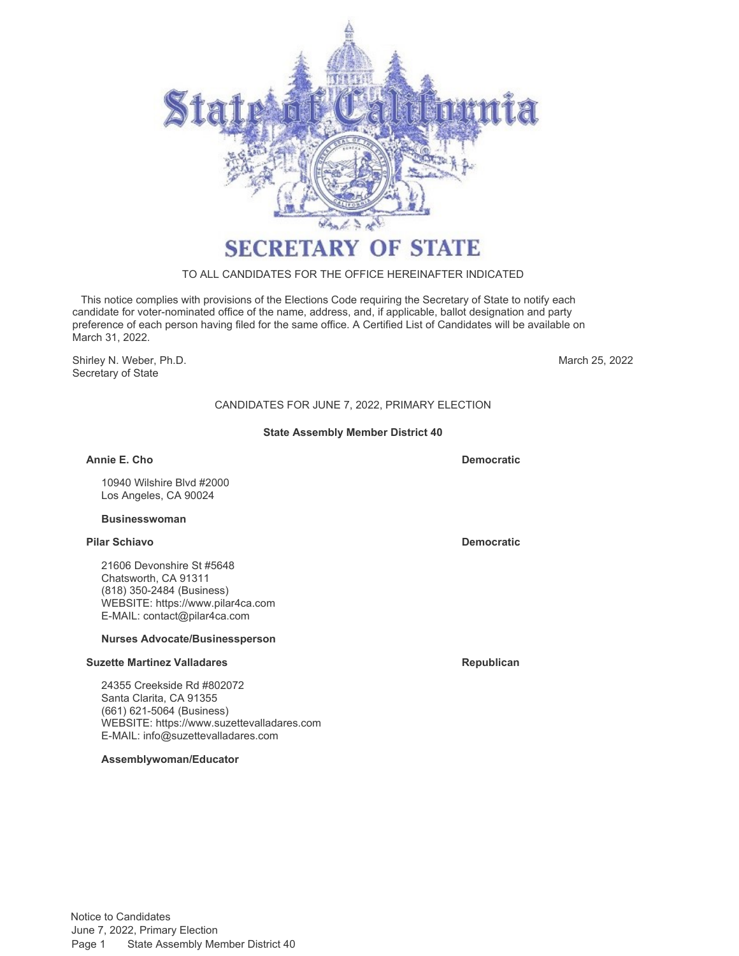

# TO ALL CANDIDATES FOR THE OFFICE HEREINAFTER INDICATED

 This notice complies with provisions of the Elections Code requiring the Secretary of State to notify each candidate for voter-nominated office of the name, address, and, if applicable, ballot designation and party preference of each person having filed for the same office. A Certified List of Candidates will be available on March 31, 2022.

Shirley N. Weber, Ph.D. Secretary of State

March 25, 2022

# CANDIDATES FOR JUNE 7, 2022, PRIMARY ELECTION

### **State Assembly Member District 40**

**Annie E. Cho Democratic**

10940 Wilshire Blvd #2000 Los Angeles, CA 90024

### **Businesswoman**

### **Pilar Schiavo Democratic**

21606 Devonshire St #5648 Chatsworth, CA 91311 (818) 350-2484 (Business) WEBSITE:<https://www.pilar4ca.com> E-MAIL: [contact@pilar4ca.com](mailto:contact@pilar4ca.com)

### **Nurses Advocate/Businessperson**

### **Suzette Martinez Valladares Republican Republican**

24355 Creekside Rd #802072 Santa Clarita, CA 91355 (661) 621-5064 (Business) WEBSITE:<https://www.suzettevalladares.com> E-MAIL: [info@suzettevalladares.com](mailto:info@suzettevalladares.com)

**Assemblywoman/Educator**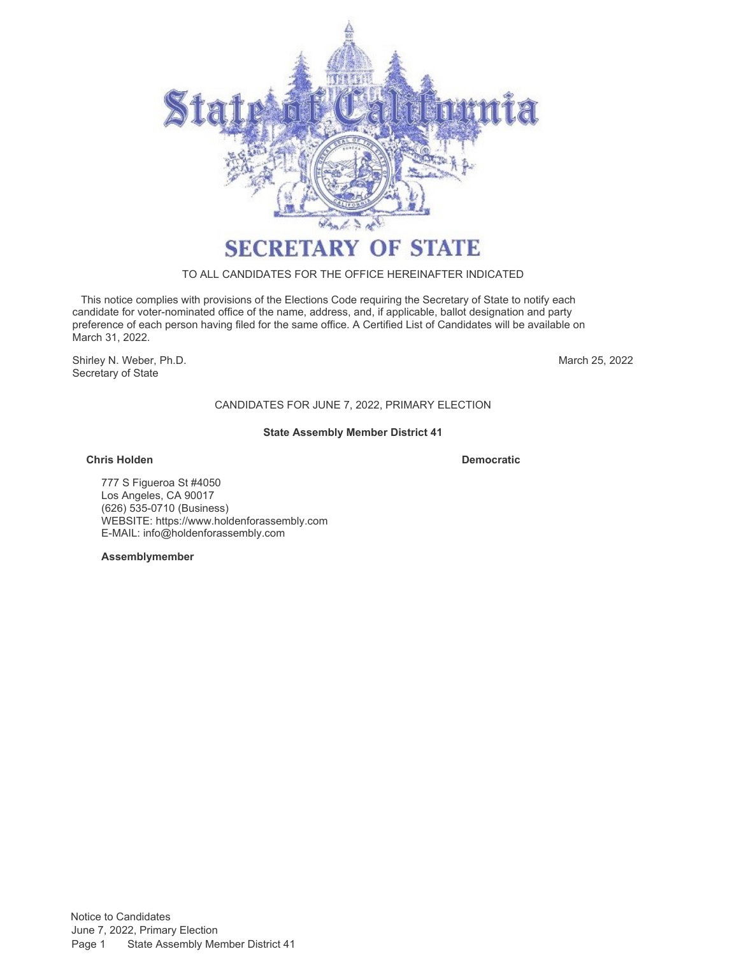

### TO ALL CANDIDATES FOR THE OFFICE HEREINAFTER INDICATED

 This notice complies with provisions of the Elections Code requiring the Secretary of State to notify each candidate for voter-nominated office of the name, address, and, if applicable, ballot designation and party preference of each person having filed for the same office. A Certified List of Candidates will be available on March 31, 2022.

Shirley N. Weber, Ph.D. Secretary of State

March 25, 2022

# CANDIDATES FOR JUNE 7, 2022, PRIMARY ELECTION

### **State Assembly Member District 41**

### **Chris Holden Democratic**

777 S Figueroa St #4050 Los Angeles, CA 90017 (626) 535-0710 (Business) WEBSITE:<https://www.holdenforassembly.com> E-MAIL: [info@holdenforassembly.com](mailto:info@holdenforassembly.com)

**Assemblymember**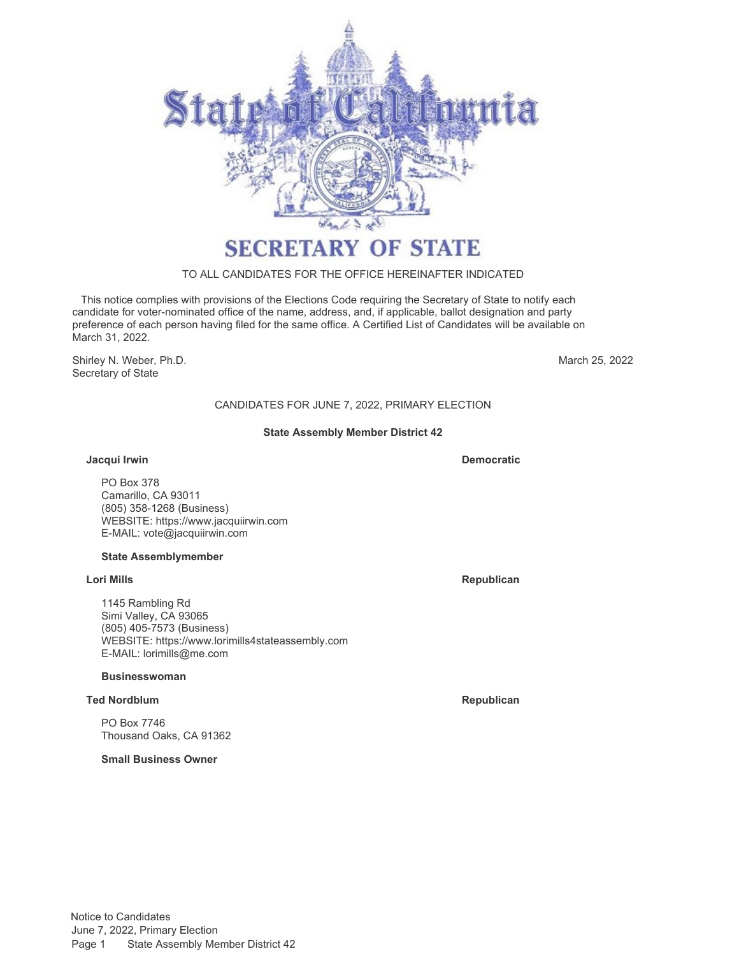

### TO ALL CANDIDATES FOR THE OFFICE HEREINAFTER INDICATED

 This notice complies with provisions of the Elections Code requiring the Secretary of State to notify each candidate for voter-nominated office of the name, address, and, if applicable, ballot designation and party preference of each person having filed for the same office. A Certified List of Candidates will be available on March 31, 2022.

Shirley N. Weber, Ph.D. Secretary of State

March 25, 2022

# CANDIDATES FOR JUNE 7, 2022, PRIMARY ELECTION

### **State Assembly Member District 42**

### **Jacqui Irwin**

**Democratic**

PO Box 378 Camarillo, CA 93011 (805) 358-1268 (Business) WEBSITE:<https://www.jacquiirwin.com> E-MAIL: [vote@jacquiirwin.com](mailto:vote@jacquiirwin.com)

# **State Assemblymember**

# **Lori Mills Republican**

1145 Rambling Rd Simi Valley, CA 93065 (805) 405-7573 (Business) WEBSITE:<https://www.lorimills4stateassembly.com> E-MAIL: [lorimills@me.com](mailto:lorimills@me.com)

# **Businesswoman**

# **Ted Nordblum Republican**

PO Box 7746 Thousand Oaks, CA 91362

**Small Business Owner**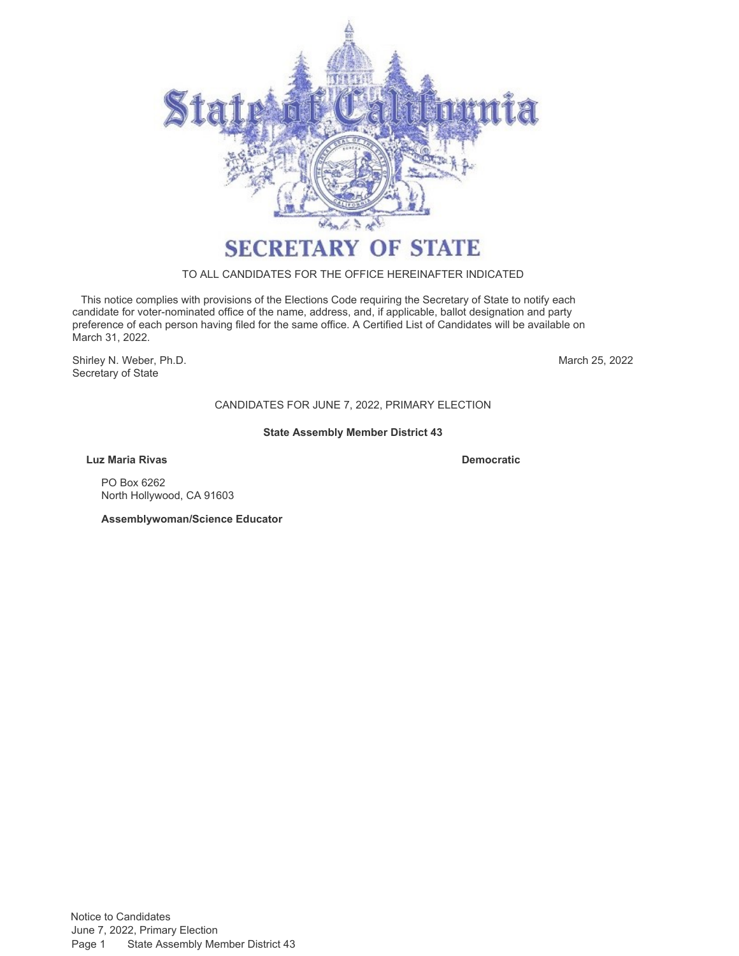

# TO ALL CANDIDATES FOR THE OFFICE HEREINAFTER INDICATED

 This notice complies with provisions of the Elections Code requiring the Secretary of State to notify each candidate for voter-nominated office of the name, address, and, if applicable, ballot designation and party preference of each person having filed for the same office. A Certified List of Candidates will be available on March 31, 2022.

Shirley N. Weber, Ph.D. Secretary of State

March 25, 2022

# CANDIDATES FOR JUNE 7, 2022, PRIMARY ELECTION

### **State Assembly Member District 43**

**Luz Maria Rivas Democratic**

PO Box 6262 North Hollywood, CA 91603

**Assemblywoman/Science Educator**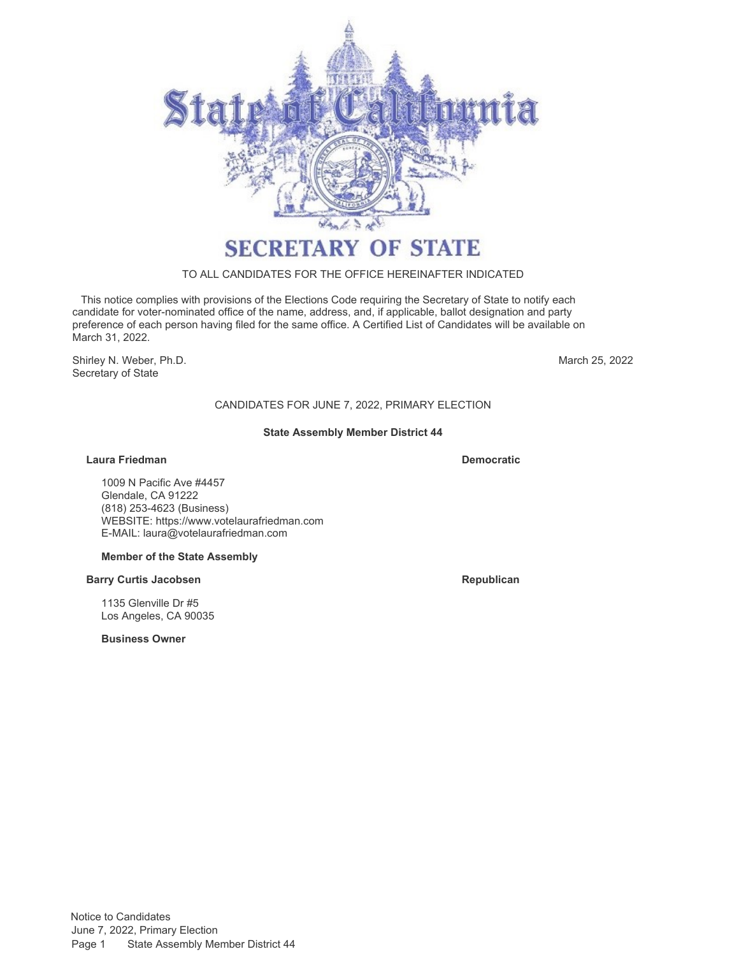

### TO ALL CANDIDATES FOR THE OFFICE HEREINAFTER INDICATED

 This notice complies with provisions of the Elections Code requiring the Secretary of State to notify each candidate for voter-nominated office of the name, address, and, if applicable, ballot designation and party preference of each person having filed for the same office. A Certified List of Candidates will be available on March 31, 2022.

Shirley N. Weber, Ph.D. Secretary of State

March 25, 2022

# CANDIDATES FOR JUNE 7, 2022, PRIMARY ELECTION

### **State Assembly Member District 44**

### **Laura Friedman Democratic**

1009 N Pacific Ave #4457 Glendale, CA 91222 (818) 253-4623 (Business) WEBSITE:<https://www.votelaurafriedman.com> E-MAIL: [laura@votelaurafriedman.com](mailto:laura@votelaurafriedman.com)

### **Member of the State Assembly**

### **Barry Curtis Jacobsen Republican Republican**

1135 Glenville Dr #5 Los Angeles, CA 90035

**Business Owner**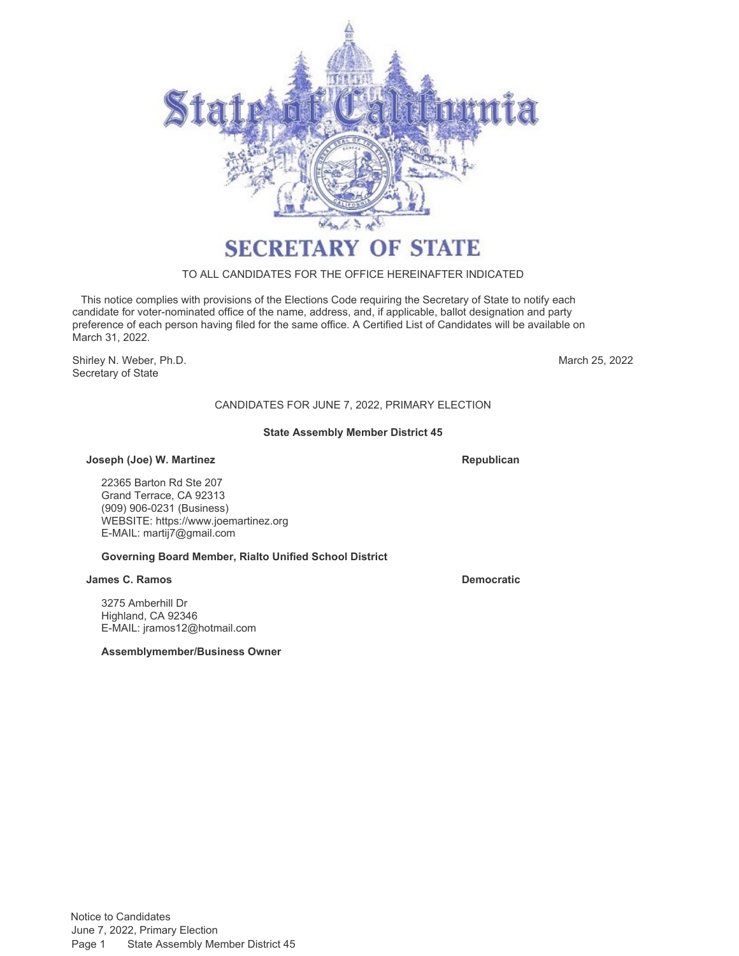

### TO ALL CANDIDATES FOR THE OFFICE HEREINAFTER INDICATED

 This notice complies with provisions of the Elections Code requiring the Secretary of State to notify each candidate for voter-nominated office of the name, address, and, if applicable, ballot designation and party preference of each person having filed for the same office. A Certified List of Candidates will be available on March 31, 2022.

Shirley N. Weber, Ph.D. **March 25, 2022** Secretary of State

# CANDIDATES FOR JUNE 7, 2022, PRIMARY ELECTION

### **State Assembly Member District 45**

### **Joseph (Joe) W. Martinez <b>Republican**

22365 Barton Rd Ste 207 Grand Terrace, CA 92313 (909) 906-0231 (Business) WEBSITE:<https://www.joemartinez.org> E-MAIL: [martij7@gmail.com](mailto:martij7@gmail.com)

### **Governing Board Member, Rialto Unified School District**

### **James C. Ramos Democratic**

3275 Amberhill Dr Highland, CA 92346 E-MAIL: [jramos12@hotmail.com](mailto:jramos12@hotmail.com)

**Assemblymember/Business Owner**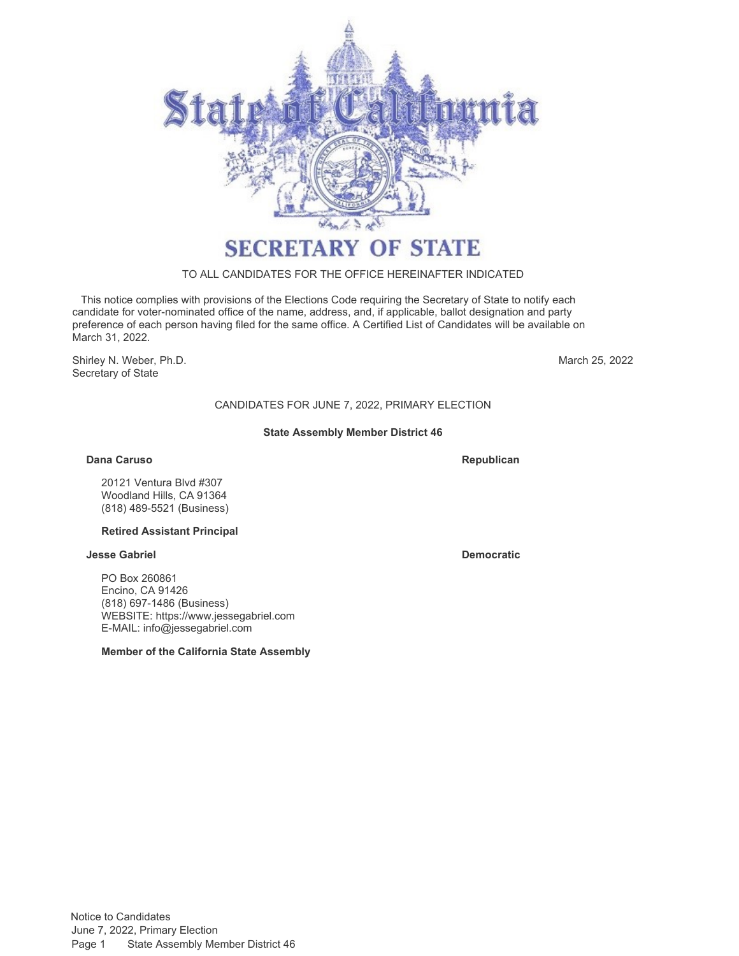

# TO ALL CANDIDATES FOR THE OFFICE HEREINAFTER INDICATED

 This notice complies with provisions of the Elections Code requiring the Secretary of State to notify each candidate for voter-nominated office of the name, address, and, if applicable, ballot designation and party preference of each person having filed for the same office. A Certified List of Candidates will be available on March 31, 2022.

Shirley N. Weber, Ph.D. Secretary of State

March 25, 2022

# CANDIDATES FOR JUNE 7, 2022, PRIMARY ELECTION

### **State Assembly Member District 46**

### **Dana Caruso Republican Republican Republican Republican Republican**

20121 Ventura Blvd #307 Woodland Hills, CA 91364 (818) 489-5521 (Business)

### **Retired Assistant Principal**

### **Jesse Gabriel Democratic**

PO Box 260861 Encino, CA 91426 (818) 697-1486 (Business) WEBSITE:<https://www.jessegabriel.com> E-MAIL: [info@jessegabriel.com](mailto:info@jessegabriel.com)

### **Member of the California State Assembly**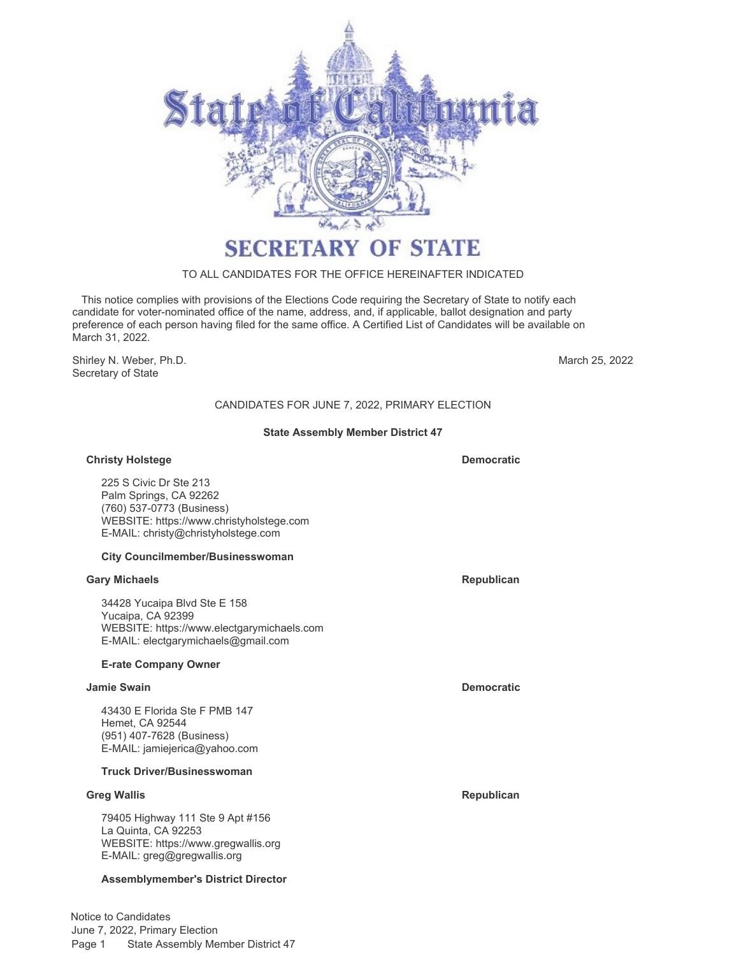

# TO ALL CANDIDATES FOR THE OFFICE HEREINAFTER INDICATED

 This notice complies with provisions of the Elections Code requiring the Secretary of State to notify each candidate for voter-nominated office of the name, address, and, if applicable, ballot designation and party preference of each person having filed for the same office. A Certified List of Candidates will be available on March 31, 2022.

Shirley N. Weber, Ph.D. Secretary of State

March 25, 2022

# CANDIDATES FOR JUNE 7, 2022, PRIMARY ELECTION

### **State Assembly Member District 47**

### **Christy Holstege Democratic**

225 S Civic Dr Ste 213 Palm Springs, CA 92262 (760) 537-0773 (Business) WEBSITE:<https://www.christyholstege.com> E-MAIL: [christy@christyholstege.com](mailto:christy@christyholstege.com)

### **City Councilmember/Businesswoman**

### **Gary Michaels Republican**

34428 Yucaipa Blvd Ste E 158 Yucaipa, CA 92399 WEBSITE:<https://www.electgarymichaels.com> E-MAIL: [electgarymichaels@gmail.com](mailto:electgarymichaels@gmail.com)

### **E-rate Company Owner**

### **Jamie Swain Democratic**

43430 E Florida Ste F PMB 147 Hemet, CA 92544 (951) 407-7628 (Business) E-MAIL: [jamiejerica@yahoo.com](mailto:jamiejerica@yahoo.com)

# **Truck Driver/Businesswoman**

### **Greg Wallis Republican**

79405 Highway 111 Ste 9 Apt #156 La Quinta, CA 92253 WEBSITE:<https://www.gregwallis.org> E-MAIL: [greg@gregwallis.org](mailto:greg@gregwallis.org)

### **Assemblymember's District Director**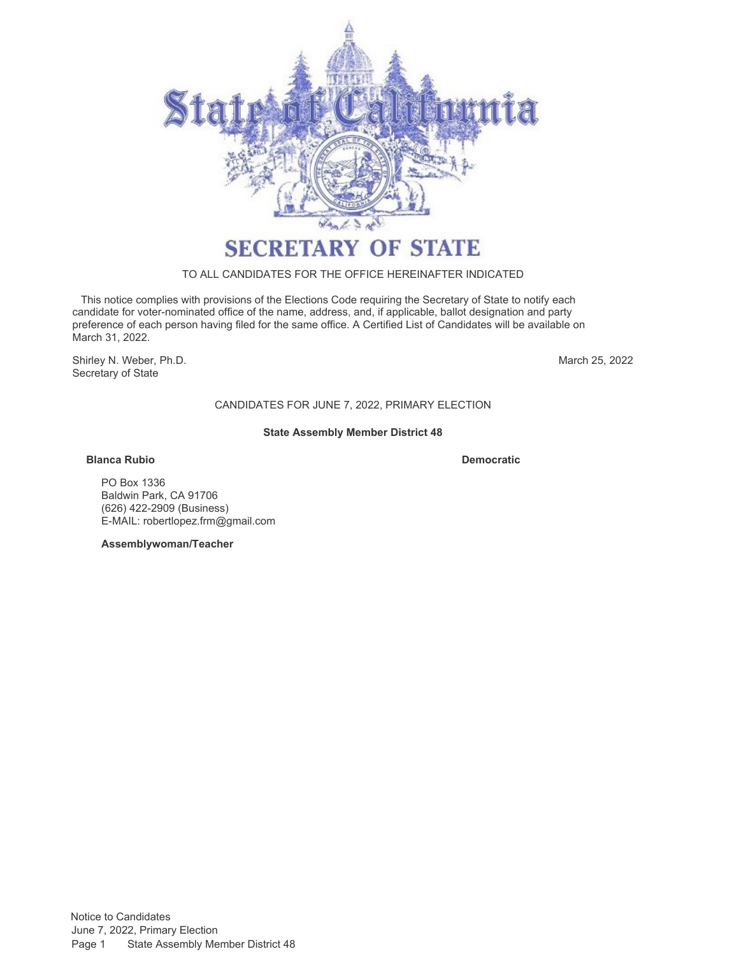

### TO ALL CANDIDATES FOR THE OFFICE HEREINAFTER INDICATED

 This notice complies with provisions of the Elections Code requiring the Secretary of State to notify each candidate for voter-nominated office of the name, address, and, if applicable, ballot designation and party preference of each person having filed for the same office. A Certified List of Candidates will be available on March 31, 2022.

Shirley N. Weber, Ph.D. Secretary of State

March 25, 2022

CANDIDATES FOR JUNE 7, 2022, PRIMARY ELECTION

### **State Assembly Member District 48**

### **Blanca Rubio Democratic**

PO Box 1336 Baldwin Park, CA 91706 (626) 422-2909 (Business) E-MAIL: [robertlopez.frm@gmail.com](mailto:robertlopez.frm@gmail.com)

**Assemblywoman/Teacher**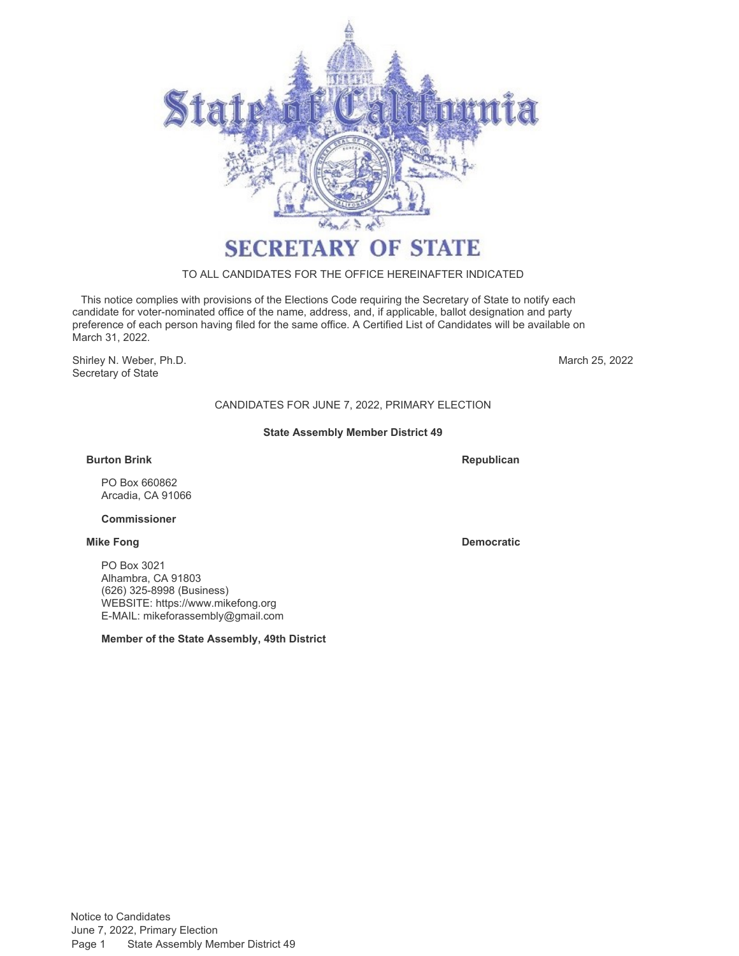

# TO ALL CANDIDATES FOR THE OFFICE HEREINAFTER INDICATED

 This notice complies with provisions of the Elections Code requiring the Secretary of State to notify each candidate for voter-nominated office of the name, address, and, if applicable, ballot designation and party preference of each person having filed for the same office. A Certified List of Candidates will be available on March 31, 2022.

Shirley N. Weber, Ph.D. Secretary of State

March 25, 2022

# CANDIDATES FOR JUNE 7, 2022, PRIMARY ELECTION

### **State Assembly Member District 49**

### **Burton Brink**

**Republican**

PO Box 660862 Arcadia, CA 91066

# **Commissioner**

PO Box 3021 Alhambra, CA 91803 (626) 325-8998 (Business) WEBSITE:<https://www.mikefong.org> E-MAIL: [mikeforassembly@gmail.com](mailto:mikeforassembly@gmail.com)

**Member of the State Assembly, 49th District**

**Mike Fong Democratic**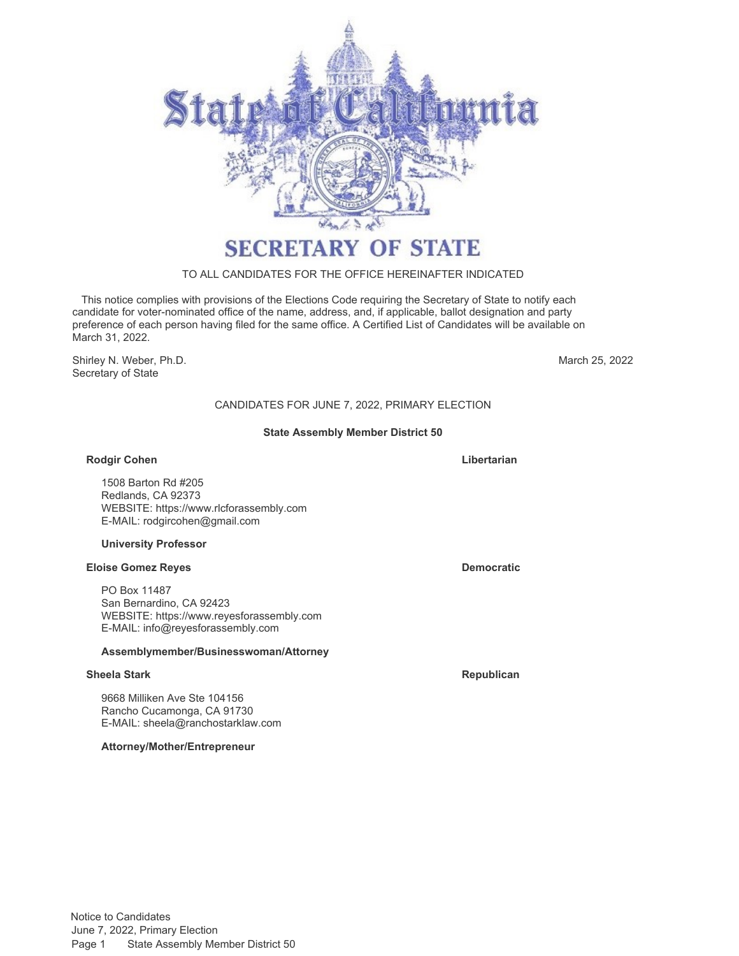

# TO ALL CANDIDATES FOR THE OFFICE HEREINAFTER INDICATED

 This notice complies with provisions of the Elections Code requiring the Secretary of State to notify each candidate for voter-nominated office of the name, address, and, if applicable, ballot designation and party preference of each person having filed for the same office. A Certified List of Candidates will be available on March 31, 2022.

Shirley N. Weber, Ph.D. Secretary of State

March 25, 2022

# CANDIDATES FOR JUNE 7, 2022, PRIMARY ELECTION

### **State Assembly Member District 50**

### **Rodgir Cohen Libertarian**

1508 Barton Rd #205 Redlands, CA 92373 WEBSITE:<https://www.rlcforassembly.com> E-MAIL: [rodgircohen@gmail.com](mailto:rodgircohen@gmail.com)

### **University Professor**

### **Eloise Gomez Reyes Democratic**

PO Box 11487 San Bernardino, CA 92423 WEBSITE:<https://www.reyesforassembly.com> E-MAIL: [info@reyesforassembly.com](mailto:info@reyesforassembly.com)

### **Assemblymember/Businesswoman/Attorney**

### **Sheela Stark Republican Republican Republican Republican**

9668 Milliken Ave Ste 104156 Rancho Cucamonga, CA 91730 E-MAIL: [sheela@ranchostarklaw.com](mailto:sheela@ranchostarklaw.com)

**Attorney/Mother/Entrepreneur**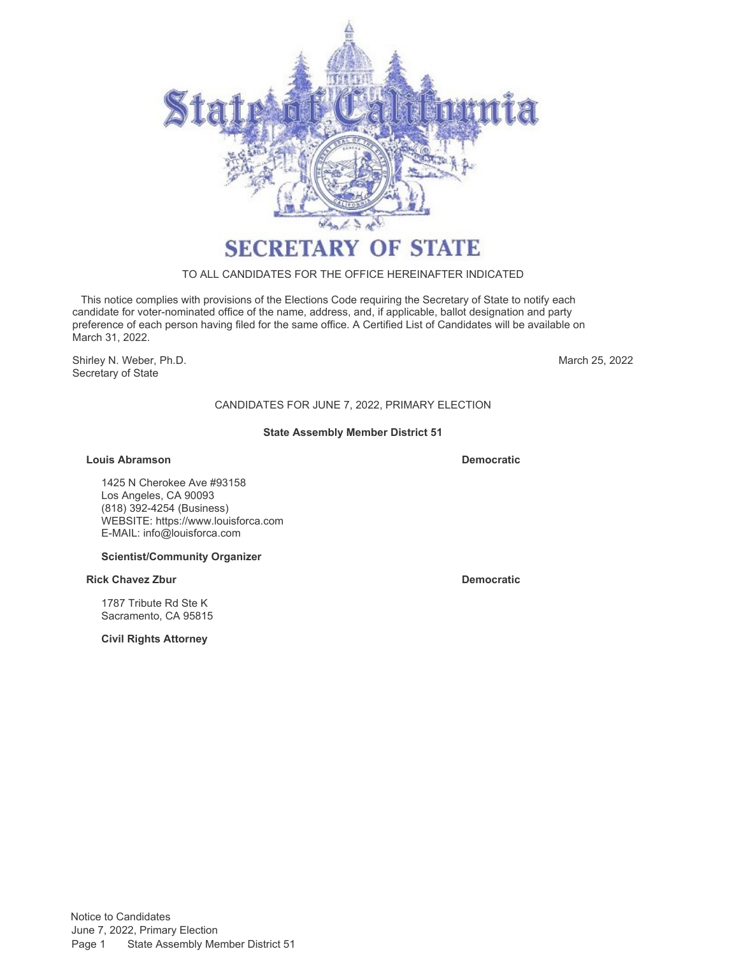

### TO ALL CANDIDATES FOR THE OFFICE HEREINAFTER INDICATED

 This notice complies with provisions of the Elections Code requiring the Secretary of State to notify each candidate for voter-nominated office of the name, address, and, if applicable, ballot designation and party preference of each person having filed for the same office. A Certified List of Candidates will be available on March 31, 2022.

Shirley N. Weber, Ph.D. Secretary of State

March 25, 2022

# CANDIDATES FOR JUNE 7, 2022, PRIMARY ELECTION

### **State Assembly Member District 51**

### **Louis Abramson Democratic**

1425 N Cherokee Ave #93158 Los Angeles, CA 90093 (818) 392-4254 (Business) WEBSITE:<https://www.louisforca.com> E-MAIL: [info@louisforca.com](mailto:info@louisforca.com)

### **Scientist/Community Organizer**

### **Rick Chavez Zbur Democratic**

1787 Tribute Rd Ste K Sacramento, CA 95815

**Civil Rights Attorney**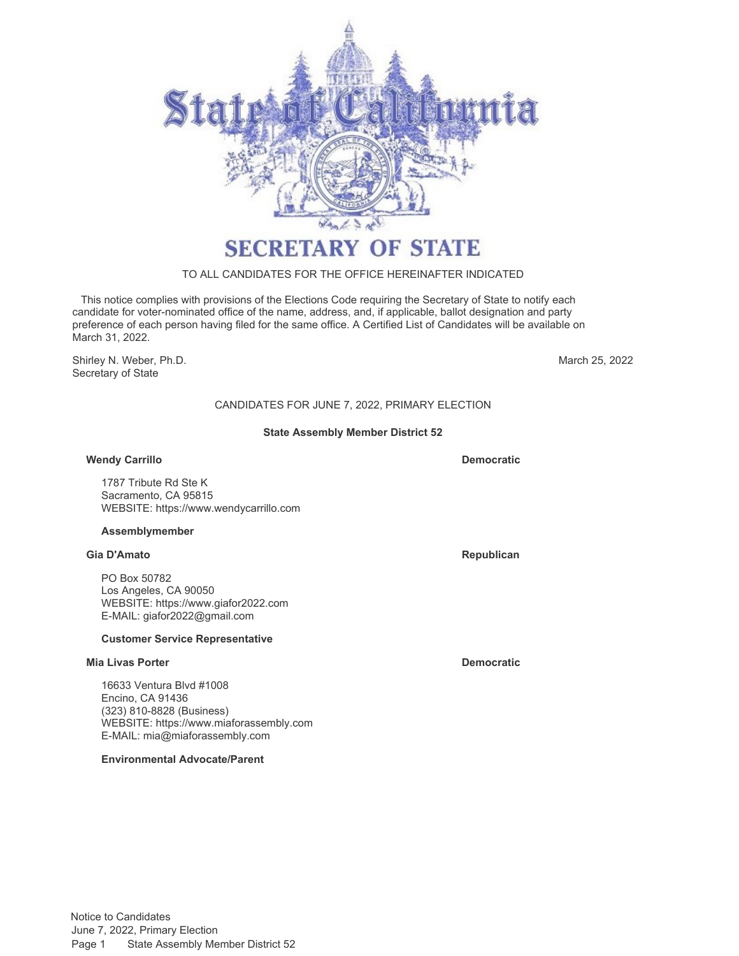

# TO ALL CANDIDATES FOR THE OFFICE HEREINAFTER INDICATED

 This notice complies with provisions of the Elections Code requiring the Secretary of State to notify each candidate for voter-nominated office of the name, address, and, if applicable, ballot designation and party preference of each person having filed for the same office. A Certified List of Candidates will be available on March 31, 2022.

Shirley N. Weber, Ph.D. Secretary of State

March 25, 2022

# CANDIDATES FOR JUNE 7, 2022, PRIMARY ELECTION

### **State Assembly Member District 52**

### **Wendy Carrillo Democratic**

1787 Tribute Rd Ste K Sacramento, CA 95815 WEBSITE:<https://www.wendycarrillo.com>

### **Assemblymember**

### **Gia D'Amato Republican**

PO Box 50782 Los Angeles, CA 90050 WEBSITE:<https://www.giafor2022.com> E-MAIL: [giafor2022@gmail.com](mailto:giafor2022@gmail.com)

### **Customer Service Representative**

### **Mia Livas Porter Democratic**

16633 Ventura Blvd #1008 Encino, CA 91436 (323) 810-8828 (Business) WEBSITE:<https://www.miaforassembly.com> E-MAIL: [mia@miaforassembly.com](mailto:mia@miaforassembly.com)

**Environmental Advocate/Parent**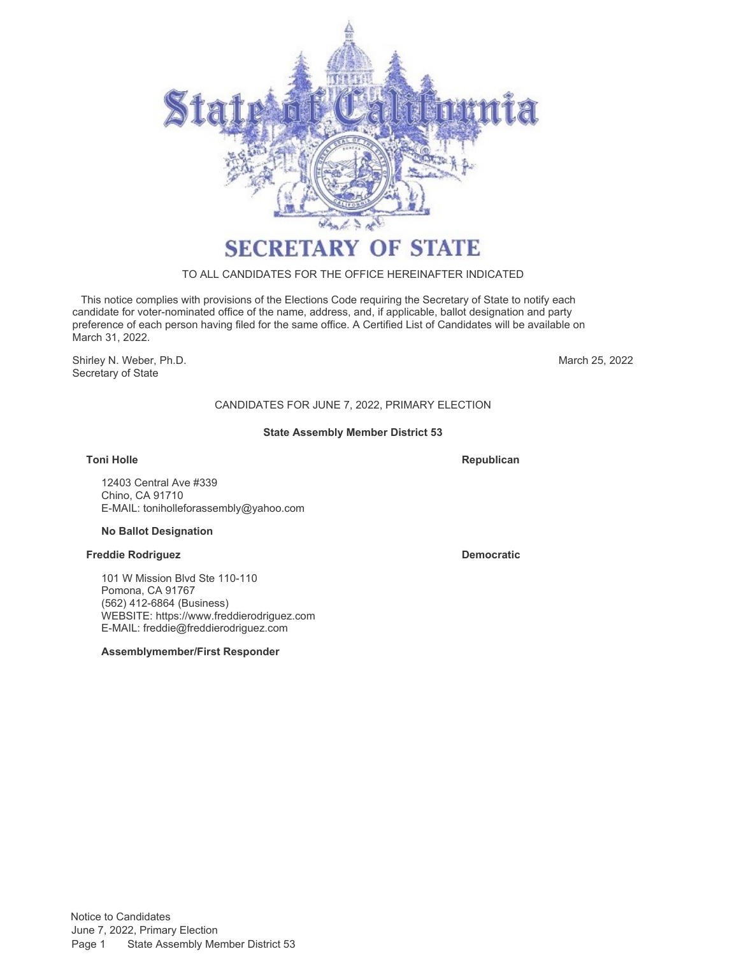

# TO ALL CANDIDATES FOR THE OFFICE HEREINAFTER INDICATED

 This notice complies with provisions of the Elections Code requiring the Secretary of State to notify each candidate for voter-nominated office of the name, address, and, if applicable, ballot designation and party preference of each person having filed for the same office. A Certified List of Candidates will be available on March 31, 2022.

Shirley N. Weber, Ph.D. Secretary of State

March 25, 2022

# CANDIDATES FOR JUNE 7, 2022, PRIMARY ELECTION

### **State Assembly Member District 53**

**Toni Holle Republican** 

12403 Central Ave #339 Chino, CA 91710 E-MAIL: [toniholleforassembly@yahoo.com](mailto:toniholleforassembly@yahoo.com)

### **No Ballot Designation**

### **Freddie Rodriguez <b>Democratic Democratic**

101 W Mission Blvd Ste 110-110 Pomona, CA 91767 (562) 412-6864 (Business) WEBSITE:<https://www.freddierodriguez.com> E-MAIL: [freddie@freddierodriguez.com](mailto:freddie@freddierodriguez.com)

### **Assemblymember/First Responder**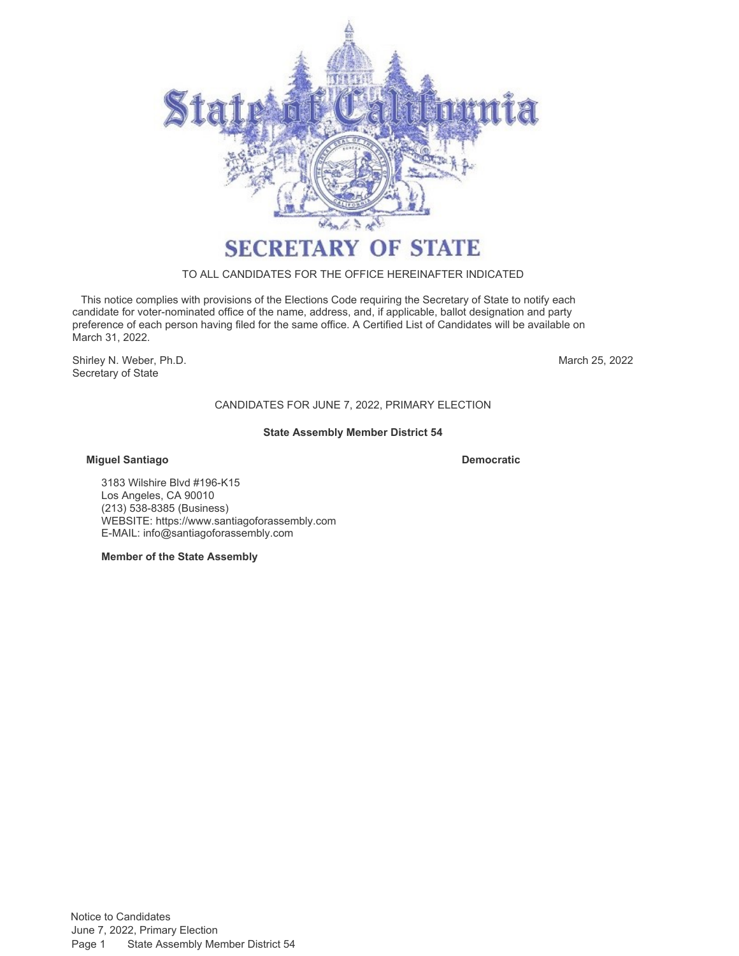

### TO ALL CANDIDATES FOR THE OFFICE HEREINAFTER INDICATED

 This notice complies with provisions of the Elections Code requiring the Secretary of State to notify each candidate for voter-nominated office of the name, address, and, if applicable, ballot designation and party preference of each person having filed for the same office. A Certified List of Candidates will be available on March 31, 2022.

Shirley N. Weber, Ph.D. Secretary of State

March 25, 2022

# CANDIDATES FOR JUNE 7, 2022, PRIMARY ELECTION

### **State Assembly Member District 54**

### **Miguel Santiago Democratic**

3183 Wilshire Blvd #196-K15 Los Angeles, CA 90010 (213) 538-8385 (Business) WEBSITE:<https://www.santiagoforassembly.com> E-MAIL: [info@santiagoforassembly.com](mailto:info@santiagoforassembly.com)

**Member of the State Assembly**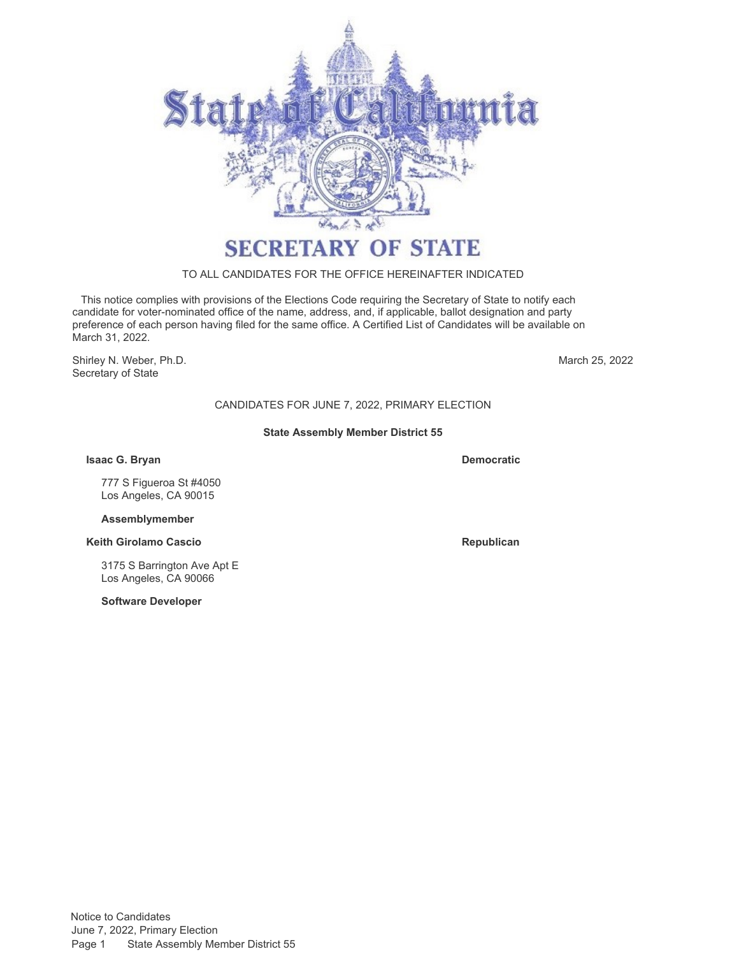

# TO ALL CANDIDATES FOR THE OFFICE HEREINAFTER INDICATED

 This notice complies with provisions of the Elections Code requiring the Secretary of State to notify each candidate for voter-nominated office of the name, address, and, if applicable, ballot designation and party preference of each person having filed for the same office. A Certified List of Candidates will be available on March 31, 2022.

Shirley N. Weber, Ph.D. Secretary of State

March 25, 2022

# CANDIDATES FOR JUNE 7, 2022, PRIMARY ELECTION

### **State Assembly Member District 55**

**Isaac G. Bryan Democratic**

777 S Figueroa St #4050 Los Angeles, CA 90015

### **Assemblymember**

**Keith Girolamo Cascio Republican Republican Republican** 

3175 S Barrington Ave Apt E Los Angeles, CA 90066

**Software Developer**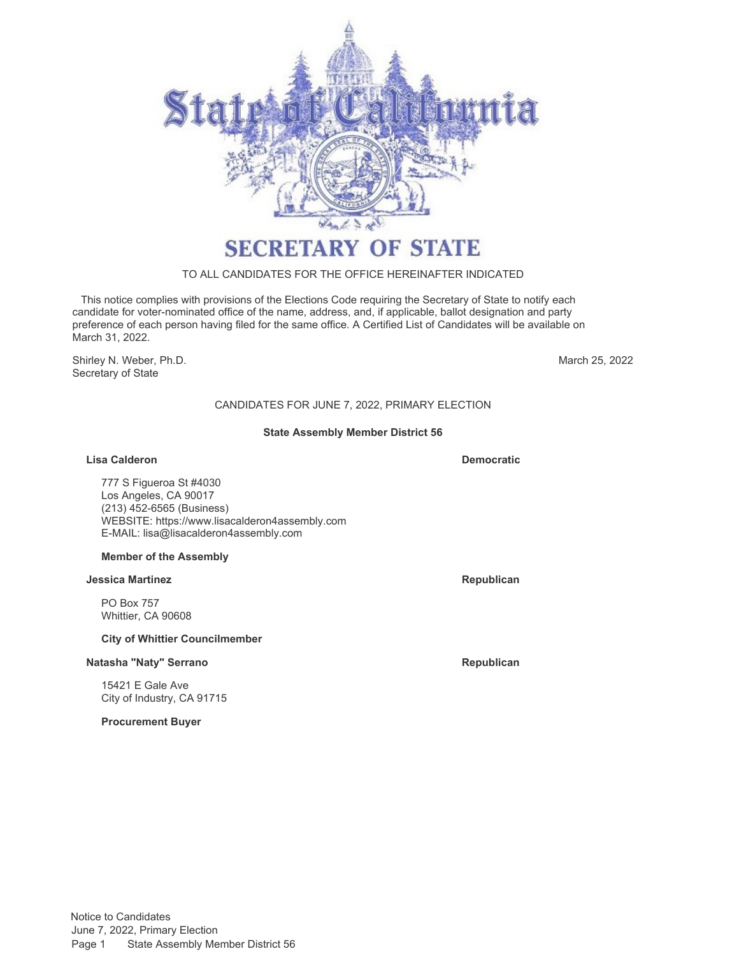

### TO ALL CANDIDATES FOR THE OFFICE HEREINAFTER INDICATED

 This notice complies with provisions of the Elections Code requiring the Secretary of State to notify each candidate for voter-nominated office of the name, address, and, if applicable, ballot designation and party preference of each person having filed for the same office. A Certified List of Candidates will be available on March 31, 2022.

Shirley N. Weber, Ph.D. Secretary of State

March 25, 2022

# CANDIDATES FOR JUNE 7, 2022, PRIMARY ELECTION

### **State Assembly Member District 56**

**Lisa Calderon Democratic**

777 S Figueroa St #4030 Los Angeles, CA 90017 (213) 452-6565 (Business) WEBSITE:<https://www.lisacalderon4assembly.com> E-MAIL: [lisa@lisacalderon4assembly.com](mailto:lisa@lisacalderon4assembly.com)

### **Member of the Assembly**

### **Jessica Martinez Republican**

PO Box 757 Whittier, CA 90608

### **City of Whittier Councilmember**

### **Natasha "Naty" Serrano Republican**

15421 E Gale Ave City of Industry, CA 91715

**Procurement Buyer**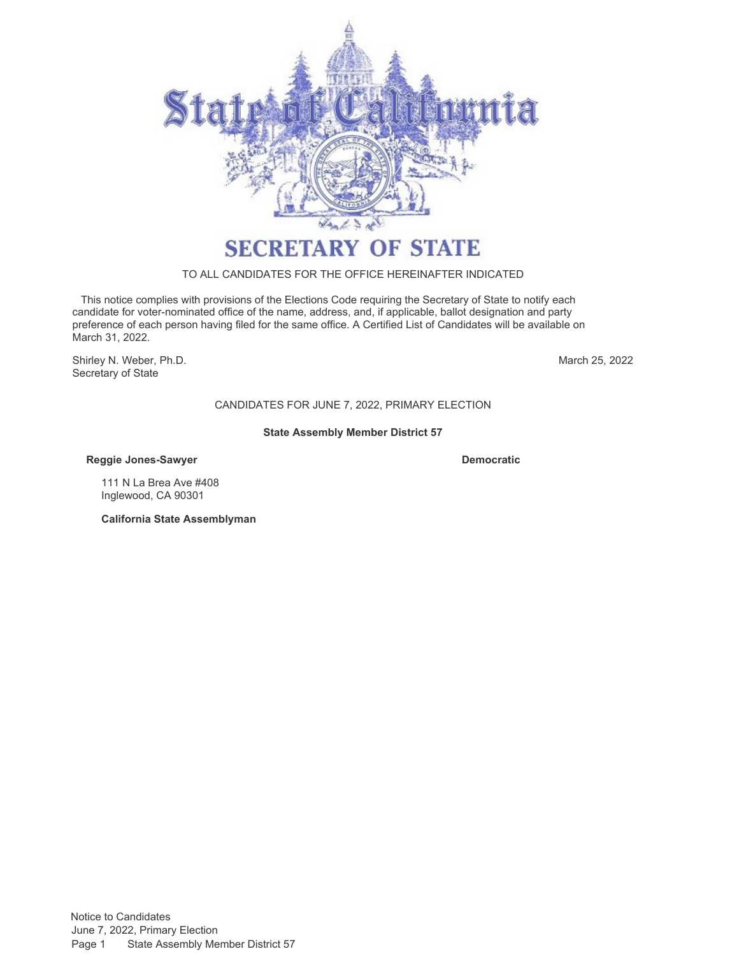

# TO ALL CANDIDATES FOR THE OFFICE HEREINAFTER INDICATED

 This notice complies with provisions of the Elections Code requiring the Secretary of State to notify each candidate for voter-nominated office of the name, address, and, if applicable, ballot designation and party preference of each person having filed for the same office. A Certified List of Candidates will be available on March 31, 2022.

Shirley N. Weber, Ph.D. Secretary of State

March 25, 2022

# CANDIDATES FOR JUNE 7, 2022, PRIMARY ELECTION

### **State Assembly Member District 57**

**Reggie Jones-Sawyer Democratic**

111 N La Brea Ave #408 Inglewood, CA 90301

**California State Assemblyman**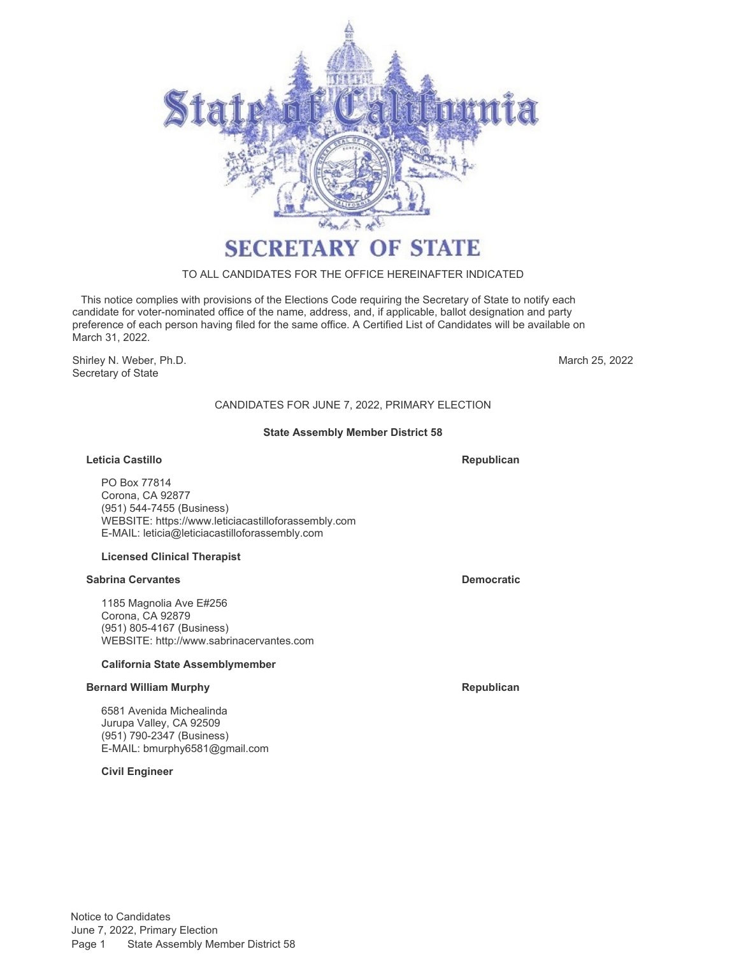

# TO ALL CANDIDATES FOR THE OFFICE HEREINAFTER INDICATED

 This notice complies with provisions of the Elections Code requiring the Secretary of State to notify each candidate for voter-nominated office of the name, address, and, if applicable, ballot designation and party preference of each person having filed for the same office. A Certified List of Candidates will be available on March 31, 2022.

Shirley N. Weber, Ph.D. Secretary of State

March 25, 2022

# CANDIDATES FOR JUNE 7, 2022, PRIMARY ELECTION

### **State Assembly Member District 58**

### **Leticia Castillo**

**Republican**

PO Box 77814 Corona, CA 92877 (951) 544-7455 (Business) WEBSITE:<https://www.leticiacastilloforassembly.com> E-MAIL: [leticia@leticiacastilloforassembly.com](mailto:leticia@leticiacastilloforassembly.com)

### **Licensed Clinical Therapist**

### **Sabrina Cervantes Democratic**

1185 Magnolia Ave E#256 Corona, CA 92879 (951) 805-4167 (Business) WEBSITE:<http://www.sabrinacervantes.com>

### **California State Assemblymember**

### **Bernard William Murphy Republican Republican Republican**

6581 Avenida Michealinda Jurupa Valley, CA 92509 (951) 790-2347 (Business) E-MAIL: [bmurphy6581@gmail.com](mailto:bmurphy6581@gmail.com)

**Civil Engineer**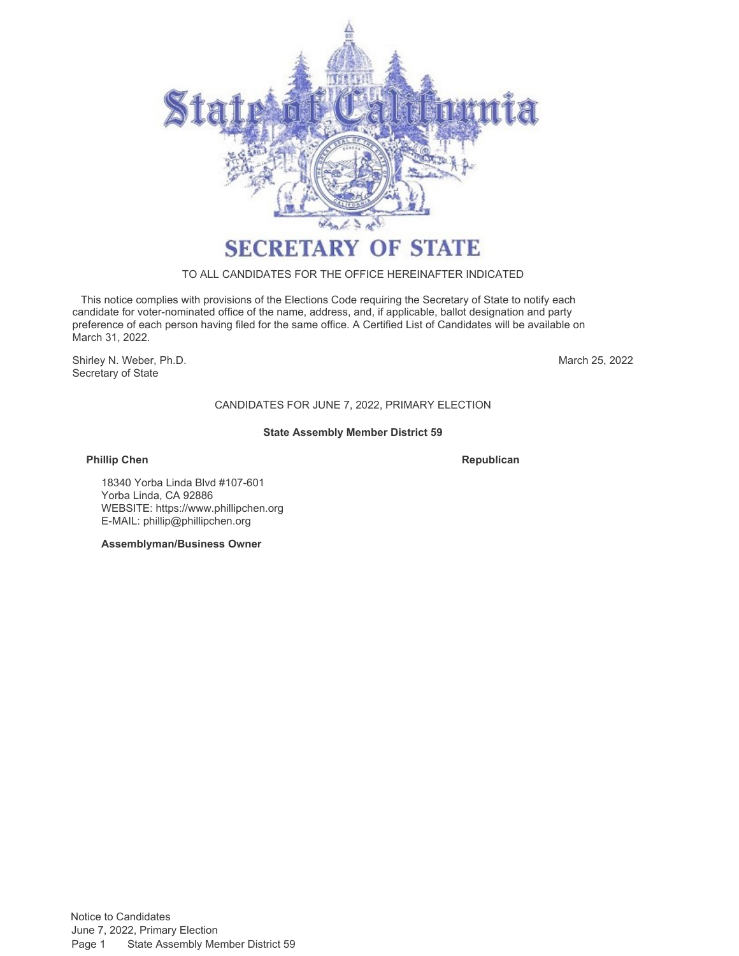

### TO ALL CANDIDATES FOR THE OFFICE HEREINAFTER INDICATED

 This notice complies with provisions of the Elections Code requiring the Secretary of State to notify each candidate for voter-nominated office of the name, address, and, if applicable, ballot designation and party preference of each person having filed for the same office. A Certified List of Candidates will be available on March 31, 2022.

Shirley N. Weber, Ph.D. Secretary of State

March 25, 2022

# CANDIDATES FOR JUNE 7, 2022, PRIMARY ELECTION

### **State Assembly Member District 59**

### **Phillip Chen Republican**

18340 Yorba Linda Blvd #107-601 Yorba Linda, CA 92886 WEBSITE:<https://www.phillipchen.org> E-MAIL: [phillip@phillipchen.org](mailto:phillip@phillipchen.org)

**Assemblyman/Business Owner**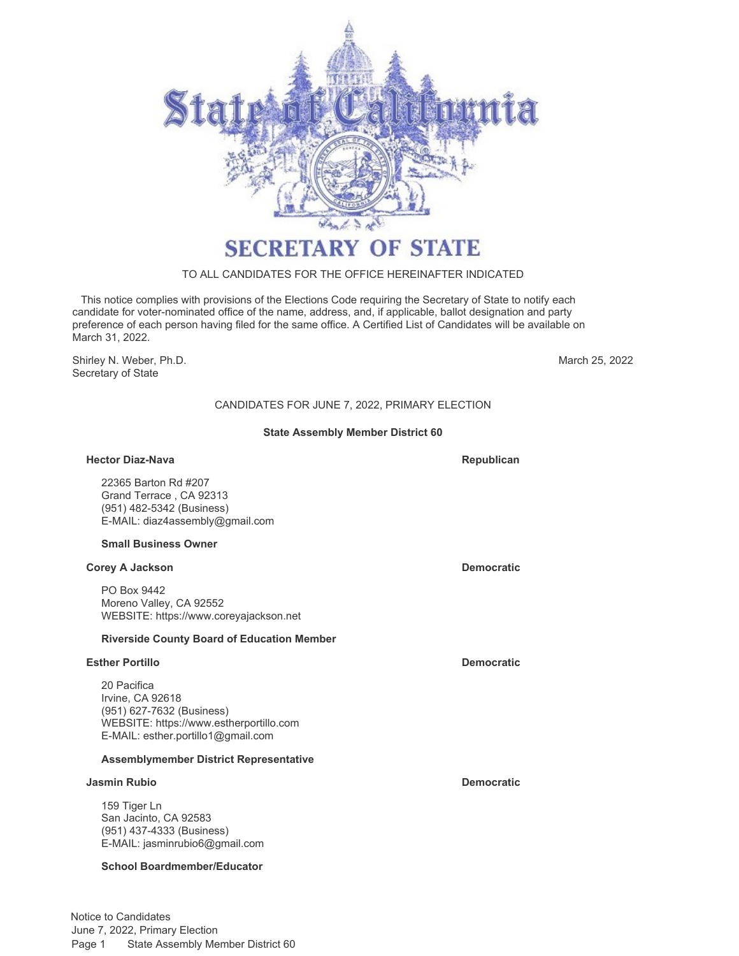

# TO ALL CANDIDATES FOR THE OFFICE HEREINAFTER INDICATED

 This notice complies with provisions of the Elections Code requiring the Secretary of State to notify each candidate for voter-nominated office of the name, address, and, if applicable, ballot designation and party preference of each person having filed for the same office. A Certified List of Candidates will be available on March 31, 2022.

Shirley N. Weber, Ph.D. Secretary of State

March 25, 2022

# CANDIDATES FOR JUNE 7, 2022, PRIMARY ELECTION

### **State Assembly Member District 60**

### **Hector Diaz-Nava Republican**

22365 Barton Rd #207 Grand Terrace , CA 92313 (951) 482-5342 (Business) E-MAIL: [diaz4assembly@gmail.com](mailto:diaz4assembly@gmail.com)

### **Small Business Owner**

### **Corey A Jackson Democratic**

PO Box 9442 Moreno Valley, CA 92552 WEBSITE:<https://www.coreyajackson.net>

### **Riverside County Board of Education Member**

### **Esther Portillo Democratic**

20 Pacifica Irvine, CA 92618 (951) 627-7632 (Business) WEBSITE:<https://www.estherportillo.com> E-MAIL: [esther.portillo1@gmail.com](mailto:esther.portillo1@gmail.com)

### **Assemblymember District Representative**

### **Jasmin Rubio Democratic**

159 Tiger Ln San Jacinto, CA 92583 (951) 437-4333 (Business) E-MAIL: [jasminrubio6@gmail.com](mailto:jasminrubio6@gmail.com)

### **School Boardmember/Educator**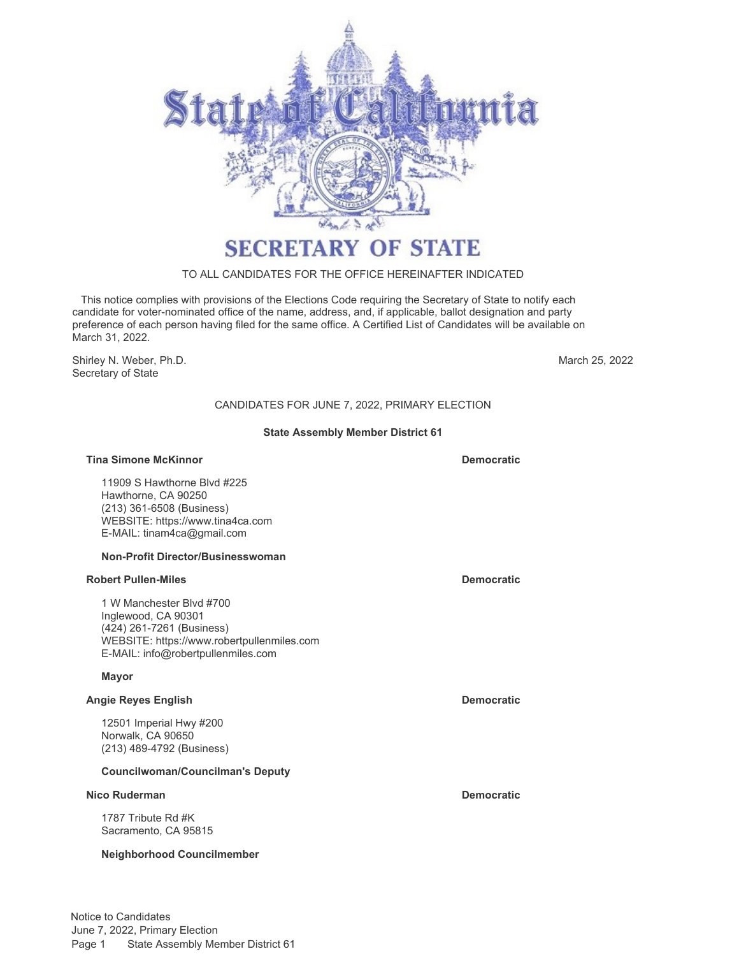

# TO ALL CANDIDATES FOR THE OFFICE HEREINAFTER INDICATED

 This notice complies with provisions of the Elections Code requiring the Secretary of State to notify each candidate for voter-nominated office of the name, address, and, if applicable, ballot designation and party preference of each person having filed for the same office. A Certified List of Candidates will be available on March 31, 2022.

Shirley N. Weber, Ph.D. Secretary of State

March 25, 2022

# CANDIDATES FOR JUNE 7, 2022, PRIMARY ELECTION

### **State Assembly Member District 61**

### **Tina Simone McKinnor Democratic**

11909 S Hawthorne Blvd #225 Hawthorne, CA 90250 (213) 361-6508 (Business) WEBSITE:<https://www.tina4ca.com> E-MAIL: [tinam4ca@gmail.com](mailto:tinam4ca@gmail.com)

### **Non-Profit Director/Businesswoman**

### **Robert Pullen-Miles Democratic**

1 W Manchester Blvd #700 Inglewood, CA 90301 (424) 261-7261 (Business) WEBSITE:<https://www.robertpullenmiles.com> E-MAIL: [info@robertpullenmiles.com](mailto:info@robertpullenmiles.com)

### **Mayor**

# **Angie Reyes English Democratic**

12501 Imperial Hwy #200 Norwalk, CA 90650 (213) 489-4792 (Business)

### **Councilwoman/Councilman's Deputy**

### **Nico Ruderman Democratic**

1787 Tribute Rd #K Sacramento, CA 95815

### **Neighborhood Councilmember**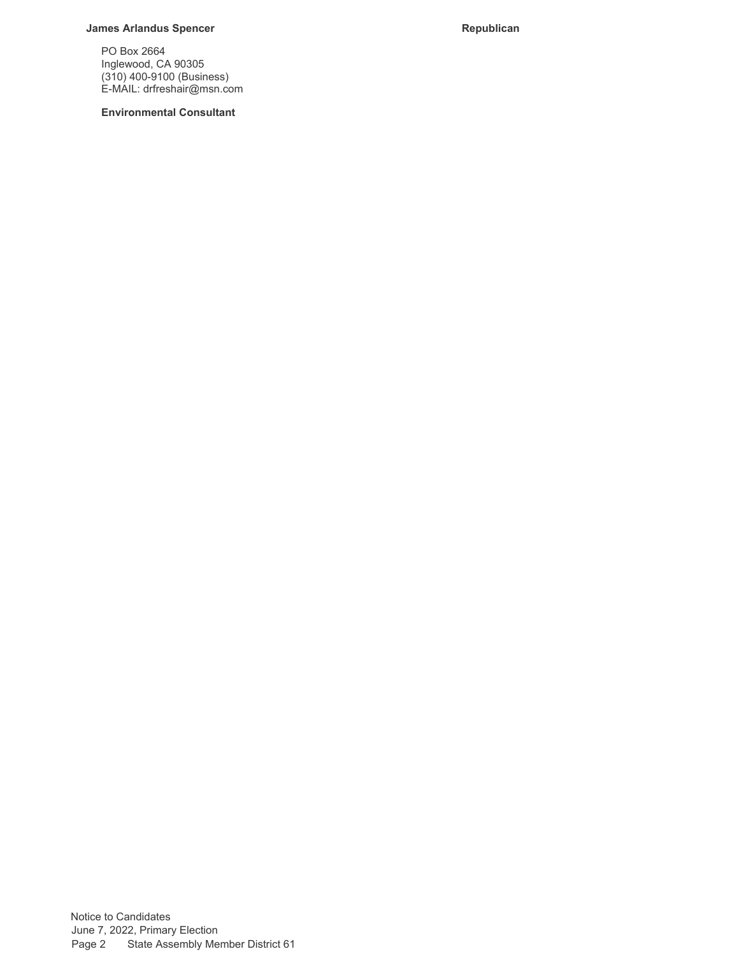# **James Arlandus Spencer Republican**

PO Box 2664 Inglewood, CA 90305 (310) 400-9100 (Business) E-MAIL: [drfreshair@msn.com](mailto:drfreshair@msn.com)

**Environmental Consultant**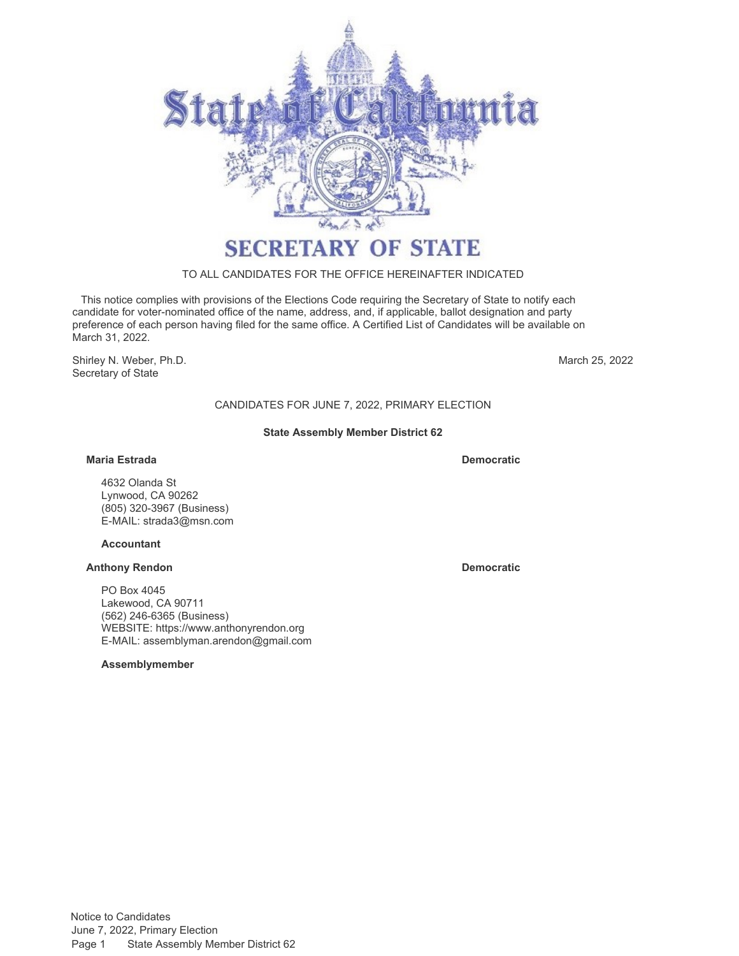

# TO ALL CANDIDATES FOR THE OFFICE HEREINAFTER INDICATED

 This notice complies with provisions of the Elections Code requiring the Secretary of State to notify each candidate for voter-nominated office of the name, address, and, if applicable, ballot designation and party preference of each person having filed for the same office. A Certified List of Candidates will be available on March 31, 2022.

Shirley N. Weber, Ph.D. Secretary of State

March 25, 2022

CANDIDATES FOR JUNE 7, 2022, PRIMARY ELECTION

### **State Assembly Member District 62**

### **Maria Estrada Democratic**

4632 Olanda St Lynwood, CA 90262 (805) 320-3967 (Business) E-MAIL: [strada3@msn.com](mailto:strada3@msn.com)

### **Accountant**

### **Anthony Rendon Democratic**

PO Box 4045 Lakewood, CA 90711 (562) 246-6365 (Business) WEBSITE:<https://www.anthonyrendon.org> E-MAIL: [assemblyman.arendon@gmail.com](mailto:assemblyman.arendon@gmail.com)

**Assemblymember**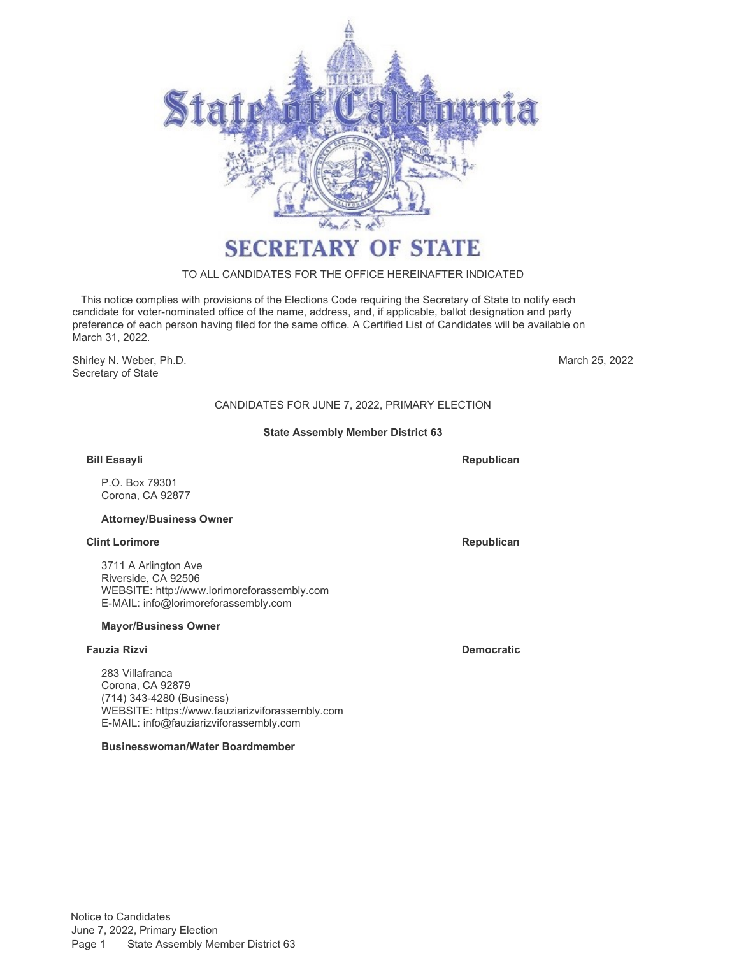

# TO ALL CANDIDATES FOR THE OFFICE HEREINAFTER INDICATED

 This notice complies with provisions of the Elections Code requiring the Secretary of State to notify each candidate for voter-nominated office of the name, address, and, if applicable, ballot designation and party preference of each person having filed for the same office. A Certified List of Candidates will be available on March 31, 2022.

Shirley N. Weber, Ph.D. Secretary of State

March 25, 2022

# CANDIDATES FOR JUNE 7, 2022, PRIMARY ELECTION

#### **State Assembly Member District 63**

#### **Bill Essayli**

P.O. Box 79301 Corona, CA 92877

#### **Attorney/Business Owner**

#### **Clint Lorimore Republican**

3711 A Arlington Ave Riverside, CA 92506 WEBSITE:<http://www.lorimoreforassembly.com> E-MAIL: [info@lorimoreforassembly.com](mailto:info@lorimoreforassembly.com)

#### **Mayor/Business Owner**

#### **Fauzia Rizvi Democratic**

283 Villafranca Corona, CA 92879 (714) 343-4280 (Business) WEBSITE:<https://www.fauziarizviforassembly.com> E-MAIL: [info@fauziarizviforassembly.com](mailto:info@fauziarizviforassembly.com)

#### **Businesswoman/Water Boardmember**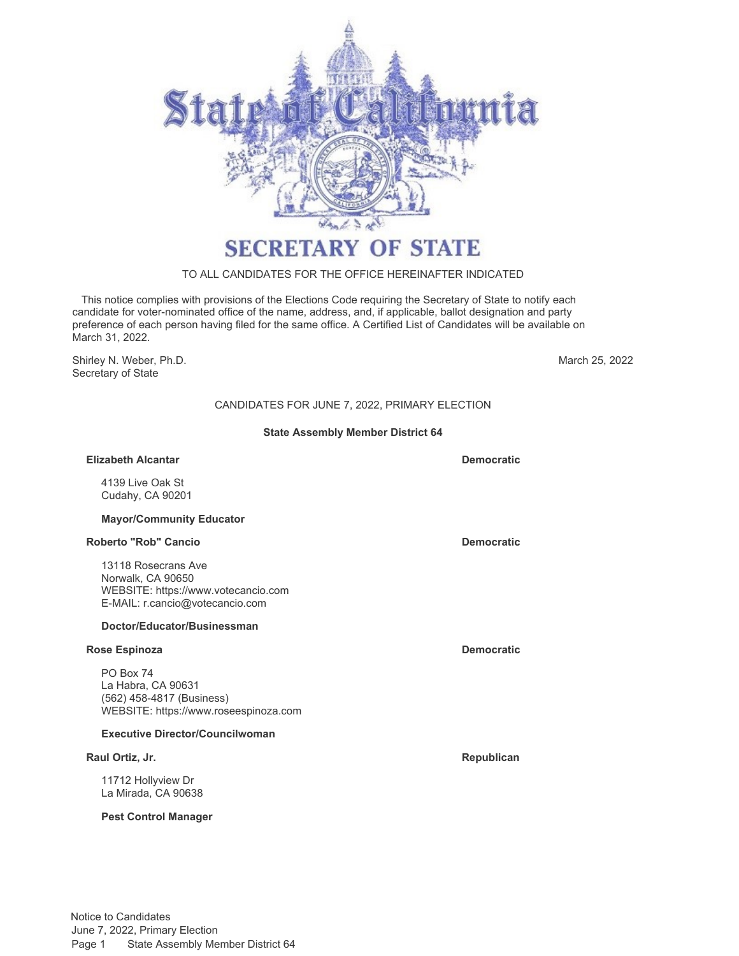

# TO ALL CANDIDATES FOR THE OFFICE HEREINAFTER INDICATED

 This notice complies with provisions of the Elections Code requiring the Secretary of State to notify each candidate for voter-nominated office of the name, address, and, if applicable, ballot designation and party preference of each person having filed for the same office. A Certified List of Candidates will be available on March 31, 2022.

Shirley N. Weber, Ph.D. Secretary of State

March 25, 2022

# CANDIDATES FOR JUNE 7, 2022, PRIMARY ELECTION

#### **State Assembly Member District 64**

#### **Elizabeth Alcantar Democratic**

4139 Live Oak St Cudahy, CA 90201

#### **Mayor/Community Educator**

#### **Roberto "Rob" Cancio Democratic**

13118 Rosecrans Ave Norwalk, CA 90650 WEBSITE:<https://www.votecancio.com> E-MAIL: [r.cancio@votecancio.com](mailto:r.cancio@votecancio.com)

#### **Doctor/Educator/Businessman**

### **Rose Espinoza Democratic**

PO Box 74 La Habra, CA 90631 (562) 458-4817 (Business) WEBSITE:<https://www.roseespinoza.com>

#### **Executive Director/Councilwoman**

#### **Raul Ortiz, Jr. Community Community Community Community Community Community Community Community Community Community**

11712 Hollyview Dr La Mirada, CA 90638

#### **Pest Control Manager**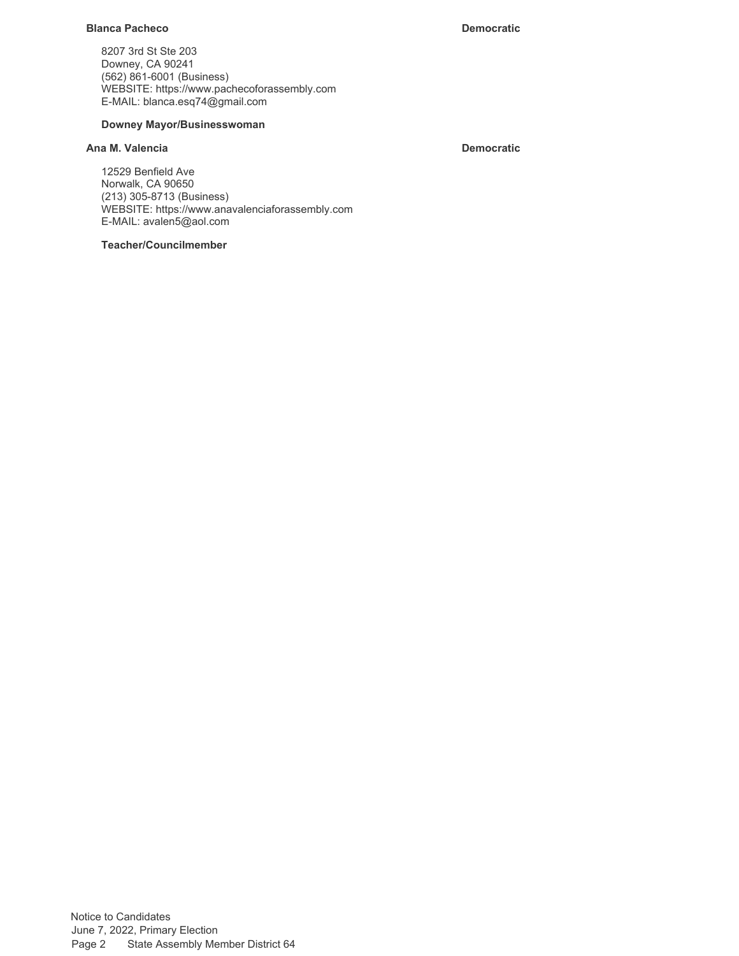#### **Blanca Pacheco Democratic**

8207 3rd St Ste 203 Downey, CA 90241 (562) 861-6001 (Business) WEBSITE:<https://www.pachecoforassembly.com> E-MAIL: [blanca.esq74@gmail.com](mailto:blanca.esq74@gmail.com)

#### **Downey Mayor/Businesswoman**

# **Ana M. Valencia Democratic**

12529 Benfield Ave Norwalk, CA 90650 (213) 305-8713 (Business) WEBSITE:<https://www.anavalenciaforassembly.com> E-MAIL: [avalen5@aol.com](mailto:avalen5@aol.com)

#### **Teacher/Councilmember**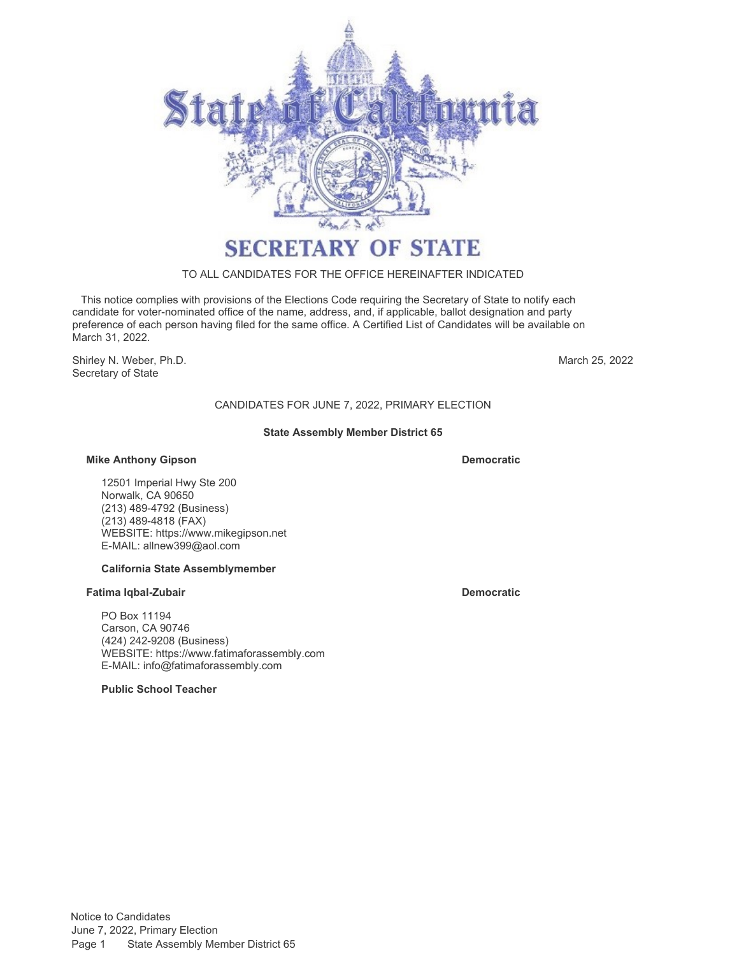

### TO ALL CANDIDATES FOR THE OFFICE HEREINAFTER INDICATED

 This notice complies with provisions of the Elections Code requiring the Secretary of State to notify each candidate for voter-nominated office of the name, address, and, if applicable, ballot designation and party preference of each person having filed for the same office. A Certified List of Candidates will be available on March 31, 2022.

Shirley N. Weber, Ph.D. Secretary of State

March 25, 2022

# CANDIDATES FOR JUNE 7, 2022, PRIMARY ELECTION

#### **State Assembly Member District 65**

#### **Mike Anthony Gipson Democratic**

12501 Imperial Hwy Ste 200 Norwalk, CA 90650 (213) 489-4792 (Business) (213) 489-4818 (FAX) WEBSITE:<https://www.mikegipson.net> E-MAIL: [allnew399@aol.com](mailto:allnew399@aol.com)

#### **California State Assemblymember**

#### **Fatima Iqbal-Zubair Democratic Democratic**

PO Box 11194 Carson, CA 90746 (424) 242-9208 (Business) WEBSITE:<https://www.fatimaforassembly.com> E-MAIL: [info@fatimaforassembly.com](mailto:info@fatimaforassembly.com)

**Public School Teacher**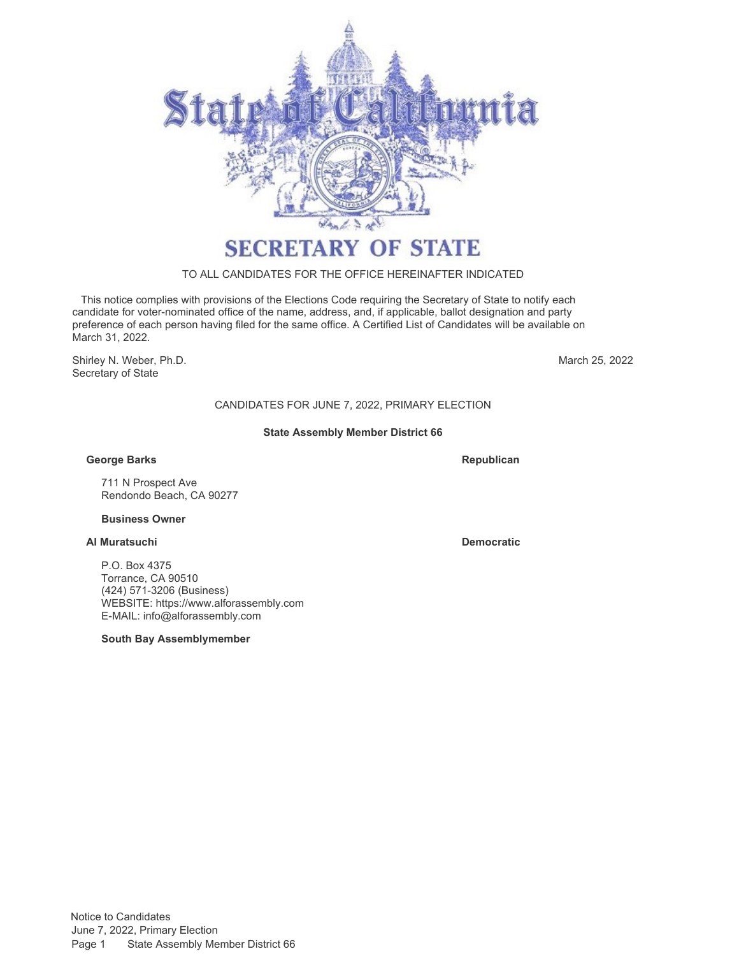

# TO ALL CANDIDATES FOR THE OFFICE HEREINAFTER INDICATED

 This notice complies with provisions of the Elections Code requiring the Secretary of State to notify each candidate for voter-nominated office of the name, address, and, if applicable, ballot designation and party preference of each person having filed for the same office. A Certified List of Candidates will be available on March 31, 2022.

Shirley N. Weber, Ph.D. Secretary of State

March 25, 2022

# CANDIDATES FOR JUNE 7, 2022, PRIMARY ELECTION

#### **State Assembly Member District 66**

### **George Barks**

**Republican**

711 N Prospect Ave Rendondo Beach, CA 90277

#### **Business Owner**

# **Al Muratsuchi Democratic**

P.O. Box 4375 Torrance, CA 90510 (424) 571-3206 (Business) WEBSITE:<https://www.alforassembly.com> E-MAIL: [info@alforassembly.com](mailto:info@alforassembly.com)

**South Bay Assemblymember**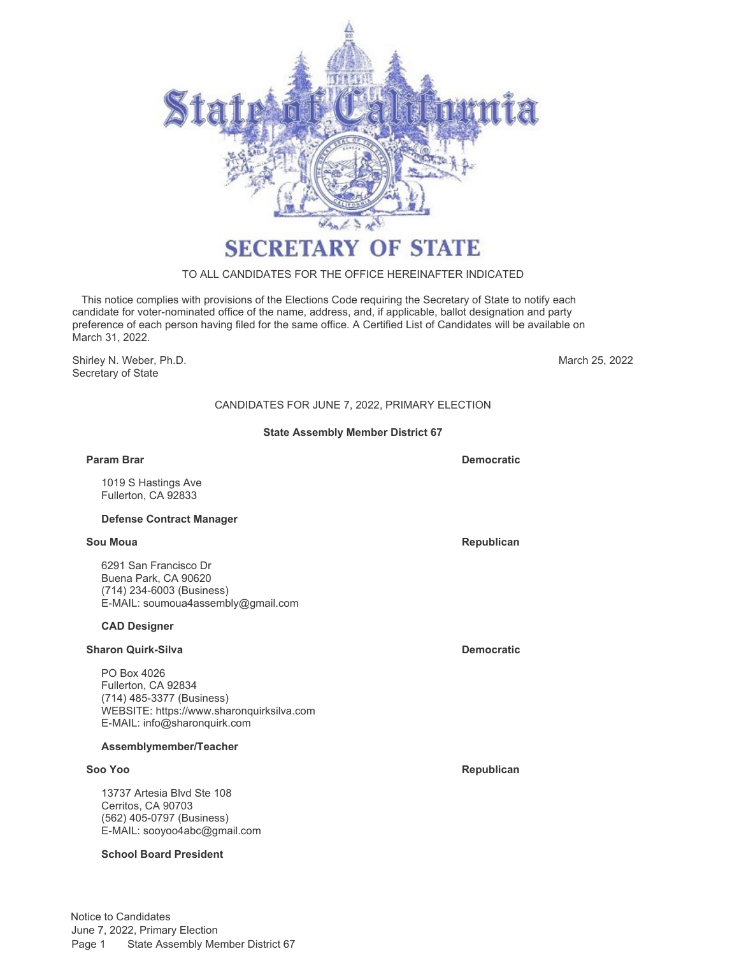

# TO ALL CANDIDATES FOR THE OFFICE HEREINAFTER INDICATED

 This notice complies with provisions of the Elections Code requiring the Secretary of State to notify each candidate for voter-nominated office of the name, address, and, if applicable, ballot designation and party preference of each person having filed for the same office. A Certified List of Candidates will be available on March 31, 2022.

Shirley N. Weber, Ph.D. Secretary of State

March 25, 2022

# CANDIDATES FOR JUNE 7, 2022, PRIMARY ELECTION

#### **State Assembly Member District 67**

#### **Param Brar Democratic**

1019 S Hastings Ave Fullerton, CA 92833

#### **Defense Contract Manager**

6291 San Francisco Dr Buena Park, CA 90620 (714) 234-6003 (Business) E-MAIL: [soumoua4assembly@gmail.com](mailto:soumoua4assembly@gmail.com)

#### **CAD Designer**

# **Sharon Quirk-Silva Democratic Democratic**

PO Box 4026 Fullerton, CA 92834 (714) 485-3377 (Business) WEBSITE:<https://www.sharonquirksilva.com> E-MAIL: [info@sharonquirk.com](mailto:info@sharonquirk.com)

#### **Assemblymember/Teacher**

13737 Artesia Blvd Ste 108 Cerritos, CA 90703 (562) 405-0797 (Business) E-MAIL: [sooyoo4abc@gmail.com](mailto:sooyoo4abc@gmail.com)

#### **School Board President**

Notice to Candidates June 7, 2022, Primary Election Page 1 State Assembly Member District 67

**Sou Moua Republican** 

**Soo Yoo Republican**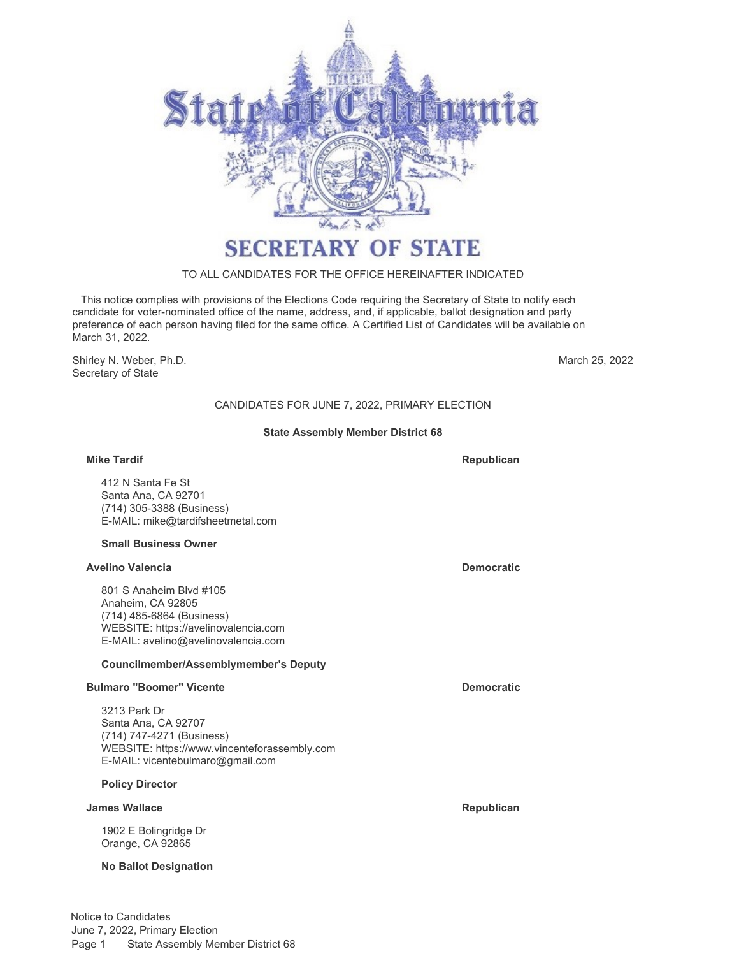

# TO ALL CANDIDATES FOR THE OFFICE HEREINAFTER INDICATED

 This notice complies with provisions of the Elections Code requiring the Secretary of State to notify each candidate for voter-nominated office of the name, address, and, if applicable, ballot designation and party preference of each person having filed for the same office. A Certified List of Candidates will be available on March 31, 2022.

Shirley N. Weber, Ph.D. Secretary of State

March 25, 2022

# CANDIDATES FOR JUNE 7, 2022, PRIMARY ELECTION

#### **State Assembly Member District 68**

#### **Mike Tardif**

412 N Santa Fe St Santa Ana, CA 92701 (714) 305-3388 (Business) E-MAIL: [mike@tardifsheetmetal.com](mailto:mike@tardifsheetmetal.com)

#### **Small Business Owner**

#### **Avelino Valencia Democratic**

801 S Anaheim Blvd #105 Anaheim, CA 92805 (714) 485-6864 (Business) WEBSITE:<https://avelinovalencia.com> E-MAIL: [avelino@avelinovalencia.com](mailto:avelino@avelinovalencia.com)

#### **Councilmember/Assemblymember's Deputy**

#### **Bulmaro "Boomer" Vicente Democratic**

3213 Park Dr Santa Ana, CA 92707 (714) 747-4271 (Business) WEBSITE:<https://www.vincenteforassembly.com> E-MAIL: [vicentebulmaro@gmail.com](mailto:vicentebulmaro@gmail.com)

#### **Policy Director**

#### **James Wallace Republican**

1902 E Bolingridge Dr Orange, CA 92865

#### **No Ballot Designation**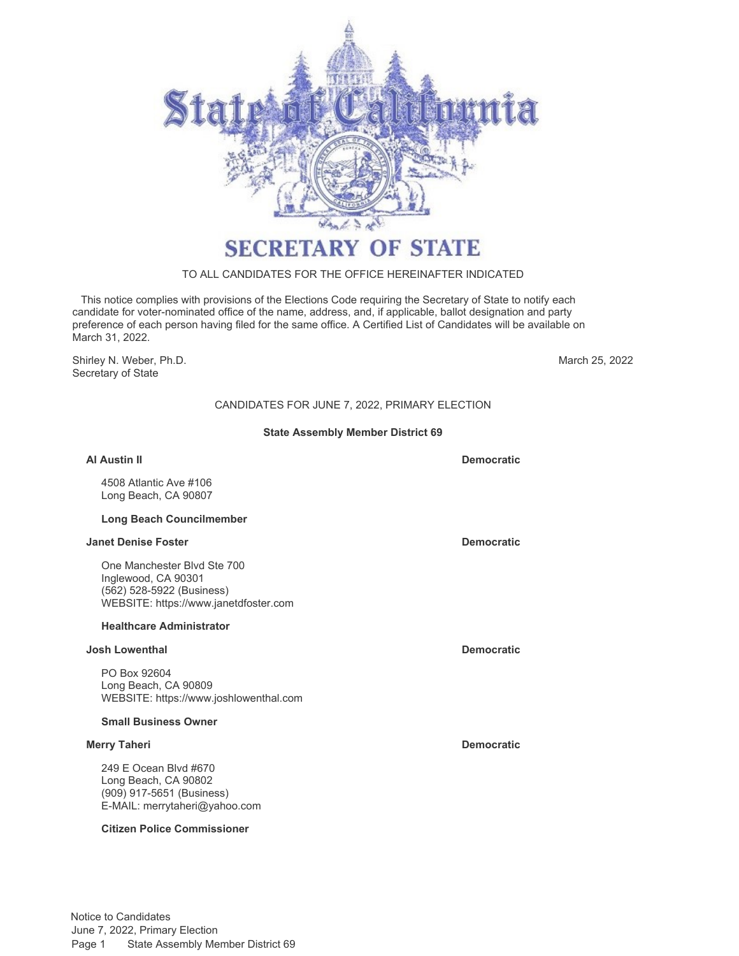

# TO ALL CANDIDATES FOR THE OFFICE HEREINAFTER INDICATED

 This notice complies with provisions of the Elections Code requiring the Secretary of State to notify each candidate for voter-nominated office of the name, address, and, if applicable, ballot designation and party preference of each person having filed for the same office. A Certified List of Candidates will be available on March 31, 2022.

Shirley N. Weber, Ph.D. Secretary of State

March 25, 2022

# CANDIDATES FOR JUNE 7, 2022, PRIMARY ELECTION

#### **State Assembly Member District 69**

# **Al Austin II Democratic** 4508 Atlantic Ave #106 Long Beach, CA 90807

#### **Long Beach Councilmember**

#### **Janet Denise Foster Democratic**

One Manchester Blvd Ste 700 Inglewood, CA 90301 (562) 528-5922 (Business) WEBSITE:<https://www.janetdfoster.com>

#### **Healthcare Administrator**

### **Josh Lowenthal Democratic**

PO Box 92604 Long Beach, CA 90809 WEBSITE:<https://www.joshlowenthal.com>

# **Small Business Owner**

### **Merry Taheri Democratic**

249 E Ocean Blvd #670 Long Beach, CA 90802 (909) 917-5651 (Business) E-MAIL: [merrytaheri@yahoo.com](mailto:merrytaheri@yahoo.com)

### **Citizen Police Commissioner**

Notice to Candidates June 7, 2022, Primary Election Page 1 State Assembly Member District 69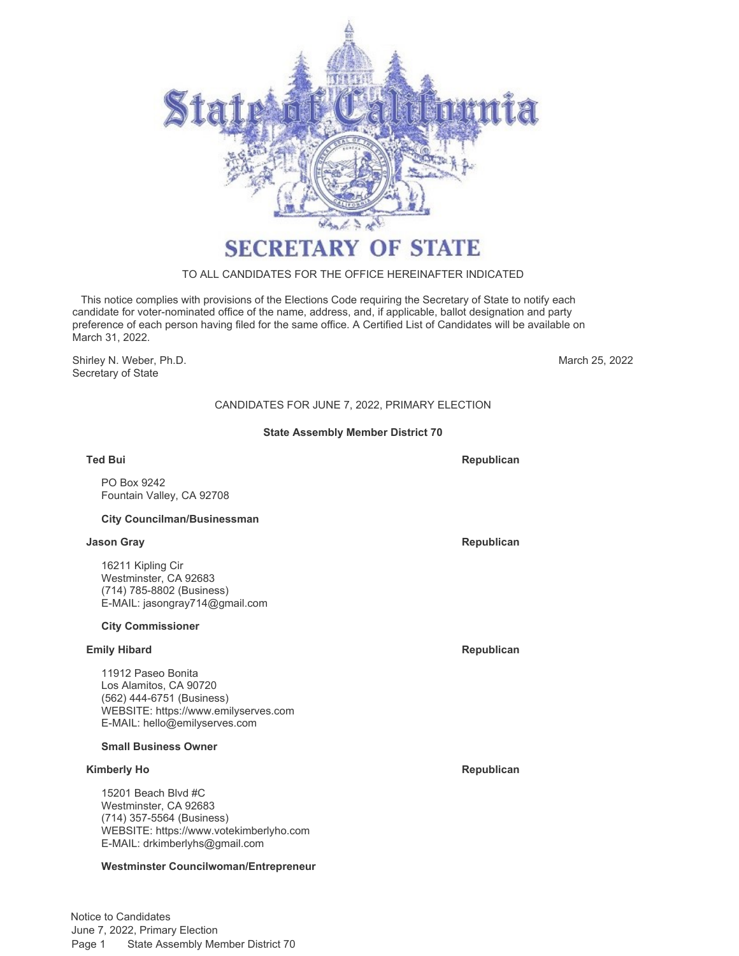

# TO ALL CANDIDATES FOR THE OFFICE HEREINAFTER INDICATED

 This notice complies with provisions of the Elections Code requiring the Secretary of State to notify each candidate for voter-nominated office of the name, address, and, if applicable, ballot designation and party preference of each person having filed for the same office. A Certified List of Candidates will be available on March 31, 2022.

Shirley N. Weber, Ph.D. Secretary of State

March 25, 2022

# CANDIDATES FOR JUNE 7, 2022, PRIMARY ELECTION

#### **State Assembly Member District 70**

**Ted Bui**

PO Box 9242 Fountain Valley, CA 92708

#### **City Councilman/Businessman**

#### **Jason Gray Republican**

16211 Kipling Cir Westminster, CA 92683 (714) 785-8802 (Business) E-MAIL: [jasongray714@gmail.com](mailto:jasongray714@gmail.com)

#### **City Commissioner**

#### **Emily Hibard Republican Republican Republican Republican**

11912 Paseo Bonita Los Alamitos, CA 90720 (562) 444-6751 (Business) WEBSITE:<https://www.emilyserves.com> E-MAIL: [hello@emilyserves.com](mailto:hello@emilyserves.com)

#### **Small Business Owner**

#### **Kimberly Ho Republican**

15201 Beach Blvd #C Westminster, CA 92683 (714) 357-5564 (Business) WEBSITE:<https://www.votekimberlyho.com> E-MAIL: [drkimberlyhs@gmail.com](mailto:drkimberlyhs@gmail.com)

#### **Westminster Councilwoman/Entrepreneur**

Notice to Candidates June 7, 2022, Primary Election Page 1 State Assembly Member District 70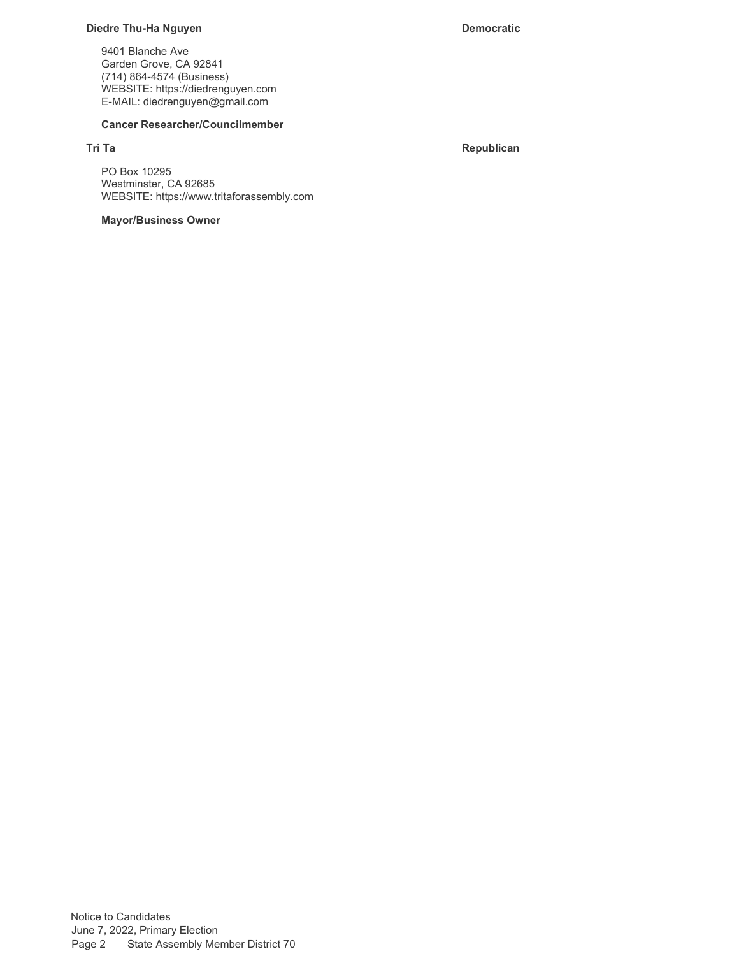#### **Diedre Thu-Ha Nguyen Democratic**

9401 Blanche Ave Garden Grove, CA 92841 (714) 864-4574 (Business) WEBSITE:<https://diedrenguyen.com> E-MAIL: [diedrenguyen@gmail.com](mailto:diedrenguyen@gmail.com)

#### **Cancer Researcher/Councilmember**

**Tri Ta Republican**

PO Box 10295 Westminster, CA 92685 WEBSITE:<https://www.tritaforassembly.com>

# **Mayor/Business Owner**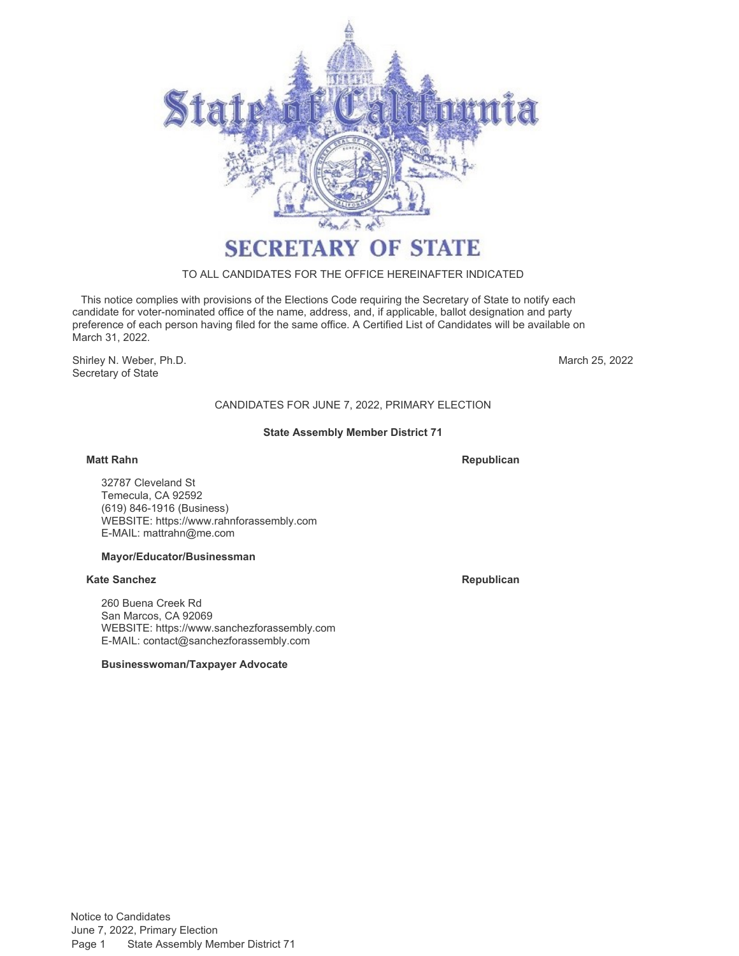

#### TO ALL CANDIDATES FOR THE OFFICE HEREINAFTER INDICATED

 This notice complies with provisions of the Elections Code requiring the Secretary of State to notify each candidate for voter-nominated office of the name, address, and, if applicable, ballot designation and party preference of each person having filed for the same office. A Certified List of Candidates will be available on March 31, 2022.

Shirley N. Weber, Ph.D. Secretary of State

March 25, 2022

# CANDIDATES FOR JUNE 7, 2022, PRIMARY ELECTION

#### **State Assembly Member District 71**

#### **Matt Rahn**

**Republican**

32787 Cleveland St Temecula, CA 92592 (619) 846-1916 (Business) WEBSITE:<https://www.rahnforassembly.com> E-MAIL: [mattrahn@me.com](mailto:mattrahn@me.com)

#### **Mayor/Educator/Businessman**

#### **Kate Sanchez Republican**

260 Buena Creek Rd San Marcos, CA 92069 WEBSITE:<https://www.sanchezforassembly.com> E-MAIL: [contact@sanchezforassembly.com](mailto:contact@sanchezforassembly.com)

**Businesswoman/Taxpayer Advocate**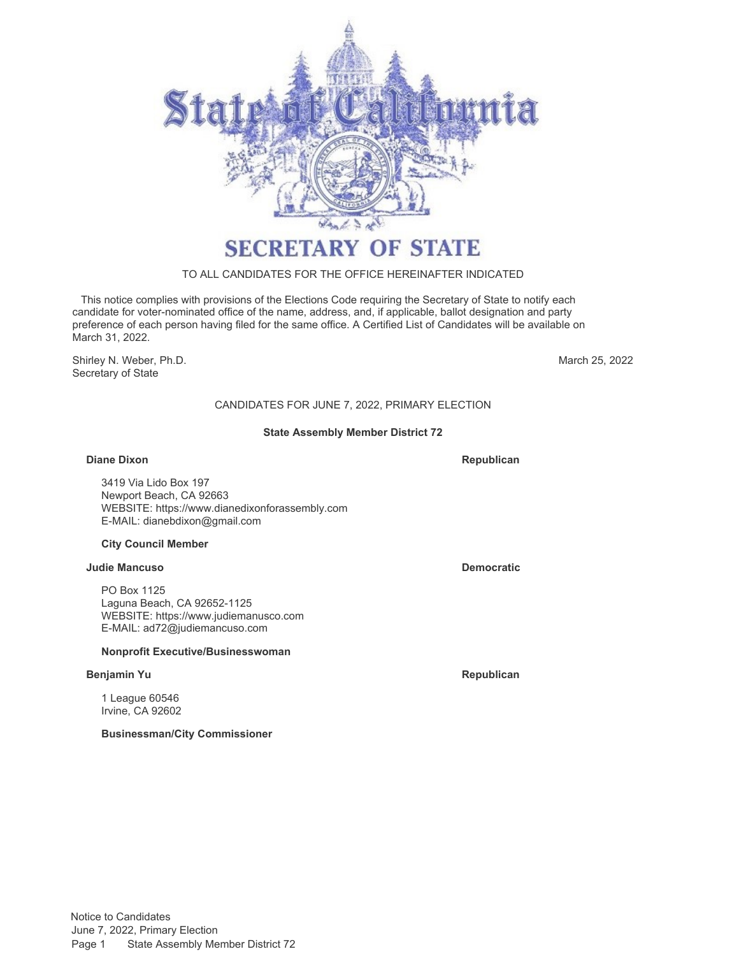

# TO ALL CANDIDATES FOR THE OFFICE HEREINAFTER INDICATED

 This notice complies with provisions of the Elections Code requiring the Secretary of State to notify each candidate for voter-nominated office of the name, address, and, if applicable, ballot designation and party preference of each person having filed for the same office. A Certified List of Candidates will be available on March 31, 2022.

Shirley N. Weber, Ph.D. Secretary of State

March 25, 2022

# CANDIDATES FOR JUNE 7, 2022, PRIMARY ELECTION

#### **State Assembly Member District 72**

#### **Diane Dixon Republican Republican Republican Republican**

3419 Via Lido Box 197 Newport Beach, CA 92663 WEBSITE:<https://www.dianedixonforassembly.com> E-MAIL: [dianebdixon@gmail.com](mailto:dianebdixon@gmail.com)

#### **City Council Member**

#### **Judie Mancuso Democratic**

PO Box 1125 Laguna Beach, CA 92652-1125 WEBSITE:<https://www.judiemanusco.com> E-MAIL: [ad72@judiemancuso.com](mailto:ad72@judiemancuso.com)

#### **Nonprofit Executive/Businesswoman**

#### **Benjamin Yu Republican**

1 League 60546 Irvine, CA 92602

**Businessman/City Commissioner**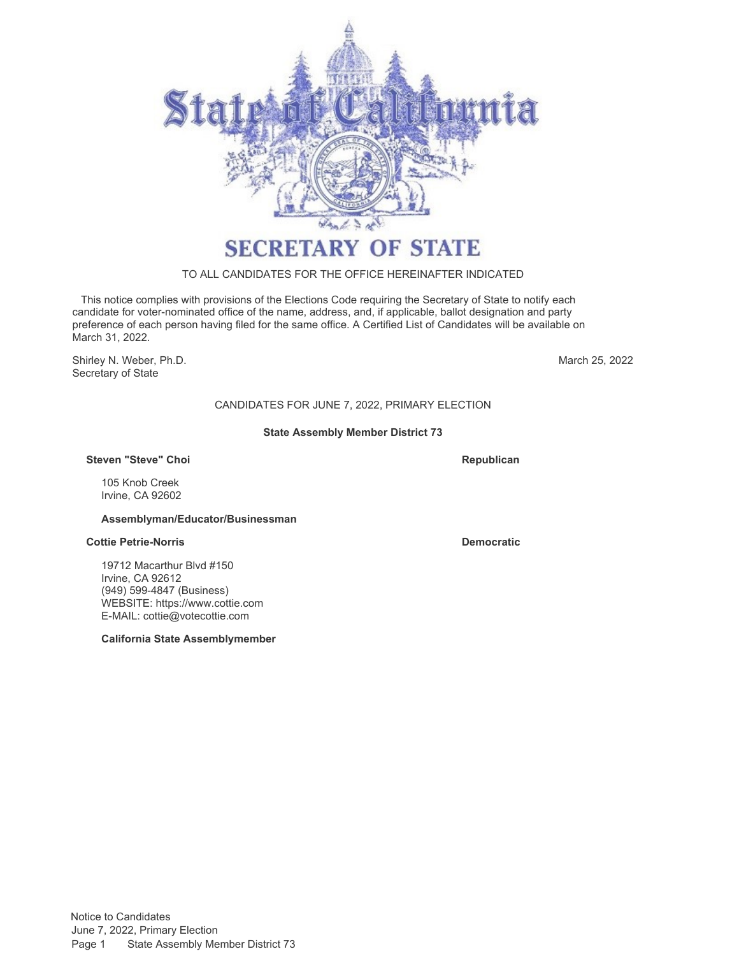

# TO ALL CANDIDATES FOR THE OFFICE HEREINAFTER INDICATED

 This notice complies with provisions of the Elections Code requiring the Secretary of State to notify each candidate for voter-nominated office of the name, address, and, if applicable, ballot designation and party preference of each person having filed for the same office. A Certified List of Candidates will be available on March 31, 2022.

Shirley N. Weber, Ph.D. Secretary of State

March 25, 2022

# CANDIDATES FOR JUNE 7, 2022, PRIMARY ELECTION

#### **State Assembly Member District 73**

#### **Steven "Steve" Choi**

105 Knob Creek Irvine, CA 92602

#### **Assemblyman/Educator/Businessman**

#### **Cottie Petrie-Norris Democratic**

19712 Macarthur Blvd #150 Irvine, CA 92612 (949) 599-4847 (Business) WEBSITE:<https://www.cottie.com> E-MAIL: [cottie@votecottie.com](mailto:cottie@votecottie.com)

**California State Assemblymember**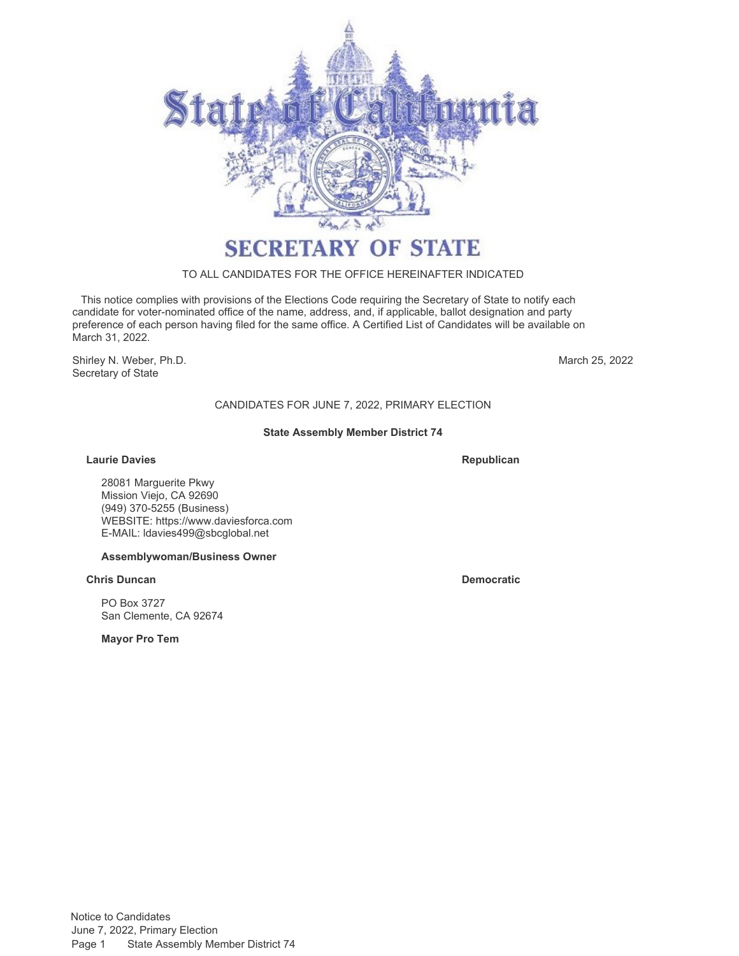

#### TO ALL CANDIDATES FOR THE OFFICE HEREINAFTER INDICATED

 This notice complies with provisions of the Elections Code requiring the Secretary of State to notify each candidate for voter-nominated office of the name, address, and, if applicable, ballot designation and party preference of each person having filed for the same office. A Certified List of Candidates will be available on March 31, 2022.

Shirley N. Weber, Ph.D. Secretary of State

March 25, 2022

# CANDIDATES FOR JUNE 7, 2022, PRIMARY ELECTION

#### **State Assembly Member District 74**

#### **Laurie Davies Republican**

28081 Marguerite Pkwy Mission Viejo, CA 92690 (949) 370-5255 (Business) WEBSITE:<https://www.daviesforca.com> E-MAIL: [ldavies499@sbcglobal.net](mailto:ldavies499@sbcglobal.net)

#### **Assemblywoman/Business Owner**

#### **Chris Duncan Democratic**

PO Box 3727 San Clemente, CA 92674

**Mayor Pro Tem**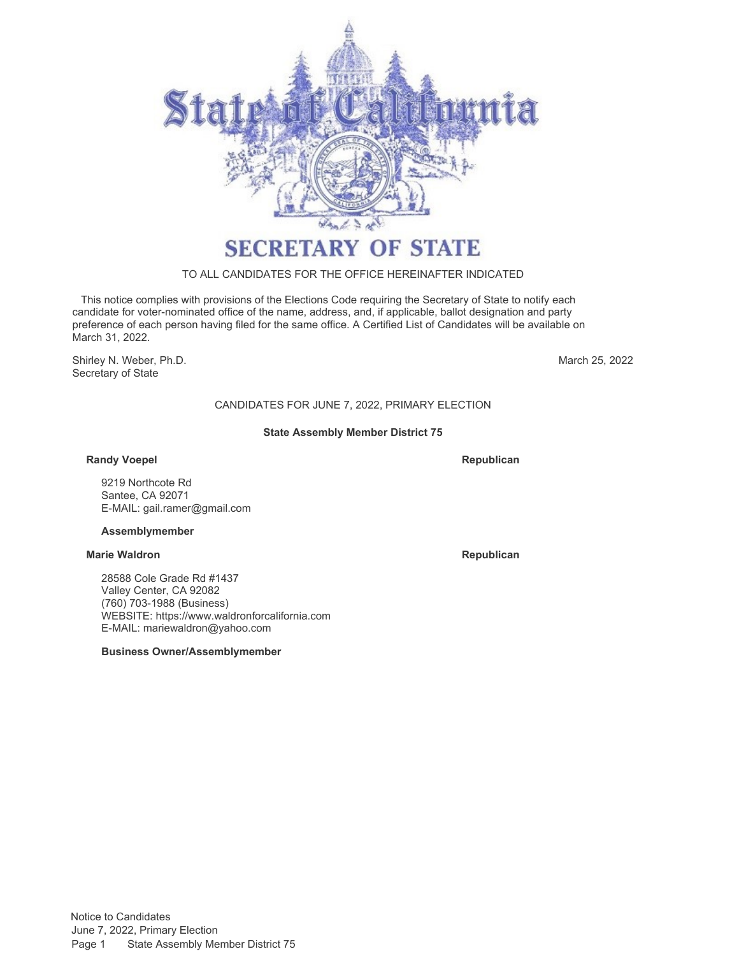

# TO ALL CANDIDATES FOR THE OFFICE HEREINAFTER INDICATED

 This notice complies with provisions of the Elections Code requiring the Secretary of State to notify each candidate for voter-nominated office of the name, address, and, if applicable, ballot designation and party preference of each person having filed for the same office. A Certified List of Candidates will be available on March 31, 2022.

Shirley N. Weber, Ph.D. Secretary of State

March 25, 2022

# CANDIDATES FOR JUNE 7, 2022, PRIMARY ELECTION

#### **State Assembly Member District 75**

### **Randy Voepel**

**Republican**

9219 Northcote Rd Santee, CA 92071 E-MAIL: [gail.ramer@gmail.com](mailto:gail.ramer@gmail.com)

#### **Assemblymember**

#### **Marie Waldron Republican**

28588 Cole Grade Rd #1437 Valley Center, CA 92082 (760) 703-1988 (Business) WEBSITE:<https://www.waldronforcalifornia.com> E-MAIL: [mariewaldron@yahoo.com](mailto:mariewaldron@yahoo.com)

#### **Business Owner/Assemblymember**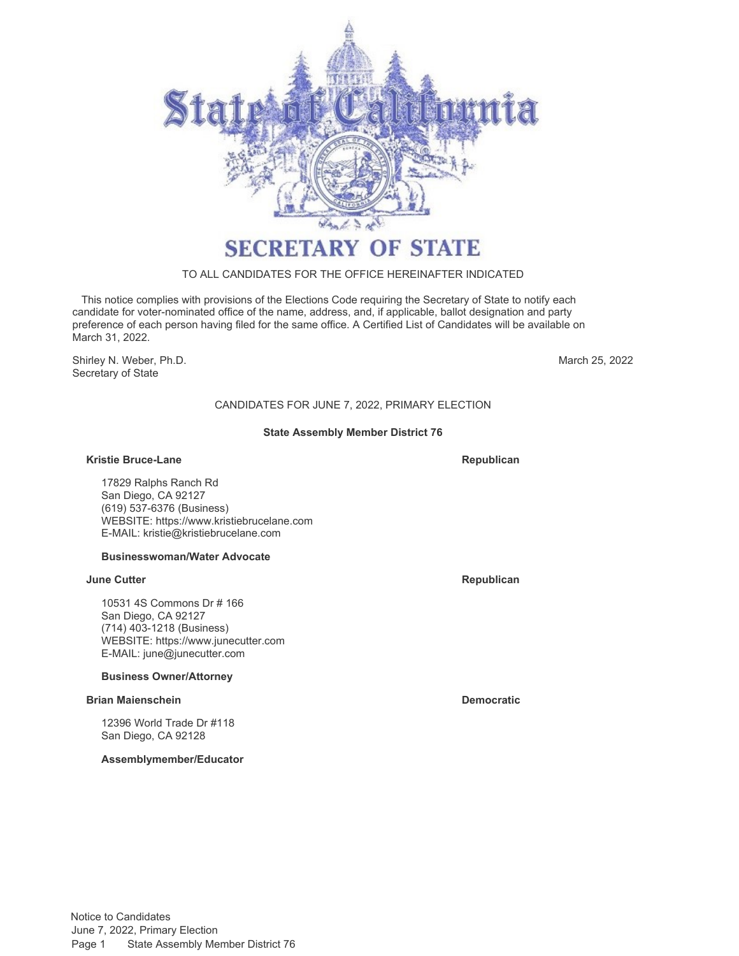

# TO ALL CANDIDATES FOR THE OFFICE HEREINAFTER INDICATED

 This notice complies with provisions of the Elections Code requiring the Secretary of State to notify each candidate for voter-nominated office of the name, address, and, if applicable, ballot designation and party preference of each person having filed for the same office. A Certified List of Candidates will be available on March 31, 2022.

Shirley N. Weber, Ph.D. Secretary of State

March 25, 2022

# CANDIDATES FOR JUNE 7, 2022, PRIMARY ELECTION

#### **State Assembly Member District 76**

#### **Kristie Bruce-Lane Republican**

17829 Ralphs Ranch Rd San Diego, CA 92127 (619) 537-6376 (Business) WEBSITE:<https://www.kristiebrucelane.com> E-MAIL: [kristie@kristiebrucelane.com](mailto:kristie@kristiebrucelane.com)

# **Businesswoman/Water Advocate**

#### **June Cutter Republican**

10531 4S Commons Dr # 166 San Diego, CA 92127 (714) 403-1218 (Business) WEBSITE:<https://www.junecutter.com> E-MAIL: [june@junecutter.com](mailto:june@junecutter.com)

# **Business Owner/Attorney**

# **Brian Maienschein Democratic**

12396 World Trade Dr #118 San Diego, CA 92128

**Assemblymember/Educator**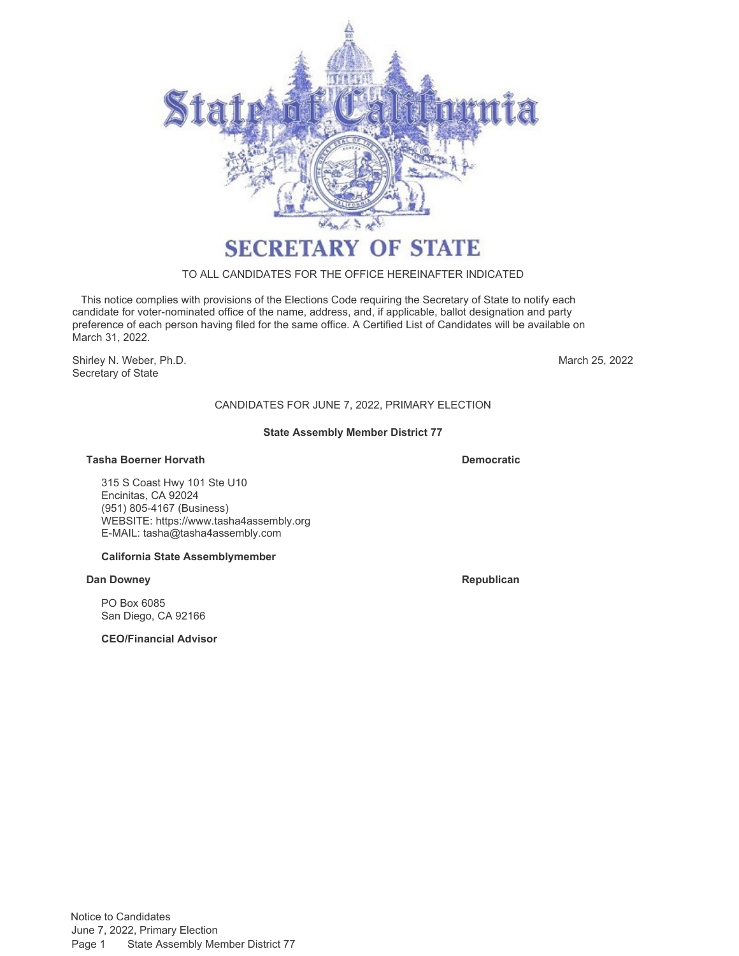

### TO ALL CANDIDATES FOR THE OFFICE HEREINAFTER INDICATED

 This notice complies with provisions of the Elections Code requiring the Secretary of State to notify each candidate for voter-nominated office of the name, address, and, if applicable, ballot designation and party preference of each person having filed for the same office. A Certified List of Candidates will be available on March 31, 2022.

Shirley N. Weber, Ph.D. Secretary of State

March 25, 2022

# CANDIDATES FOR JUNE 7, 2022, PRIMARY ELECTION

#### **State Assembly Member District 77**

#### **Tasha Boerner Horvath Democratic**

315 S Coast Hwy 101 Ste U10 Encinitas, CA 92024 (951) 805-4167 (Business) WEBSITE:<https://www.tasha4assembly.org> E-MAIL: [tasha@tasha4assembly.com](mailto:tasha@tasha4assembly.com)

#### **California State Assemblymember**

#### **Dan Downey <b>Republican**

PO Box 6085 San Diego, CA 92166

**CEO/Financial Advisor**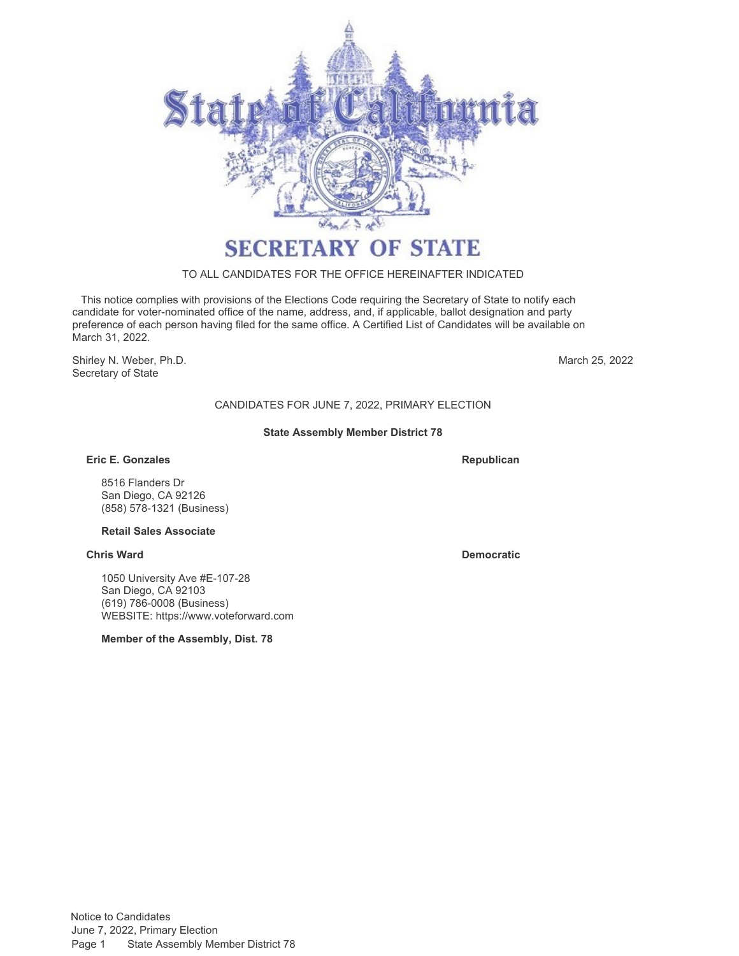

# TO ALL CANDIDATES FOR THE OFFICE HEREINAFTER INDICATED

 This notice complies with provisions of the Elections Code requiring the Secretary of State to notify each candidate for voter-nominated office of the name, address, and, if applicable, ballot designation and party preference of each person having filed for the same office. A Certified List of Candidates will be available on March 31, 2022.

Shirley N. Weber, Ph.D. Secretary of State

March 25, 2022

# CANDIDATES FOR JUNE 7, 2022, PRIMARY ELECTION

#### **State Assembly Member District 78**

### **Eric E. Gonzales**

**Republican**

8516 Flanders Dr San Diego, CA 92126 (858) 578-1321 (Business)

# **Retail Sales Associate**

#### **Chris Ward Democratic**

1050 University Ave #E-107-28 San Diego, CA 92103 (619) 786-0008 (Business) WEBSITE:<https://www.voteforward.com>

**Member of the Assembly, Dist. 78**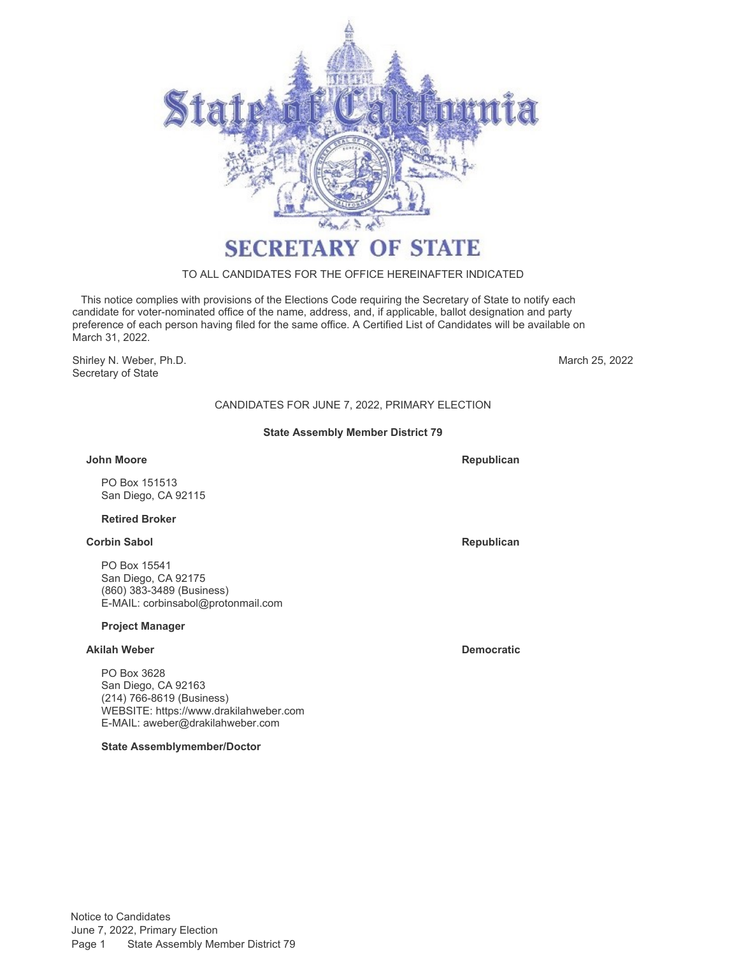

# TO ALL CANDIDATES FOR THE OFFICE HEREINAFTER INDICATED

 This notice complies with provisions of the Elections Code requiring the Secretary of State to notify each candidate for voter-nominated office of the name, address, and, if applicable, ballot designation and party preference of each person having filed for the same office. A Certified List of Candidates will be available on March 31, 2022.

Shirley N. Weber, Ph.D. Secretary of State

March 25, 2022

# CANDIDATES FOR JUNE 7, 2022, PRIMARY ELECTION

#### **State Assembly Member District 79**

#### **John Moore**

PO Box 151513 San Diego, CA 92115

#### **Retired Broker**

#### **Corbin Sabol Republican Republican Republican Republican Republican**

PO Box 15541 San Diego, CA 92175 (860) 383-3489 (Business) E-MAIL: [corbinsabol@protonmail.com](mailto:corbinsabol@protonmail.com)

#### **Project Manager**

### **Akilah Weber Democratic**

PO Box 3628 San Diego, CA 92163 (214) 766-8619 (Business) WEBSITE:<https://www.drakilahweber.com> E-MAIL: [aweber@drakilahweber.com](mailto:aweber@drakilahweber.com)

**State Assemblymember/Doctor**